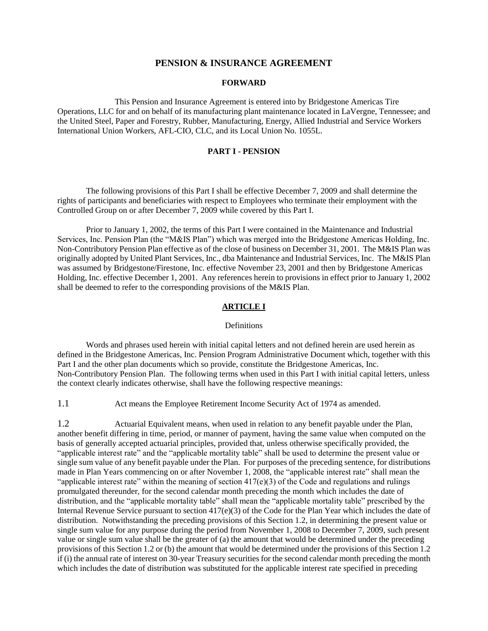## **PENSION & INSURANCE AGREEMENT**

#### **FORWARD**

This Pension and Insurance Agreement is entered into by Bridgestone Americas Tire Operations, LLC for and on behalf of its manufacturing plant maintenance located in LaVergne, Tennessee; and the United Steel, Paper and Forestry, Rubber, Manufacturing, Energy, Allied Industrial and Service Workers International Union Workers, AFL-CIO, CLC, and its Local Union No. 1055L.

#### **PART I - PENSION**

The following provisions of this Part I shall be effective December 7, 2009 and shall determine the rights of participants and beneficiaries with respect to Employees who terminate their employment with the Controlled Group on or after December 7, 2009 while covered by this Part I.

Prior to January 1, 2002, the terms of this Part I were contained in the Maintenance and Industrial Services, Inc. Pension Plan (the "M&IS Plan") which was merged into the Bridgestone Americas Holding, Inc. Non-Contributory Pension Plan effective as of the close of business on December 31, 2001. The M&IS Plan was originally adopted by United Plant Services, Inc., dba Maintenance and Industrial Services, Inc. The M&IS Plan was assumed by Bridgestone/Firestone, Inc. effective November 23, 2001 and then by Bridgestone Americas Holding, Inc. effective December 1, 2001. Any references herein to provisions in effect prior to January 1, 2002 shall be deemed to refer to the corresponding provisions of the M&IS Plan.

## **ARTICLE I**

#### Definitions

Words and phrases used herein with initial capital letters and not defined herein are used herein as defined in the Bridgestone Americas, Inc. Pension Program Administrative Document which, together with this Part I and the other plan documents which so provide, constitute the Bridgestone Americas, Inc. Non-Contributory Pension Plan. The following terms when used in this Part I with initial capital letters, unless the context clearly indicates otherwise, shall have the following respective meanings:

1.1 Act means the Employee Retirement Income Security Act of 1974 as amended.

1.2 Actuarial Equivalent means, when used in relation to any benefit payable under the Plan, another benefit differing in time, period, or manner of payment, having the same value when computed on the basis of generally accepted actuarial principles, provided that, unless otherwise specifically provided, the "applicable interest rate" and the "applicable mortality table" shall be used to determine the present value or single sum value of any benefit payable under the Plan. For purposes of the preceding sentence, for distributions made in Plan Years commencing on or after November 1, 2008, the "applicable interest rate" shall mean the "applicable interest rate" within the meaning of section  $417(e)(3)$  of the Code and regulations and rulings promulgated thereunder, for the second calendar month preceding the month which includes the date of distribution, and the "applicable mortality table" shall mean the "applicable mortality table" prescribed by the Internal Revenue Service pursuant to section 417(e)(3) of the Code for the Plan Year which includes the date of distribution. Notwithstanding the preceding provisions of this Section 1.2, in determining the present value or single sum value for any purpose during the period from November 1, 2008 to December 7, 2009, such present value or single sum value shall be the greater of (a) the amount that would be determined under the preceding provisions of this Section 1.2 or (b) the amount that would be determined under the provisions of this Section 1.2 if (i) the annual rate of interest on 30-year Treasury securities for the second calendar month preceding the month which includes the date of distribution was substituted for the applicable interest rate specified in preceding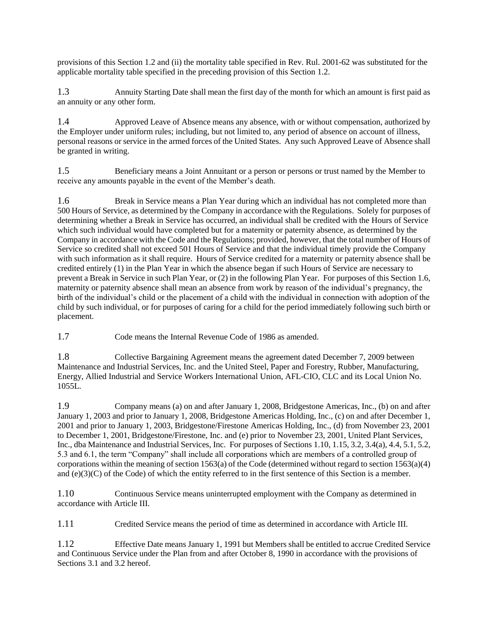provisions of this Section 1.2 and (ii) the mortality table specified in Rev. Rul. 2001-62 was substituted for the applicable mortality table specified in the preceding provision of this Section 1.2.

1.3 Annuity Starting Date shall mean the first day of the month for which an amount is first paid as an annuity or any other form.

1.4 Approved Leave of Absence means any absence, with or without compensation, authorized by the Employer under uniform rules; including, but not limited to, any period of absence on account of illness, personal reasons or service in the armed forces of the United States. Any such Approved Leave of Absence shall be granted in writing.

1.5 Beneficiary means a Joint Annuitant or a person or persons or trust named by the Member to receive any amounts payable in the event of the Member's death.

1.6 Break in Service means a Plan Year during which an individual has not completed more than 500 Hours of Service, as determined by the Company in accordance with the Regulations. Solely for purposes of determining whether a Break in Service has occurred, an individual shall be credited with the Hours of Service which such individual would have completed but for a maternity or paternity absence, as determined by the Company in accordance with the Code and the Regulations; provided, however, that the total number of Hours of Service so credited shall not exceed 501 Hours of Service and that the individual timely provide the Company with such information as it shall require. Hours of Service credited for a maternity or paternity absence shall be credited entirely (1) in the Plan Year in which the absence began if such Hours of Service are necessary to prevent a Break in Service in such Plan Year, or (2) in the following Plan Year. For purposes of this Section 1.6, maternity or paternity absence shall mean an absence from work by reason of the individual's pregnancy, the birth of the individual's child or the placement of a child with the individual in connection with adoption of the child by such individual, or for purposes of caring for a child for the period immediately following such birth or placement.

1.7 Code means the Internal Revenue Code of 1986 as amended.

1.8 Collective Bargaining Agreement means the agreement dated December 7, 2009 between Maintenance and Industrial Services, Inc. and the United Steel, Paper and Forestry, Rubber, Manufacturing, Energy, Allied Industrial and Service Workers International Union, AFL-CIO, CLC and its Local Union No. 1055L.

1.9 Company means (a) on and after January 1, 2008, Bridgestone Americas, Inc., (b) on and after January 1, 2003 and prior to January 1, 2008, Bridgestone Americas Holding, Inc., (c) on and after December 1, 2001 and prior to January 1, 2003, Bridgestone/Firestone Americas Holding, Inc., (d) from November 23, 2001 to December 1, 2001, Bridgestone/Firestone, Inc. and (e) prior to November 23, 2001, United Plant Services, Inc., dba Maintenance and Industrial Services, Inc. For purposes of Sections 1.10, 1.15, 3.2, 3.4(a), 4.4, 5.1, 5.2, 5.3 and 6.1, the term "Company" shall include all corporations which are members of a controlled group of corporations within the meaning of section 1563(a) of the Code (determined without regard to section 1563(a)(4) and (e)(3)(C) of the Code) of which the entity referred to in the first sentence of this Section is a member.

1.10 Continuous Service means uninterrupted employment with the Company as determined in accordance with Article III.

1.11 Credited Service means the period of time as determined in accordance with Article III.

1.12 Effective Date means January 1, 1991 but Members shall be entitled to accrue Credited Service and Continuous Service under the Plan from and after October 8, 1990 in accordance with the provisions of Sections 3.1 and 3.2 hereof.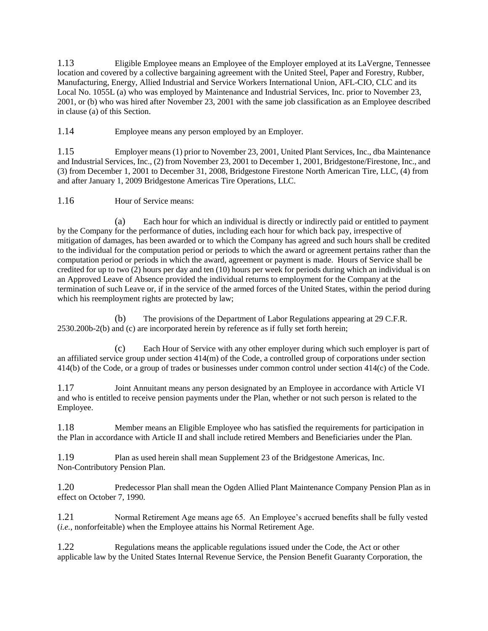1.13 Eligible Employee means an Employee of the Employer employed at its LaVergne, Tennessee location and covered by a collective bargaining agreement with the United Steel, Paper and Forestry, Rubber, Manufacturing, Energy, Allied Industrial and Service Workers International Union, AFL-CIO, CLC and its Local No. 1055L (a) who was employed by Maintenance and Industrial Services, Inc. prior to November 23, 2001, or (b) who was hired after November 23, 2001 with the same job classification as an Employee described in clause (a) of this Section.

1.14 Employee means any person employed by an Employer.

1.15 Employer means (1) prior to November 23, 2001, United Plant Services, Inc., dba Maintenance and Industrial Services, Inc., (2) from November 23, 2001 to December 1, 2001, Bridgestone/Firestone, Inc., and (3) from December 1, 2001 to December 31, 2008, Bridgestone Firestone North American Tire, LLC, (4) from and after January 1, 2009 Bridgestone Americas Tire Operations, LLC.

1.16 Hour of Service means:

(a) Each hour for which an individual is directly or indirectly paid or entitled to payment by the Company for the performance of duties, including each hour for which back pay, irrespective of mitigation of damages, has been awarded or to which the Company has agreed and such hours shall be credited to the individual for the computation period or periods to which the award or agreement pertains rather than the computation period or periods in which the award, agreement or payment is made. Hours of Service shall be credited for up to two (2) hours per day and ten (10) hours per week for periods during which an individual is on an Approved Leave of Absence provided the individual returns to employment for the Company at the termination of such Leave or, if in the service of the armed forces of the United States, within the period during which his reemployment rights are protected by law;

(b) The provisions of the Department of Labor Regulations appearing at 29 C.F.R. 2530.200b-2(b) and (c) are incorporated herein by reference as if fully set forth herein;

(c) Each Hour of Service with any other employer during which such employer is part of an affiliated service group under section 414(m) of the Code, a controlled group of corporations under section 414(b) of the Code, or a group of trades or businesses under common control under section 414(c) of the Code.

1.17 Joint Annuitant means any person designated by an Employee in accordance with Article VI and who is entitled to receive pension payments under the Plan, whether or not such person is related to the Employee.

1.18 Member means an Eligible Employee who has satisfied the requirements for participation in the Plan in accordance with Article II and shall include retired Members and Beneficiaries under the Plan.

1.19 Plan as used herein shall mean Supplement 23 of the Bridgestone Americas, Inc. Non-Contributory Pension Plan.

1.20 Predecessor Plan shall mean the Ogden Allied Plant Maintenance Company Pension Plan as in effect on October 7, 1990.

1.21 Normal Retirement Age means age 65. An Employee's accrued benefits shall be fully vested (*i.e.*, nonforfeitable) when the Employee attains his Normal Retirement Age.

1.22 Regulations means the applicable regulations issued under the Code, the Act or other applicable law by the United States Internal Revenue Service, the Pension Benefit Guaranty Corporation, the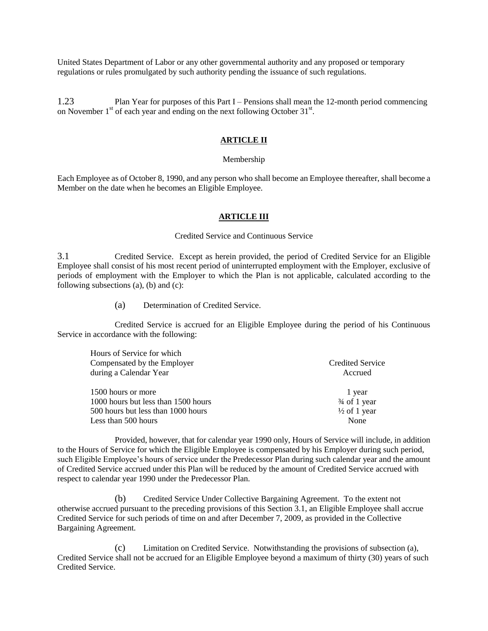United States Department of Labor or any other governmental authority and any proposed or temporary regulations or rules promulgated by such authority pending the issuance of such regulations.

1.23 Plan Year for purposes of this Part I – Pensions shall mean the 12-month period commencing on November  $1<sup>st</sup>$  of each year and ending on the next following October 31 $<sup>st</sup>$ .</sup>

# **ARTICLE II**

#### Membership

Each Employee as of October 8, 1990, and any person who shall become an Employee thereafter, shall become a Member on the date when he becomes an Eligible Employee.

#### **ARTICLE III**

### Credited Service and Continuous Service

3.1 Credited Service. Except as herein provided, the period of Credited Service for an Eligible Employee shall consist of his most recent period of uninterrupted employment with the Employer, exclusive of periods of employment with the Employer to which the Plan is not applicable, calculated according to the following subsections (a), (b) and (c):

(a) Determination of Credited Service.

Credited Service is accrued for an Eligible Employee during the period of his Continuous Service in accordance with the following:

| Hours of Service for which          |                         |
|-------------------------------------|-------------------------|
| Compensated by the Employer         | <b>Credited Service</b> |
| during a Calendar Year              | Accrued                 |
| 1500 hours or more                  | 1 year                  |
| 1000 hours but less than 1500 hours | $\frac{3}{4}$ of 1 year |
| 500 hours but less than 1000 hours  | $\frac{1}{2}$ of 1 year |
| Less than 500 hours                 | None                    |

Provided, however, that for calendar year 1990 only, Hours of Service will include, in addition to the Hours of Service for which the Eligible Employee is compensated by his Employer during such period, such Eligible Employee's hours of service under the Predecessor Plan during such calendar year and the amount of Credited Service accrued under this Plan will be reduced by the amount of Credited Service accrued with respect to calendar year 1990 under the Predecessor Plan.

(b) Credited Service Under Collective Bargaining Agreement. To the extent not otherwise accrued pursuant to the preceding provisions of this Section 3.1, an Eligible Employee shall accrue Credited Service for such periods of time on and after December 7, 2009, as provided in the Collective Bargaining Agreement.

(c) Limitation on Credited Service. Notwithstanding the provisions of subsection (a), Credited Service shall not be accrued for an Eligible Employee beyond a maximum of thirty (30) years of such Credited Service.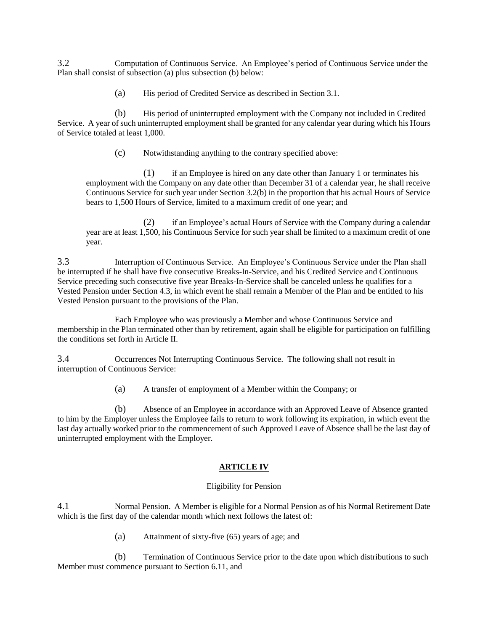3.2 Computation of Continuous Service. An Employee's period of Continuous Service under the Plan shall consist of subsection (a) plus subsection (b) below:

(a) His period of Credited Service as described in Section 3.1.

(b) His period of uninterrupted employment with the Company not included in Credited Service. A year of such uninterrupted employment shall be granted for any calendar year during which his Hours of Service totaled at least 1,000.

(c) Notwithstanding anything to the contrary specified above:

(1) if an Employee is hired on any date other than January 1 or terminates his employment with the Company on any date other than December 31 of a calendar year, he shall receive Continuous Service for such year under Section 3.2(b) in the proportion that his actual Hours of Service bears to 1,500 Hours of Service, limited to a maximum credit of one year; and

(2) if an Employee's actual Hours of Service with the Company during a calendar year are at least 1,500, his Continuous Service for such year shall be limited to a maximum credit of one year.

3.3 Interruption of Continuous Service. An Employee's Continuous Service under the Plan shall be interrupted if he shall have five consecutive Breaks-In-Service, and his Credited Service and Continuous Service preceding such consecutive five year Breaks-In-Service shall be canceled unless he qualifies for a Vested Pension under Section 4.3, in which event he shall remain a Member of the Plan and be entitled to his Vested Pension pursuant to the provisions of the Plan.

Each Employee who was previously a Member and whose Continuous Service and membership in the Plan terminated other than by retirement, again shall be eligible for participation on fulfilling the conditions set forth in Article II.

3.4 Occurrences Not Interrupting Continuous Service. The following shall not result in interruption of Continuous Service:

(a) A transfer of employment of a Member within the Company; or

(b) Absence of an Employee in accordance with an Approved Leave of Absence granted to him by the Employer unless the Employee fails to return to work following its expiration, in which event the last day actually worked prior to the commencement of such Approved Leave of Absence shall be the last day of uninterrupted employment with the Employer.

### **ARTICLE IV**

### Eligibility for Pension

4.1 Normal Pension. A Member is eligible for a Normal Pension as of his Normal Retirement Date which is the first day of the calendar month which next follows the latest of:

(a) Attainment of sixty-five (65) years of age; and

(b) Termination of Continuous Service prior to the date upon which distributions to such Member must commence pursuant to Section 6.11, and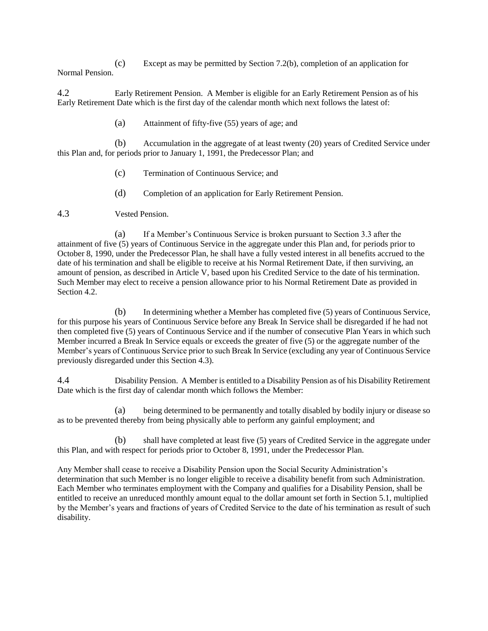(c) Except as may be permitted by Section 7.2(b), completion of an application for Normal Pension.

4.2 Early Retirement Pension. A Member is eligible for an Early Retirement Pension as of his Early Retirement Date which is the first day of the calendar month which next follows the latest of:

(a) Attainment of fifty-five (55) years of age; and

(b) Accumulation in the aggregate of at least twenty (20) years of Credited Service under this Plan and, for periods prior to January 1, 1991, the Predecessor Plan; and

- (c) Termination of Continuous Service; and
- (d) Completion of an application for Early Retirement Pension.

## 4.3 Vested Pension.

(a) If a Member's Continuous Service is broken pursuant to Section 3.3 after the attainment of five (5) years of Continuous Service in the aggregate under this Plan and, for periods prior to October 8, 1990, under the Predecessor Plan, he shall have a fully vested interest in all benefits accrued to the date of his termination and shall be eligible to receive at his Normal Retirement Date, if then surviving, an amount of pension, as described in Article V, based upon his Credited Service to the date of his termination. Such Member may elect to receive a pension allowance prior to his Normal Retirement Date as provided in Section 4.2.

(b) In determining whether a Member has completed five (5) years of Continuous Service, for this purpose his years of Continuous Service before any Break In Service shall be disregarded if he had not then completed five (5) years of Continuous Service and if the number of consecutive Plan Years in which such Member incurred a Break In Service equals or exceeds the greater of five (5) or the aggregate number of the Member's years of Continuous Service prior to such Break In Service (excluding any year of Continuous Service previously disregarded under this Section 4.3).

4.4 Disability Pension. A Member is entitled to a Disability Pension as of his Disability Retirement Date which is the first day of calendar month which follows the Member:

(a) being determined to be permanently and totally disabled by bodily injury or disease so as to be prevented thereby from being physically able to perform any gainful employment; and

(b) shall have completed at least five (5) years of Credited Service in the aggregate under this Plan, and with respect for periods prior to October 8, 1991, under the Predecessor Plan.

Any Member shall cease to receive a Disability Pension upon the Social Security Administration's determination that such Member is no longer eligible to receive a disability benefit from such Administration. Each Member who terminates employment with the Company and qualifies for a Disability Pension, shall be entitled to receive an unreduced monthly amount equal to the dollar amount set forth in Section 5.1, multiplied by the Member's years and fractions of years of Credited Service to the date of his termination as result of such disability.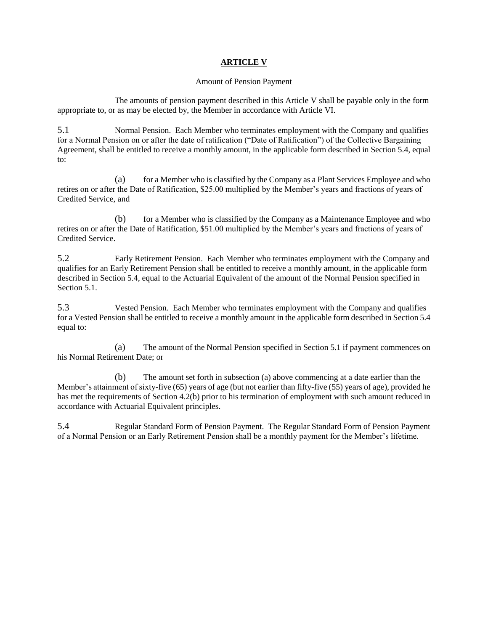## **ARTICLE V**

### Amount of Pension Payment

The amounts of pension payment described in this Article V shall be payable only in the form appropriate to, or as may be elected by, the Member in accordance with Article VI.

5.1 Normal Pension. Each Member who terminates employment with the Company and qualifies for a Normal Pension on or after the date of ratification ("Date of Ratification") of the Collective Bargaining Agreement, shall be entitled to receive a monthly amount, in the applicable form described in Section 5.4, equal to:

(a) for a Member who is classified by the Company as a Plant Services Employee and who retires on or after the Date of Ratification, \$25.00 multiplied by the Member's years and fractions of years of Credited Service, and

(b) for a Member who is classified by the Company as a Maintenance Employee and who retires on or after the Date of Ratification, \$51.00 multiplied by the Member's years and fractions of years of Credited Service.

5.2 Early Retirement Pension. Each Member who terminates employment with the Company and qualifies for an Early Retirement Pension shall be entitled to receive a monthly amount, in the applicable form described in Section 5.4, equal to the Actuarial Equivalent of the amount of the Normal Pension specified in Section 5.1.

5.3 Vested Pension. Each Member who terminates employment with the Company and qualifies for a Vested Pension shall be entitled to receive a monthly amount in the applicable form described in Section 5.4 equal to:

(a) The amount of the Normal Pension specified in Section 5.1 if payment commences on his Normal Retirement Date; or

(b) The amount set forth in subsection (a) above commencing at a date earlier than the Member's attainment of sixty-five (65) years of age (but not earlier than fifty-five (55) years of age), provided he has met the requirements of Section 4.2(b) prior to his termination of employment with such amount reduced in accordance with Actuarial Equivalent principles.

5.4 Regular Standard Form of Pension Payment. The Regular Standard Form of Pension Payment of a Normal Pension or an Early Retirement Pension shall be a monthly payment for the Member's lifetime.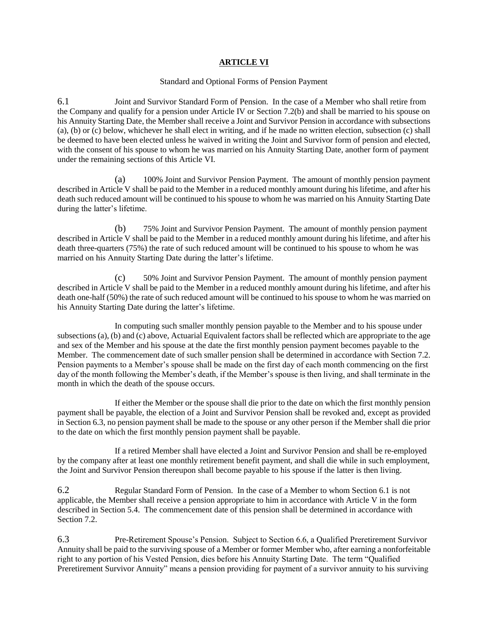## **ARTICLE VI**

#### Standard and Optional Forms of Pension Payment

6.1 Joint and Survivor Standard Form of Pension. In the case of a Member who shall retire from the Company and qualify for a pension under Article IV or Section 7.2(b) and shall be married to his spouse on his Annuity Starting Date, the Member shall receive a Joint and Survivor Pension in accordance with subsections (a), (b) or (c) below, whichever he shall elect in writing, and if he made no written election, subsection (c) shall be deemed to have been elected unless he waived in writing the Joint and Survivor form of pension and elected, with the consent of his spouse to whom he was married on his Annuity Starting Date, another form of payment under the remaining sections of this Article VI.

(a) 100% Joint and Survivor Pension Payment. The amount of monthly pension payment described in Article V shall be paid to the Member in a reduced monthly amount during his lifetime, and after his death such reduced amount will be continued to his spouse to whom he was married on his Annuity Starting Date during the latter's lifetime.

(b) 75% Joint and Survivor Pension Payment. The amount of monthly pension payment described in Article V shall be paid to the Member in a reduced monthly amount during his lifetime, and after his death three-quarters (75%) the rate of such reduced amount will be continued to his spouse to whom he was married on his Annuity Starting Date during the latter's lifetime.

(c) 50% Joint and Survivor Pension Payment. The amount of monthly pension payment described in Article V shall be paid to the Member in a reduced monthly amount during his lifetime, and after his death one-half (50%) the rate of such reduced amount will be continued to his spouse to whom he was married on his Annuity Starting Date during the latter's lifetime.

In computing such smaller monthly pension payable to the Member and to his spouse under subsections (a), (b) and (c) above, Actuarial Equivalent factors shall be reflected which are appropriate to the age and sex of the Member and his spouse at the date the first monthly pension payment becomes payable to the Member. The commencement date of such smaller pension shall be determined in accordance with Section 7.2. Pension payments to a Member's spouse shall be made on the first day of each month commencing on the first day of the month following the Member's death, if the Member's spouse is then living, and shall terminate in the month in which the death of the spouse occurs.

If either the Member or the spouse shall die prior to the date on which the first monthly pension payment shall be payable, the election of a Joint and Survivor Pension shall be revoked and, except as provided in Section 6.3, no pension payment shall be made to the spouse or any other person if the Member shall die prior to the date on which the first monthly pension payment shall be payable.

If a retired Member shall have elected a Joint and Survivor Pension and shall be re-employed by the company after at least one monthly retirement benefit payment, and shall die while in such employment, the Joint and Survivor Pension thereupon shall become payable to his spouse if the latter is then living.

6.2 Regular Standard Form of Pension. In the case of a Member to whom Section 6.1 is not applicable, the Member shall receive a pension appropriate to him in accordance with Article V in the form described in Section 5.4. The commencement date of this pension shall be determined in accordance with Section 7.2.

6.3 Pre-Retirement Spouse's Pension. Subject to Section 6.6, a Qualified Preretirement Survivor Annuity shall be paid to the surviving spouse of a Member or former Member who, after earning a nonforfeitable right to any portion of his Vested Pension, dies before his Annuity Starting Date. The term "Qualified Preretirement Survivor Annuity" means a pension providing for payment of a survivor annuity to his surviving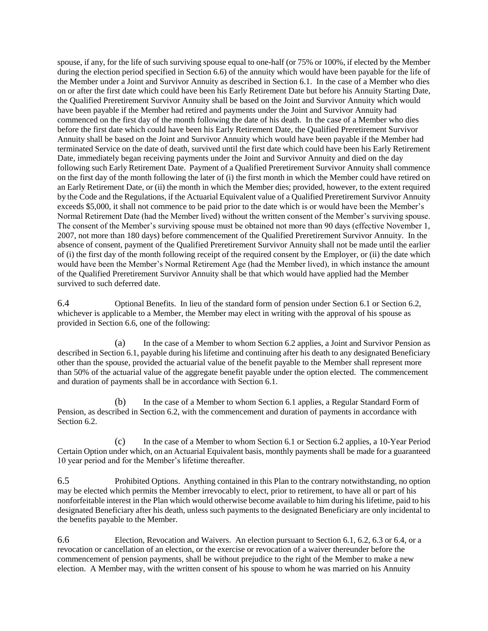spouse, if any, for the life of such surviving spouse equal to one-half (or 75% or 100%, if elected by the Member during the election period specified in Section 6.6) of the annuity which would have been payable for the life of the Member under a Joint and Survivor Annuity as described in Section 6.1. In the case of a Member who dies on or after the first date which could have been his Early Retirement Date but before his Annuity Starting Date, the Qualified Preretirement Survivor Annuity shall be based on the Joint and Survivor Annuity which would have been payable if the Member had retired and payments under the Joint and Survivor Annuity had commenced on the first day of the month following the date of his death. In the case of a Member who dies before the first date which could have been his Early Retirement Date, the Qualified Preretirement Survivor Annuity shall be based on the Joint and Survivor Annuity which would have been payable if the Member had terminated Service on the date of death, survived until the first date which could have been his Early Retirement Date, immediately began receiving payments under the Joint and Survivor Annuity and died on the day following such Early Retirement Date. Payment of a Qualified Preretirement Survivor Annuity shall commence on the first day of the month following the later of (i) the first month in which the Member could have retired on an Early Retirement Date, or (ii) the month in which the Member dies; provided, however, to the extent required by the Code and the Regulations, if the Actuarial Equivalent value of a Qualified Preretirement Survivor Annuity exceeds \$5,000, it shall not commence to be paid prior to the date which is or would have been the Member's Normal Retirement Date (had the Member lived) without the written consent of the Member's surviving spouse. The consent of the Member's surviving spouse must be obtained not more than 90 days (effective November 1, 2007, not more than 180 days) before commencement of the Qualified Preretirement Survivor Annuity. In the absence of consent, payment of the Qualified Preretirement Survivor Annuity shall not be made until the earlier of (i) the first day of the month following receipt of the required consent by the Employer, or (ii) the date which would have been the Member's Normal Retirement Age (had the Member lived), in which instance the amount of the Qualified Preretirement Survivor Annuity shall be that which would have applied had the Member survived to such deferred date.

6.4 Optional Benefits. In lieu of the standard form of pension under Section 6.1 or Section 6.2, whichever is applicable to a Member, the Member may elect in writing with the approval of his spouse as provided in Section 6.6, one of the following:

(a) In the case of a Member to whom Section 6.2 applies, a Joint and Survivor Pension as described in Section 6.1, payable during his lifetime and continuing after his death to any designated Beneficiary other than the spouse, provided the actuarial value of the benefit payable to the Member shall represent more than 50% of the actuarial value of the aggregate benefit payable under the option elected. The commencement and duration of payments shall be in accordance with Section 6.1.

(b) In the case of a Member to whom Section 6.1 applies, a Regular Standard Form of Pension, as described in Section 6.2, with the commencement and duration of payments in accordance with Section 6.2.

(c) In the case of a Member to whom Section 6.1 or Section 6.2 applies, a 10-Year Period Certain Option under which, on an Actuarial Equivalent basis, monthly payments shall be made for a guaranteed 10 year period and for the Member's lifetime thereafter.

6.5 Prohibited Options. Anything contained in this Plan to the contrary notwithstanding, no option may be elected which permits the Member irrevocably to elect, prior to retirement, to have all or part of his nonforfeitable interest in the Plan which would otherwise become available to him during his lifetime, paid to his designated Beneficiary after his death, unless such payments to the designated Beneficiary are only incidental to the benefits payable to the Member.

6.6 Election, Revocation and Waivers. An election pursuant to Section 6.1, 6.2, 6.3 or 6.4, or a revocation or cancellation of an election, or the exercise or revocation of a waiver thereunder before the commencement of pension payments, shall be without prejudice to the right of the Member to make a new election. A Member may, with the written consent of his spouse to whom he was married on his Annuity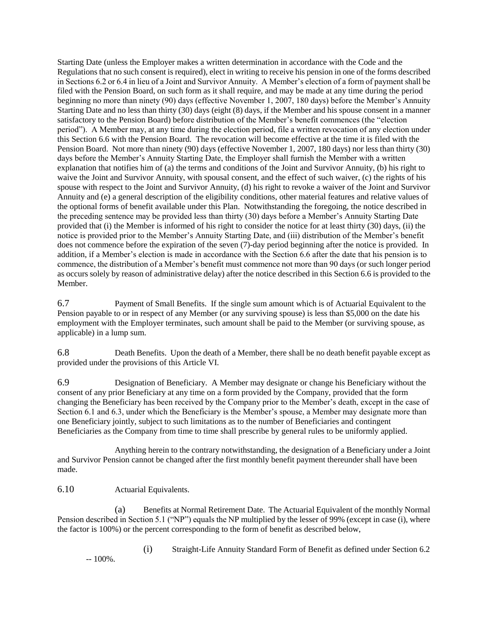Starting Date (unless the Employer makes a written determination in accordance with the Code and the Regulations that no such consent is required), elect in writing to receive his pension in one of the forms described in Sections 6.2 or 6.4 in lieu of a Joint and Survivor Annuity. A Member's election of a form of payment shall be filed with the Pension Board, on such form as it shall require, and may be made at any time during the period beginning no more than ninety (90) days (effective November 1, 2007, 180 days) before the Member's Annuity Starting Date and no less than thirty (30) days (eight (8) days, if the Member and his spouse consent in a manner satisfactory to the Pension Board) before distribution of the Member's benefit commences (the "election period"). A Member may, at any time during the election period, file a written revocation of any election under this Section 6.6 with the Pension Board. The revocation will become effective at the time it is filed with the Pension Board. Not more than ninety (90) days (effective November 1, 2007, 180 days) nor less than thirty (30) days before the Member's Annuity Starting Date, the Employer shall furnish the Member with a written explanation that notifies him of (a) the terms and conditions of the Joint and Survivor Annuity, (b) his right to waive the Joint and Survivor Annuity, with spousal consent, and the effect of such waiver, (c) the rights of his spouse with respect to the Joint and Survivor Annuity, (d) his right to revoke a waiver of the Joint and Survivor Annuity and (e) a general description of the eligibility conditions, other material features and relative values of the optional forms of benefit available under this Plan. Notwithstanding the foregoing, the notice described in the preceding sentence may be provided less than thirty (30) days before a Member's Annuity Starting Date provided that (i) the Member is informed of his right to consider the notice for at least thirty (30) days, (ii) the notice is provided prior to the Member's Annuity Starting Date, and (iii) distribution of the Member's benefit does not commence before the expiration of the seven (7)-day period beginning after the notice is provided. In addition, if a Member's election is made in accordance with the Section 6.6 after the date that his pension is to commence, the distribution of a Member's benefit must commence not more than 90 days (or such longer period as occurs solely by reason of administrative delay) after the notice described in this Section 6.6 is provided to the Member.

6.7 Payment of Small Benefits. If the single sum amount which is of Actuarial Equivalent to the Pension payable to or in respect of any Member (or any surviving spouse) is less than \$5,000 on the date his employment with the Employer terminates, such amount shall be paid to the Member (or surviving spouse, as applicable) in a lump sum.

6.8 Death Benefits. Upon the death of a Member, there shall be no death benefit payable except as provided under the provisions of this Article VI.

6.9 Designation of Beneficiary. A Member may designate or change his Beneficiary without the consent of any prior Beneficiary at any time on a form provided by the Company, provided that the form changing the Beneficiary has been received by the Company prior to the Member's death, except in the case of Section 6.1 and 6.3, under which the Beneficiary is the Member's spouse, a Member may designate more than one Beneficiary jointly, subject to such limitations as to the number of Beneficiaries and contingent Beneficiaries as the Company from time to time shall prescribe by general rules to be uniformly applied.

Anything herein to the contrary notwithstanding, the designation of a Beneficiary under a Joint and Survivor Pension cannot be changed after the first monthly benefit payment thereunder shall have been made.

## 6.10 Actuarial Equivalents.

(a) Benefits at Normal Retirement Date. The Actuarial Equivalent of the monthly Normal Pension described in Section 5.1 ("NP") equals the NP multiplied by the lesser of 99% (except in case (i), where the factor is 100%) or the percent corresponding to the form of benefit as described below,

 $-100\%$ .

(i) Straight-Life Annuity Standard Form of Benefit as defined under Section 6.2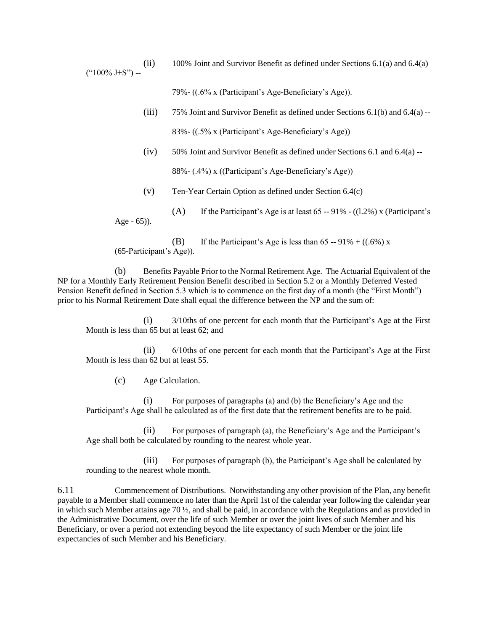(ii) 100% Joint and Survivor Benefit as defined under Sections 6.1(a) and 6.4(a)  $("100\% J+S") -$ 

79%- ((.6% x (Participant's Age-Beneficiary's Age)).

- (iii)  $75\%$  Joint and Survivor Benefit as defined under Sections 6.1(b) and 6.4(a) --83%- ((.5% x (Participant's Age-Beneficiary's Age))
- (iv) 50% Joint and Survivor Benefit as defined under Sections 6.1 and 6.4(a) -- 88%- (.4%) x ((Participant's Age-Beneficiary's Age))
- (v) Ten-Year Certain Option as defined under Section 6.4(c)
- (A) If the Participant's Age is at least  $65 91\%$  ((1.2%) x (Participant's Age - 65)).

(B) If the Participant's Age is less than  $65 - 91\% + ((.6\%) \times$ (65-Participant's Age)).

(b) Benefits Payable Prior to the Normal Retirement Age. The Actuarial Equivalent of the NP for a Monthly Early Retirement Pension Benefit described in Section 5.2 or a Monthly Deferred Vested Pension Benefit defined in Section 5.3 which is to commence on the first day of a month (the "First Month") prior to his Normal Retirement Date shall equal the difference between the NP and the sum of:

(i) 3/10ths of one percent for each month that the Participant's Age at the First Month is less than 65 but at least 62; and

(ii) 6/10ths of one percent for each month that the Participant's Age at the First Month is less than 62 but at least 55.

(c) Age Calculation.

(i) For purposes of paragraphs (a) and (b) the Beneficiary's Age and the Participant's Age shall be calculated as of the first date that the retirement benefits are to be paid.

(ii) For purposes of paragraph (a), the Beneficiary's Age and the Participant's Age shall both be calculated by rounding to the nearest whole year.

(iii) For purposes of paragraph (b), the Participant's Age shall be calculated by rounding to the nearest whole month.

6.11 Commencement of Distributions. Notwithstanding any other provision of the Plan, any benefit payable to a Member shall commence no later than the April 1st of the calendar year following the calendar year in which such Member attains age 70 ½, and shall be paid, in accordance with the Regulations and as provided in the Administrative Document, over the life of such Member or over the joint lives of such Member and his Beneficiary, or over a period not extending beyond the life expectancy of such Member or the joint life expectancies of such Member and his Beneficiary.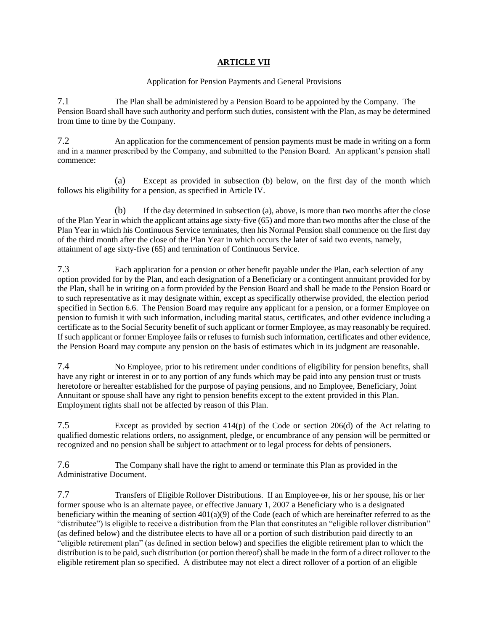# **ARTICLE VII**

## Application for Pension Payments and General Provisions

7.1 The Plan shall be administered by a Pension Board to be appointed by the Company. The Pension Board shall have such authority and perform such duties, consistent with the Plan, as may be determined from time to time by the Company.

7.2 An application for the commencement of pension payments must be made in writing on a form and in a manner prescribed by the Company, and submitted to the Pension Board. An applicant's pension shall commence:

(a) Except as provided in subsection (b) below, on the first day of the month which follows his eligibility for a pension, as specified in Article IV.

(b) If the day determined in subsection (a), above, is more than two months after the close of the Plan Year in which the applicant attains age sixty-five (65) and more than two months after the close of the Plan Year in which his Continuous Service terminates, then his Normal Pension shall commence on the first day of the third month after the close of the Plan Year in which occurs the later of said two events, namely, attainment of age sixty-five (65) and termination of Continuous Service.

7.3 Each application for a pension or other benefit payable under the Plan, each selection of any option provided for by the Plan, and each designation of a Beneficiary or a contingent annuitant provided for by the Plan, shall be in writing on a form provided by the Pension Board and shall be made to the Pension Board or to such representative as it may designate within, except as specifically otherwise provided, the election period specified in Section 6.6. The Pension Board may require any applicant for a pension, or a former Employee on pension to furnish it with such information, including marital status, certificates, and other evidence including a certificate as to the Social Security benefit of such applicant or former Employee, as may reasonably be required. If such applicant or former Employee fails or refuses to furnish such information, certificates and other evidence, the Pension Board may compute any pension on the basis of estimates which in its judgment are reasonable.

7.4 No Employee, prior to his retirement under conditions of eligibility for pension benefits, shall have any right or interest in or to any portion of any funds which may be paid into any pension trust or trusts heretofore or hereafter established for the purpose of paying pensions, and no Employee, Beneficiary, Joint Annuitant or spouse shall have any right to pension benefits except to the extent provided in this Plan. Employment rights shall not be affected by reason of this Plan.

7.5 Except as provided by section 414(p) of the Code or section 206(d) of the Act relating to qualified domestic relations orders, no assignment, pledge, or encumbrance of any pension will be permitted or recognized and no pension shall be subject to attachment or to legal process for debts of pensioners.

7.6 The Company shall have the right to amend or terminate this Plan as provided in the Administrative Document.

7.7 Transfers of Eligible Rollover Distributions. If an Employee or, his or her spouse, his or her former spouse who is an alternate payee, or effective January 1, 2007 a Beneficiary who is a designated beneficiary within the meaning of section 401(a)(9) of the Code (each of which are hereinafter referred to as the "distributee") is eligible to receive a distribution from the Plan that constitutes an "eligible rollover distribution" (as defined below) and the distributee elects to have all or a portion of such distribution paid directly to an "eligible retirement plan" (as defined in section below) and specifies the eligible retirement plan to which the distribution is to be paid, such distribution (or portion thereof) shall be made in the form of a direct rollover to the eligible retirement plan so specified. A distributee may not elect a direct rollover of a portion of an eligible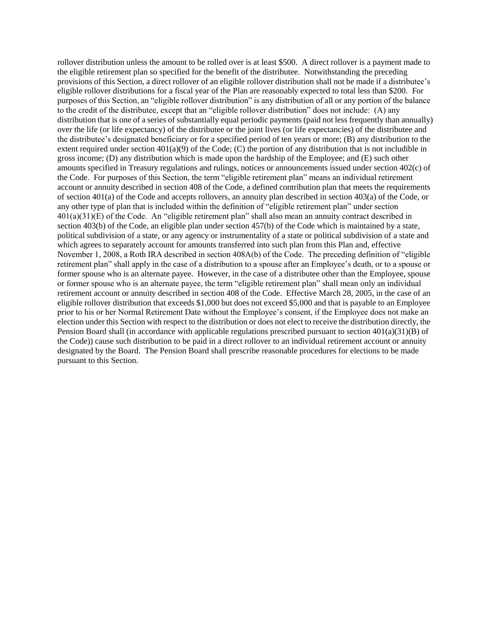rollover distribution unless the amount to be rolled over is at least \$500. A direct rollover is a payment made to the eligible retirement plan so specified for the benefit of the distributee. Notwithstanding the preceding provisions of this Section, a direct rollover of an eligible rollover distribution shall not be made if a distributee's eligible rollover distributions for a fiscal year of the Plan are reasonably expected to total less than \$200. For purposes of this Section, an "eligible rollover distribution" is any distribution of all or any portion of the balance to the credit of the distributee, except that an "eligible rollover distribution" does not include: (A) any distribution that is one of a series of substantially equal periodic payments (paid not less frequently than annually) over the life (or life expectancy) of the distributee or the joint lives (or life expectancies) of the distributee and the distributee's designated beneficiary or for a specified period of ten years or more; (B) any distribution to the extent required under section 401(a)(9) of the Code; (C) the portion of any distribution that is not includible in gross income; (D) any distribution which is made upon the hardship of the Employee; and (E) such other amounts specified in Treasury regulations and rulings, notices or announcements issued under section 402(c) of the Code. For purposes of this Section, the term "eligible retirement plan" means an individual retirement account or annuity described in section 408 of the Code, a defined contribution plan that meets the requirements of section 401(a) of the Code and accepts rollovers, an annuity plan described in section 403(a) of the Code, or any other type of plan that is included within the definition of "eligible retirement plan" under section 401(a)(31)(E) of the Code. An "eligible retirement plan" shall also mean an annuity contract described in section 403(b) of the Code, an eligible plan under section 457(b) of the Code which is maintained by a state, political subdivision of a state, or any agency or instrumentality of a state or political subdivision of a state and which agrees to separately account for amounts transferred into such plan from this Plan and, effective November 1, 2008, a Roth IRA described in section 408A(b) of the Code. The preceding definition of "eligible retirement plan" shall apply in the case of a distribution to a spouse after an Employee's death, or to a spouse or former spouse who is an alternate payee. However, in the case of a distributee other than the Employee, spouse or former spouse who is an alternate payee, the term "eligible retirement plan" shall mean only an individual retirement account or annuity described in section 408 of the Code. Effective March 28, 2005, in the case of an eligible rollover distribution that exceeds \$1,000 but does not exceed \$5,000 and that is payable to an Employee prior to his or her Normal Retirement Date without the Employee's consent, if the Employee does not make an election under this Section with respect to the distribution or does not elect to receive the distribution directly, the Pension Board shall (in accordance with applicable regulations prescribed pursuant to section 401(a)(31)(B) of the Code)) cause such distribution to be paid in a direct rollover to an individual retirement account or annuity designated by the Board. The Pension Board shall prescribe reasonable procedures for elections to be made pursuant to this Section.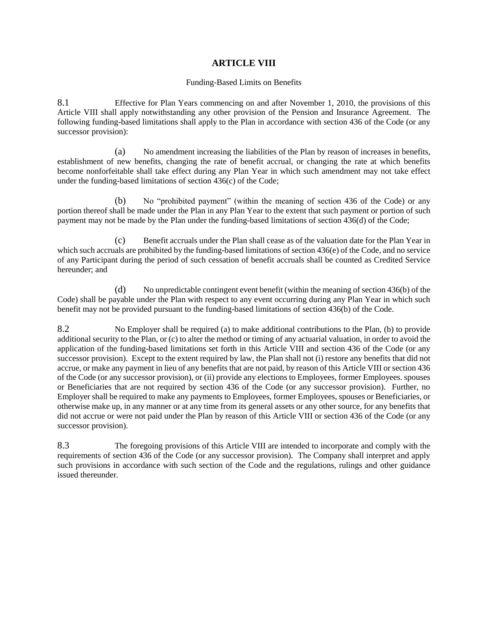# **ARTICLE VIII**

### Funding-Based Limits on Benefits

8.1 Effective for Plan Years commencing on and after November 1, 2010, the provisions of this Article VIII shall apply notwithstanding any other provision of the Pension and Insurance Agreement. The following funding-based limitations shall apply to the Plan in accordance with section 436 of the Code (or any successor provision):

(a) No amendment increasing the liabilities of the Plan by reason of increases in benefits, establishment of new benefits, changing the rate of benefit accrual, or changing the rate at which benefits become nonforfeitable shall take effect during any Plan Year in which such amendment may not take effect under the funding-based limitations of section 436(c) of the Code;

(b) No "prohibited payment" (within the meaning of section 436 of the Code) or any portion thereof shall be made under the Plan in any Plan Year to the extent that such payment or portion of such payment may not be made by the Plan under the funding-based limitations of section 436(d) of the Code;

(c) Benefit accruals under the Plan shall cease as of the valuation date for the Plan Year in which such accruals are prohibited by the funding-based limitations of section 436(e) of the Code, and no service of any Participant during the period of such cessation of benefit accruals shall be counted as Credited Service hereunder; and

(d) No unpredictable contingent event benefit (within the meaning of section 436(b) of the Code) shall be payable under the Plan with respect to any event occurring during any Plan Year in which such benefit may not be provided pursuant to the funding-based limitations of section 436(b) of the Code.

8.2 No Employer shall be required (a) to make additional contributions to the Plan, (b) to provide additional security to the Plan, or (c) to alter the method or timing of any actuarial valuation, in order to avoid the application of the funding-based limitations set forth in this Article VIII and section 436 of the Code (or any successor provision). Except to the extent required by law, the Plan shall not (i) restore any benefits that did not accrue, or make any payment in lieu of any benefits that are not paid, by reason of this Article VIII or section 436 of the Code (or any successor provision), or (ii) provide any elections to Employees, former Employees. spouses or Beneficiaries that are not required by section 436 of the Code (or any successor provision). Further, no Employer shall be required to make any payments to Employees, former Employees, spouses or Beneficiaries, or otherwise make up, in any manner or at any time from its general assets or any other source, for any benefits that did not accrue or were not paid under the Plan by reason of this Article VIII or section 436 of the Code (or any successor provision).

8.3 The foregoing provisions of this Article VIII are intended to incorporate and comply with the requirements of section 436 of the Code (or any successor provision). The Company shall interpret and apply such provisions in accordance with such section of the Code and the regulations, rulings and other guidance issued thereunder.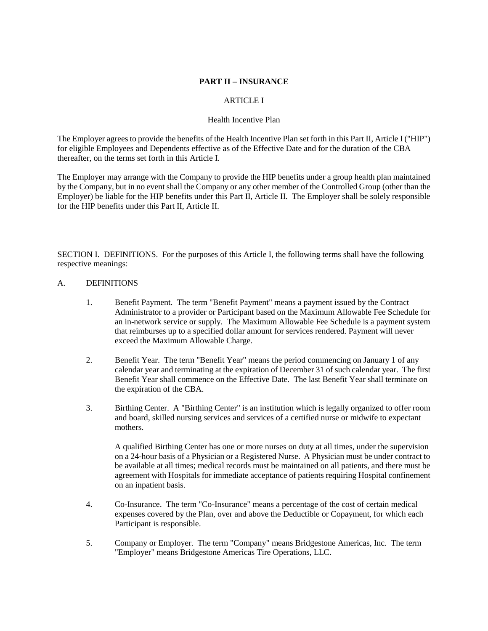## **PART II – INSURANCE**

## ARTICLE I

#### Health Incentive Plan

The Employer agrees to provide the benefits of the Health Incentive Plan set forth in this Part II, Article I ("HIP") for eligible Employees and Dependents effective as of the Effective Date and for the duration of the CBA thereafter, on the terms set forth in this Article I.

The Employer may arrange with the Company to provide the HIP benefits under a group health plan maintained by the Company, but in no event shall the Company or any other member of the Controlled Group (other than the Employer) be liable for the HIP benefits under this Part II, Article II. The Employer shall be solely responsible for the HIP benefits under this Part II, Article II.

SECTION I. DEFINITIONS. For the purposes of this Article I, the following terms shall have the following respective meanings:

### A. DEFINITIONS

- 1. Benefit Payment. The term "Benefit Payment" means a payment issued by the Contract Administrator to a provider or Participant based on the Maximum Allowable Fee Schedule for an in-network service or supply. The Maximum Allowable Fee Schedule is a payment system that reimburses up to a specified dollar amount for services rendered. Payment will never exceed the Maximum Allowable Charge.
- 2. Benefit Year. The term "Benefit Year" means the period commencing on January 1 of any calendar year and terminating at the expiration of December 31 of such calendar year. The first Benefit Year shall commence on the Effective Date. The last Benefit Year shall terminate on the expiration of the CBA.
- 3. Birthing Center. A "Birthing Center" is an institution which is legally organized to offer room and board, skilled nursing services and services of a certified nurse or midwife to expectant mothers.

A qualified Birthing Center has one or more nurses on duty at all times, under the supervision on a 24-hour basis of a Physician or a Registered Nurse. A Physician must be under contract to be available at all times; medical records must be maintained on all patients, and there must be agreement with Hospitals for immediate acceptance of patients requiring Hospital confinement on an inpatient basis.

- 4. Co-Insurance. The term "Co-Insurance" means a percentage of the cost of certain medical expenses covered by the Plan, over and above the Deductible or Copayment, for which each Participant is responsible.
- 5. Company or Employer. The term "Company" means Bridgestone Americas, Inc. The term "Employer" means Bridgestone Americas Tire Operations, LLC.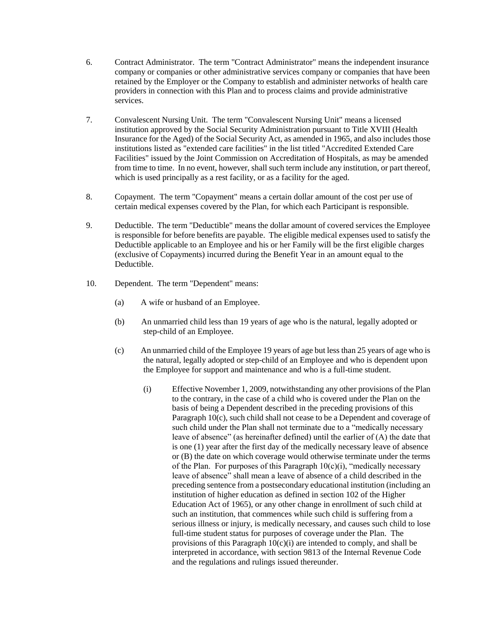- 6. Contract Administrator. The term "Contract Administrator" means the independent insurance company or companies or other administrative services company or companies that have been retained by the Employer or the Company to establish and administer networks of health care providers in connection with this Plan and to process claims and provide administrative services.
- 7. Convalescent Nursing Unit. The term "Convalescent Nursing Unit" means a licensed institution approved by the Social Security Administration pursuant to Title XVIII (Health Insurance for the Aged) of the Social Security Act, as amended in 1965, and also includes those institutions listed as "extended care facilities" in the list titled "Accredited Extended Care Facilities" issued by the Joint Commission on Accreditation of Hospitals, as may be amended from time to time. In no event, however, shall such term include any institution, or part thereof, which is used principally as a rest facility, or as a facility for the aged.
- 8. Copayment. The term "Copayment" means a certain dollar amount of the cost per use of certain medical expenses covered by the Plan, for which each Participant is responsible.
- 9. Deductible. The term "Deductible" means the dollar amount of covered services the Employee is responsible for before benefits are payable. The eligible medical expenses used to satisfy the Deductible applicable to an Employee and his or her Family will be the first eligible charges (exclusive of Copayments) incurred during the Benefit Year in an amount equal to the Deductible.
- 10. Dependent. The term "Dependent" means:
	- (a) A wife or husband of an Employee.
	- (b) An unmarried child less than 19 years of age who is the natural, legally adopted or step-child of an Employee.
	- (c) An unmarried child of the Employee 19 years of age but less than 25 years of age who is the natural, legally adopted or step-child of an Employee and who is dependent upon the Employee for support and maintenance and who is a full-time student.
		- (i) Effective November 1, 2009, notwithstanding any other provisions of the Plan to the contrary, in the case of a child who is covered under the Plan on the basis of being a Dependent described in the preceding provisions of this Paragraph 10(c), such child shall not cease to be a Dependent and coverage of such child under the Plan shall not terminate due to a "medically necessary leave of absence" (as hereinafter defined) until the earlier of (A) the date that is one (1) year after the first day of the medically necessary leave of absence or (B) the date on which coverage would otherwise terminate under the terms of the Plan. For purposes of this Paragraph  $10(c)(i)$ , "medically necessary leave of absence" shall mean a leave of absence of a child described in the preceding sentence from a postsecondary educational institution (including an institution of higher education as defined in section 102 of the Higher Education Act of 1965), or any other change in enrollment of such child at such an institution, that commences while such child is suffering from a serious illness or injury, is medically necessary, and causes such child to lose full-time student status for purposes of coverage under the Plan. The provisions of this Paragraph  $10(c)(i)$  are intended to comply, and shall be interpreted in accordance, with section 9813 of the Internal Revenue Code and the regulations and rulings issued thereunder.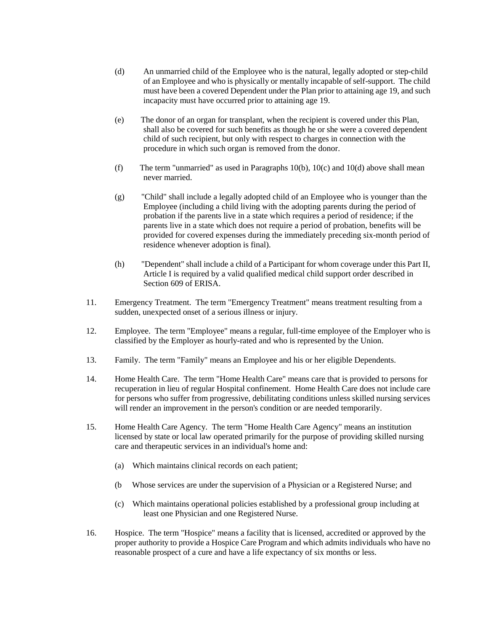- (d) An unmarried child of the Employee who is the natural, legally adopted or step-child of an Employee and who is physically or mentally incapable of self-support. The child must have been a covered Dependent under the Plan prior to attaining age 19, and such incapacity must have occurred prior to attaining age 19.
- (e) The donor of an organ for transplant, when the recipient is covered under this Plan, shall also be covered for such benefits as though he or she were a covered dependent child of such recipient, but only with respect to charges in connection with the procedure in which such organ is removed from the donor.
- (f) The term "unmarried" as used in Paragraphs  $10(b)$ ,  $10(c)$  and  $10(d)$  above shall mean never married.
- (g) "Child" shall include a legally adopted child of an Employee who is younger than the Employee (including a child living with the adopting parents during the period of probation if the parents live in a state which requires a period of residence; if the parents live in a state which does not require a period of probation, benefits will be provided for covered expenses during the immediately preceding six-month period of residence whenever adoption is final).
- (h) "Dependent" shall include a child of a Participant for whom coverage under this Part II, Article I is required by a valid qualified medical child support order described in Section 609 of ERISA.
- 11. Emergency Treatment. The term "Emergency Treatment" means treatment resulting from a sudden, unexpected onset of a serious illness or injury.
- 12. Employee. The term "Employee" means a regular, full-time employee of the Employer who is classified by the Employer as hourly-rated and who is represented by the Union.
- 13. Family. The term "Family" means an Employee and his or her eligible Dependents.
- 14. Home Health Care. The term "Home Health Care" means care that is provided to persons for recuperation in lieu of regular Hospital confinement. Home Health Care does not include care for persons who suffer from progressive, debilitating conditions unless skilled nursing services will render an improvement in the person's condition or are needed temporarily.
- 15. Home Health Care Agency. The term "Home Health Care Agency" means an institution licensed by state or local law operated primarily for the purpose of providing skilled nursing care and therapeutic services in an individual's home and:
	- (a) Which maintains clinical records on each patient;
	- (b Whose services are under the supervision of a Physician or a Registered Nurse; and
	- (c) Which maintains operational policies established by a professional group including at least one Physician and one Registered Nurse.
- 16. Hospice. The term "Hospice" means a facility that is licensed, accredited or approved by the proper authority to provide a Hospice Care Program and which admits individuals who have no reasonable prospect of a cure and have a life expectancy of six months or less.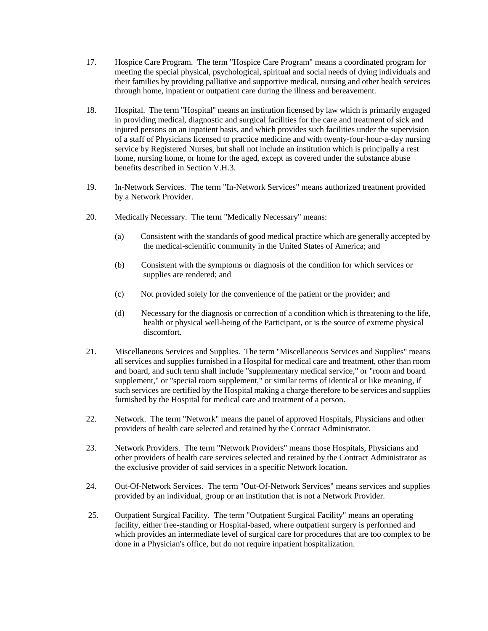- 17. Hospice Care Program. The term "Hospice Care Program" means a coordinated program for meeting the special physical, psychological, spiritual and social needs of dying individuals and their families by providing palliative and supportive medical, nursing and other health services through home, inpatient or outpatient care during the illness and bereavement.
- 18. Hospital. The term "Hospital" means an institution licensed by law which is primarily engaged in providing medical, diagnostic and surgical facilities for the care and treatment of sick and injured persons on an inpatient basis, and which provides such facilities under the supervision of a staff of Physicians licensed to practice medicine and with twenty-four-hour-a-day nursing service by Registered Nurses, but shall not include an institution which is principally a rest home, nursing home, or home for the aged, except as covered under the substance abuse benefits described in Section V.H.3.
- 19. In-Network Services. The term "In-Network Services" means authorized treatment provided by a Network Provider.
- 20. Medically Necessary. The term "Medically Necessary" means:
	- (a) Consistent with the standards of good medical practice which are generally accepted by the medical-scientific community in the United States of America; and
	- (b) Consistent with the symptoms or diagnosis of the condition for which services or supplies are rendered; and
	- (c) Not provided solely for the convenience of the patient or the provider; and
	- (d) Necessary for the diagnosis or correction of a condition which is threatening to the life, health or physical well-being of the Participant, or is the source of extreme physical discomfort.
- 21. Miscellaneous Services and Supplies. The term "Miscellaneous Services and Supplies" means all services and supplies furnished in a Hospital for medical care and treatment, other than room and board, and such term shall include "supplementary medical service," or "room and board supplement," or "special room supplement," or similar terms of identical or like meaning, if such services are certified by the Hospital making a charge therefore to be services and supplies furnished by the Hospital for medical care and treatment of a person.
- 22. Network. The term "Network" means the panel of approved Hospitals, Physicians and other providers of health care selected and retained by the Contract Administrator.
- 23. Network Providers. The term "Network Providers" means those Hospitals, Physicians and other providers of health care services selected and retained by the Contract Administrator as the exclusive provider of said services in a specific Network location.
- 24. Out-Of-Network Services. The term "Out-Of-Network Services" means services and supplies provided by an individual, group or an institution that is not a Network Provider.
- 25. Outpatient Surgical Facility. The term "Outpatient Surgical Facility" means an operating facility, either free-standing or Hospital-based, where outpatient surgery is performed and which provides an intermediate level of surgical care for procedures that are too complex to be done in a Physician's office, but do not require inpatient hospitalization.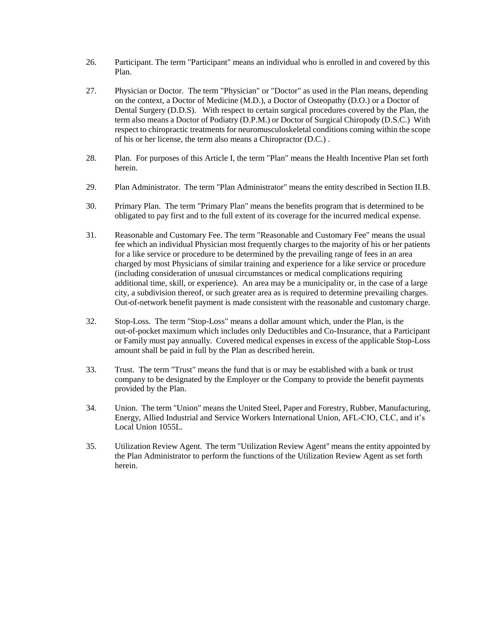- 26. Participant. The term "Participant" means an individual who is enrolled in and covered by this Plan.
- 27. Physician or Doctor. The term "Physician" or "Doctor" as used in the Plan means, depending on the context, a Doctor of Medicine (M.D.), a Doctor of Osteopathy (D.O.) or a Doctor of Dental Surgery (D.D.S). With respect to certain surgical procedures covered by the Plan, the term also means a Doctor of Podiatry (D.P.M.) or Doctor of Surgical Chiropody (D.S.C.) With respect to chiropractic treatments for neuromusculoskeletal conditions coming within the scope of his or her license, the term also means a Chiropractor (D.C.) .
- 28. Plan. For purposes of this Article I, the term "Plan" means the Health Incentive Plan set forth herein.
- 29. Plan Administrator. The term "Plan Administrator" means the entity described in Section II.B.
- 30. Primary Plan. The term "Primary Plan" means the benefits program that is determined to be obligated to pay first and to the full extent of its coverage for the incurred medical expense.
- 31. Reasonable and Customary Fee. The term "Reasonable and Customary Fee" means the usual fee which an individual Physician most frequently charges to the majority of his or her patients for a like service or procedure to be determined by the prevailing range of fees in an area charged by most Physicians of similar training and experience for a like service or procedure (including consideration of unusual circumstances or medical complications requiring additional time, skill, or experience). An area may be a municipality or, in the case of a large city, a subdivision thereof, or such greater area as is required to determine prevailing charges. Out-of-network benefit payment is made consistent with the reasonable and customary charge.
- 32. Stop-Loss. The term "Stop-Loss" means a dollar amount which, under the Plan, is the out-of-pocket maximum which includes only Deductibles and Co-Insurance, that a Participant or Family must pay annually. Covered medical expenses in excess of the applicable Stop-Loss amount shall be paid in full by the Plan as described herein.
- 33. Trust. The term "Trust" means the fund that is or may be established with a bank or trust company to be designated by the Employer or the Company to provide the benefit payments provided by the Plan.
- 34. Union. The term "Union" means the United Steel, Paper and Forestry, Rubber, Manufacturing, Energy, Allied Industrial and Service Workers International Union, AFL-CIO, CLC, and it's Local Union 1055L.
- 35. Utilization Review Agent. The term "Utilization Review Agent" means the entity appointed by the Plan Administrator to perform the functions of the Utilization Review Agent as set forth herein.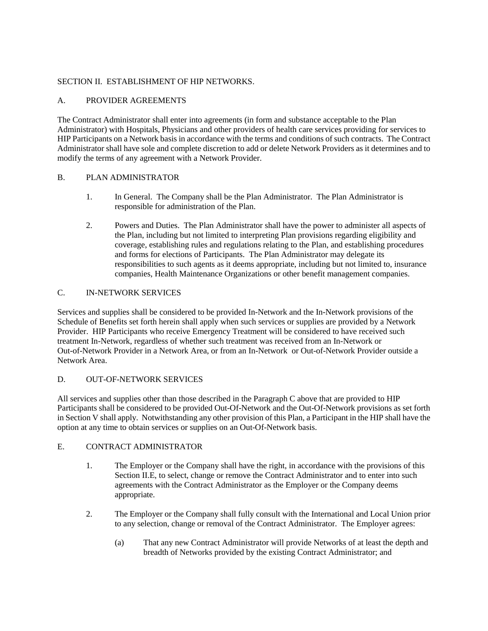## SECTION II. ESTABLISHMENT OF HIP NETWORKS.

## A. PROVIDER AGREEMENTS

The Contract Administrator shall enter into agreements (in form and substance acceptable to the Plan Administrator) with Hospitals, Physicians and other providers of health care services providing for services to HIP Participants on a Network basis in accordance with the terms and conditions of such contracts. The Contract Administrator shall have sole and complete discretion to add or delete Network Providers as it determines and to modify the terms of any agreement with a Network Provider.

## B. PLAN ADMINISTRATOR

- 1. In General. The Company shall be the Plan Administrator. The Plan Administrator is responsible for administration of the Plan.
- 2. Powers and Duties. The Plan Administrator shall have the power to administer all aspects of the Plan, including but not limited to interpreting Plan provisions regarding eligibility and coverage, establishing rules and regulations relating to the Plan, and establishing procedures and forms for elections of Participants. The Plan Administrator may delegate its responsibilities to such agents as it deems appropriate, including but not limited to, insurance companies, Health Maintenance Organizations or other benefit management companies.

## C. IN-NETWORK SERVICES

Services and supplies shall be considered to be provided In-Network and the In-Network provisions of the Schedule of Benefits set forth herein shall apply when such services or supplies are provided by a Network Provider. HIP Participants who receive Emergency Treatment will be considered to have received such treatment In-Network, regardless of whether such treatment was received from an In-Network or Out-of-Network Provider in a Network Area, or from an In-Network or Out-of-Network Provider outside a Network Area.

### D. OUT-OF-NETWORK SERVICES

All services and supplies other than those described in the Paragraph C above that are provided to HIP Participants shall be considered to be provided Out-Of-Network and the Out-Of-Network provisions as set forth in Section V shall apply. Notwithstanding any other provision of this Plan, a Participant in the HIP shall have the option at any time to obtain services or supplies on an Out-Of-Network basis.

## E. CONTRACT ADMINISTRATOR

- 1. The Employer or the Company shall have the right, in accordance with the provisions of this Section II.E, to select, change or remove the Contract Administrator and to enter into such agreements with the Contract Administrator as the Employer or the Company deems appropriate.
- 2. The Employer or the Company shall fully consult with the International and Local Union prior to any selection, change or removal of the Contract Administrator. The Employer agrees:
	- (a) That any new Contract Administrator will provide Networks of at least the depth and breadth of Networks provided by the existing Contract Administrator; and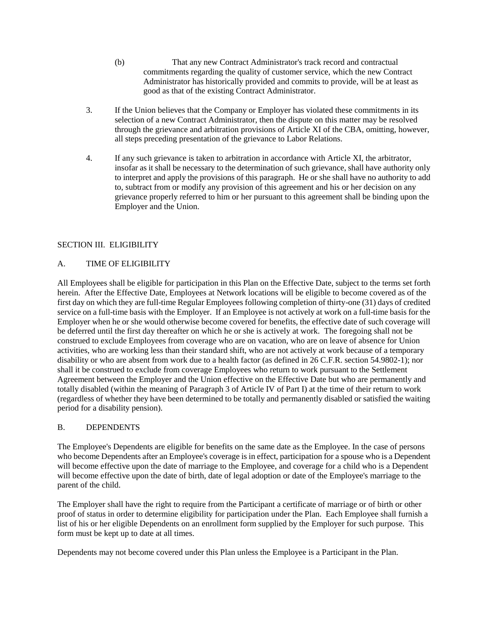- (b) That any new Contract Administrator's track record and contractual commitments regarding the quality of customer service, which the new Contract Administrator has historically provided and commits to provide, will be at least as good as that of the existing Contract Administrator.
- 3. If the Union believes that the Company or Employer has violated these commitments in its selection of a new Contract Administrator, then the dispute on this matter may be resolved through the grievance and arbitration provisions of Article XI of the CBA, omitting, however, all steps preceding presentation of the grievance to Labor Relations.
- 4. If any such grievance is taken to arbitration in accordance with Article XI, the arbitrator, insofar as it shall be necessary to the determination of such grievance, shall have authority only to interpret and apply the provisions of this paragraph. He or she shall have no authority to add to, subtract from or modify any provision of this agreement and his or her decision on any grievance properly referred to him or her pursuant to this agreement shall be binding upon the Employer and the Union.

## SECTION III. ELIGIBILITY

## A. TIME OF ELIGIBILITY

All Employees shall be eligible for participation in this Plan on the Effective Date, subject to the terms set forth herein. After the Effective Date, Employees at Network locations will be eligible to become covered as of the first day on which they are full-time Regular Employees following completion of thirty-one (31) days of credited service on a full-time basis with the Employer. If an Employee is not actively at work on a full-time basis for the Employer when he or she would otherwise become covered for benefits, the effective date of such coverage will be deferred until the first day thereafter on which he or she is actively at work. The foregoing shall not be construed to exclude Employees from coverage who are on vacation, who are on leave of absence for Union activities, who are working less than their standard shift, who are not actively at work because of a temporary disability or who are absent from work due to a health factor (as defined in 26 C.F.R. section 54.9802-1); nor shall it be construed to exclude from coverage Employees who return to work pursuant to the Settlement Agreement between the Employer and the Union effective on the Effective Date but who are permanently and totally disabled (within the meaning of Paragraph 3 of Article IV of Part I) at the time of their return to work (regardless of whether they have been determined to be totally and permanently disabled or satisfied the waiting period for a disability pension).

## B. DEPENDENTS

The Employee's Dependents are eligible for benefits on the same date as the Employee. In the case of persons who become Dependents after an Employee's coverage is in effect, participation for a spouse who is a Dependent will become effective upon the date of marriage to the Employee, and coverage for a child who is a Dependent will become effective upon the date of birth, date of legal adoption or date of the Employee's marriage to the parent of the child.

The Employer shall have the right to require from the Participant a certificate of marriage or of birth or other proof of status in order to determine eligibility for participation under the Plan. Each Employee shall furnish a list of his or her eligible Dependents on an enrollment form supplied by the Employer for such purpose. This form must be kept up to date at all times.

Dependents may not become covered under this Plan unless the Employee is a Participant in the Plan.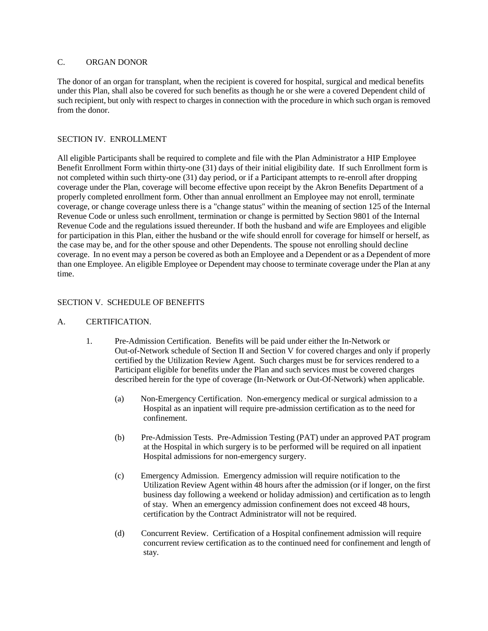## C. ORGAN DONOR

The donor of an organ for transplant, when the recipient is covered for hospital, surgical and medical benefits under this Plan, shall also be covered for such benefits as though he or she were a covered Dependent child of such recipient, but only with respect to charges in connection with the procedure in which such organ is removed from the donor.

### SECTION IV. ENROLLMENT

All eligible Participants shall be required to complete and file with the Plan Administrator a HIP Employee Benefit Enrollment Form within thirty-one (31) days of their initial eligibility date. If such Enrollment form is not completed within such thirty-one (31) day period, or if a Participant attempts to re-enroll after dropping coverage under the Plan, coverage will become effective upon receipt by the Akron Benefits Department of a properly completed enrollment form. Other than annual enrollment an Employee may not enroll, terminate coverage, or change coverage unless there is a "change status" within the meaning of section 125 of the Internal Revenue Code or unless such enrollment, termination or change is permitted by Section 9801 of the Internal Revenue Code and the regulations issued thereunder. If both the husband and wife are Employees and eligible for participation in this Plan, either the husband or the wife should enroll for coverage for himself or herself, as the case may be, and for the other spouse and other Dependents. The spouse not enrolling should decline coverage. In no event may a person be covered as both an Employee and a Dependent or as a Dependent of more than one Employee. An eligible Employee or Dependent may choose to terminate coverage under the Plan at any time.

## SECTION V. SCHEDULE OF BENEFITS

### A. CERTIFICATION.

- 1. Pre-Admission Certification. Benefits will be paid under either the In-Network or Out-of-Network schedule of Section II and Section V for covered charges and only if properly certified by the Utilization Review Agent. Such charges must be for services rendered to a Participant eligible for benefits under the Plan and such services must be covered charges described herein for the type of coverage (In-Network or Out-Of-Network) when applicable.
	- (a) Non-Emergency Certification. Non-emergency medical or surgical admission to a Hospital as an inpatient will require pre-admission certification as to the need for confinement.
	- (b) Pre-Admission Tests. Pre-Admission Testing (PAT) under an approved PAT program at the Hospital in which surgery is to be performed will be required on all inpatient Hospital admissions for non-emergency surgery.
	- (c) Emergency Admission. Emergency admission will require notification to the Utilization Review Agent within 48 hours after the admission (or if longer, on the first business day following a weekend or holiday admission) and certification as to length of stay. When an emergency admission confinement does not exceed 48 hours, certification by the Contract Administrator will not be required.
	- (d) Concurrent Review. Certification of a Hospital confinement admission will require concurrent review certification as to the continued need for confinement and length of stay.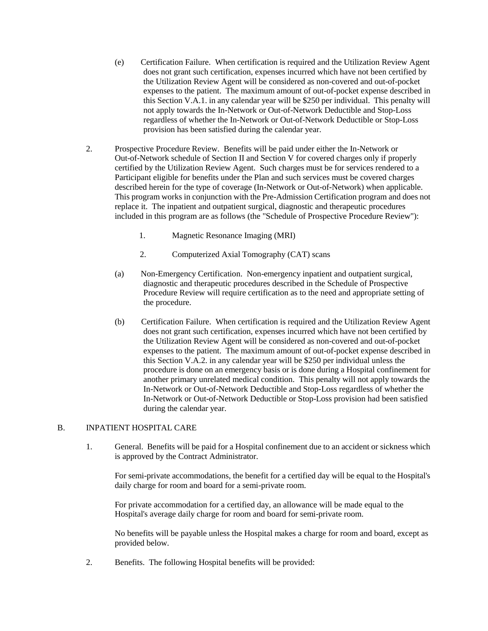- (e) Certification Failure. When certification is required and the Utilization Review Agent does not grant such certification, expenses incurred which have not been certified by the Utilization Review Agent will be considered as non-covered and out-of-pocket expenses to the patient. The maximum amount of out-of-pocket expense described in this Section V.A.1. in any calendar year will be \$250 per individual. This penalty will not apply towards the In-Network or Out-of-Network Deductible and Stop-Loss regardless of whether the In-Network or Out-of-Network Deductible or Stop-Loss provision has been satisfied during the calendar year.
- 2. Prospective Procedure Review. Benefits will be paid under either the In-Network or Out-of-Network schedule of Section II and Section V for covered charges only if properly certified by the Utilization Review Agent. Such charges must be for services rendered to a Participant eligible for benefits under the Plan and such services must be covered charges described herein for the type of coverage (In-Network or Out-of-Network) when applicable. This program works in conjunction with the Pre-Admission Certification program and does not replace it. The inpatient and outpatient surgical, diagnostic and therapeutic procedures included in this program are as follows (the "Schedule of Prospective Procedure Review"):
	- 1. Magnetic Resonance Imaging (MRI)
	- 2. Computerized Axial Tomography (CAT) scans
	- (a) Non-Emergency Certification. Non-emergency inpatient and outpatient surgical, diagnostic and therapeutic procedures described in the Schedule of Prospective Procedure Review will require certification as to the need and appropriate setting of the procedure.
	- (b) Certification Failure. When certification is required and the Utilization Review Agent does not grant such certification, expenses incurred which have not been certified by the Utilization Review Agent will be considered as non-covered and out-of-pocket expenses to the patient. The maximum amount of out-of-pocket expense described in this Section V.A.2. in any calendar year will be \$250 per individual unless the procedure is done on an emergency basis or is done during a Hospital confinement for another primary unrelated medical condition. This penalty will not apply towards the In-Network or Out-of-Network Deductible and Stop-Loss regardless of whether the In-Network or Out-of-Network Deductible or Stop-Loss provision had been satisfied during the calendar year.

### B. INPATIENT HOSPITAL CARE

1. General. Benefits will be paid for a Hospital confinement due to an accident or sickness which is approved by the Contract Administrator.

For semi-private accommodations, the benefit for a certified day will be equal to the Hospital's daily charge for room and board for a semi-private room.

For private accommodation for a certified day, an allowance will be made equal to the Hospital's average daily charge for room and board for semi-private room.

No benefits will be payable unless the Hospital makes a charge for room and board, except as provided below.

2. Benefits. The following Hospital benefits will be provided: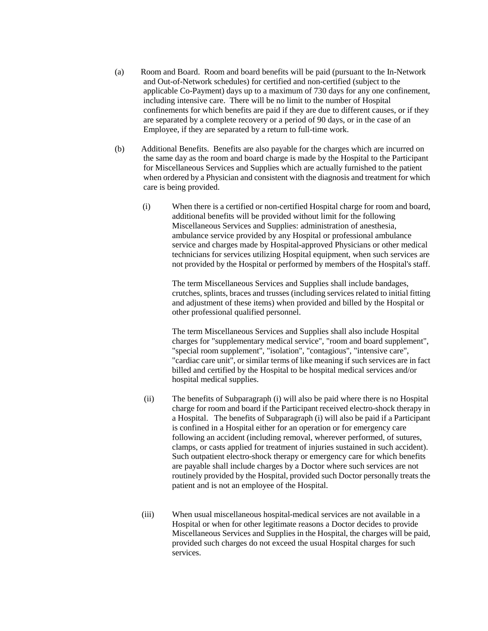- (a) Room and Board. Room and board benefits will be paid (pursuant to the In-Network and Out-of-Network schedules) for certified and non-certified (subject to the applicable Co-Payment) days up to a maximum of 730 days for any one confinement, including intensive care. There will be no limit to the number of Hospital confinements for which benefits are paid if they are due to different causes, or if they are separated by a complete recovery or a period of 90 days, or in the case of an Employee, if they are separated by a return to full-time work.
- (b) Additional Benefits. Benefits are also payable for the charges which are incurred on the same day as the room and board charge is made by the Hospital to the Participant for Miscellaneous Services and Supplies which are actually furnished to the patient when ordered by a Physician and consistent with the diagnosis and treatment for which care is being provided.
	- (i) When there is a certified or non-certified Hospital charge for room and board, additional benefits will be provided without limit for the following Miscellaneous Services and Supplies: administration of anesthesia, ambulance service provided by any Hospital or professional ambulance service and charges made by Hospital-approved Physicians or other medical technicians for services utilizing Hospital equipment, when such services are not provided by the Hospital or performed by members of the Hospital's staff.

The term Miscellaneous Services and Supplies shall include bandages, crutches, splints, braces and trusses (including services related to initial fitting and adjustment of these items) when provided and billed by the Hospital or other professional qualified personnel.

The term Miscellaneous Services and Supplies shall also include Hospital charges for "supplementary medical service", "room and board supplement", "special room supplement", "isolation", "contagious", "intensive care", "cardiac care unit", or similar terms of like meaning if such services are in fact billed and certified by the Hospital to be hospital medical services and/or hospital medical supplies.

- (ii) The benefits of Subparagraph (i) will also be paid where there is no Hospital charge for room and board if the Participant received electro-shock therapy in a Hospital. The benefits of Subparagraph (i) will also be paid if a Participant is confined in a Hospital either for an operation or for emergency care following an accident (including removal, wherever performed, of sutures, clamps, or casts applied for treatment of injuries sustained in such accident). Such outpatient electro-shock therapy or emergency care for which benefits are payable shall include charges by a Doctor where such services are not routinely provided by the Hospital, provided such Doctor personally treats the patient and is not an employee of the Hospital.
- (iii) When usual miscellaneous hospital-medical services are not available in a Hospital or when for other legitimate reasons a Doctor decides to provide Miscellaneous Services and Supplies in the Hospital, the charges will be paid, provided such charges do not exceed the usual Hospital charges for such services.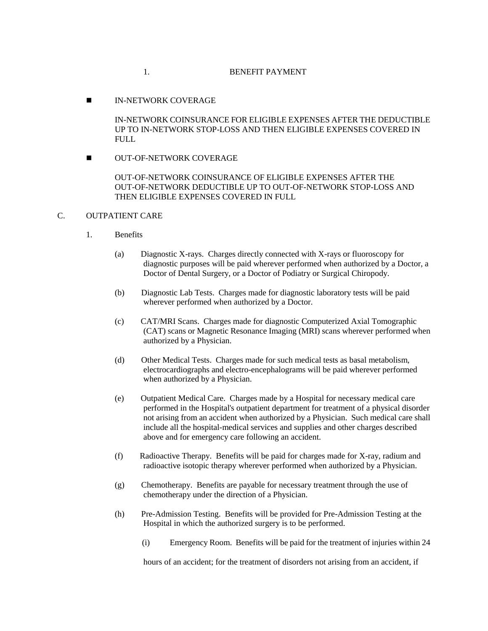IN-NETWORK COVERAGE

IN-NETWORK COINSURANCE FOR ELIGIBLE EXPENSES AFTER THE DEDUCTIBLE UP TO IN-NETWORK STOP-LOSS AND THEN ELIGIBLE EXPENSES COVERED IN FULL.

**NUT-OF-NETWORK COVERAGE** 

OUT-OF-NETWORK COINSURANCE OF ELIGIBLE EXPENSES AFTER THE OUT-OF-NETWORK DEDUCTIBLE UP TO OUT-OF-NETWORK STOP-LOSS AND THEN ELIGIBLE EXPENSES COVERED IN FULL

## C. OUTPATIENT CARE

- 1. Benefits
	- (a) Diagnostic X-rays. Charges directly connected with X-rays or fluoroscopy for diagnostic purposes will be paid wherever performed when authorized by a Doctor, a Doctor of Dental Surgery, or a Doctor of Podiatry or Surgical Chiropody.
	- (b) Diagnostic Lab Tests. Charges made for diagnostic laboratory tests will be paid wherever performed when authorized by a Doctor.
	- (c) CAT/MRI Scans. Charges made for diagnostic Computerized Axial Tomographic (CAT) scans or Magnetic Resonance Imaging (MRI) scans wherever performed when authorized by a Physician.
	- (d) Other Medical Tests. Charges made for such medical tests as basal metabolism, electrocardiographs and electro-encephalograms will be paid wherever performed when authorized by a Physician.
	- (e) Outpatient Medical Care. Charges made by a Hospital for necessary medical care performed in the Hospital's outpatient department for treatment of a physical disorder not arising from an accident when authorized by a Physician. Such medical care shall include all the hospital-medical services and supplies and other charges described above and for emergency care following an accident.
	- (f) Radioactive Therapy. Benefits will be paid for charges made for X-ray, radium and radioactive isotopic therapy wherever performed when authorized by a Physician.
	- (g) Chemotherapy. Benefits are payable for necessary treatment through the use of chemotherapy under the direction of a Physician.
	- (h) Pre-Admission Testing. Benefits will be provided for Pre-Admission Testing at the Hospital in which the authorized surgery is to be performed.
		- (i) Emergency Room. Benefits will be paid for the treatment of injuries within 24

hours of an accident; for the treatment of disorders not arising from an accident, if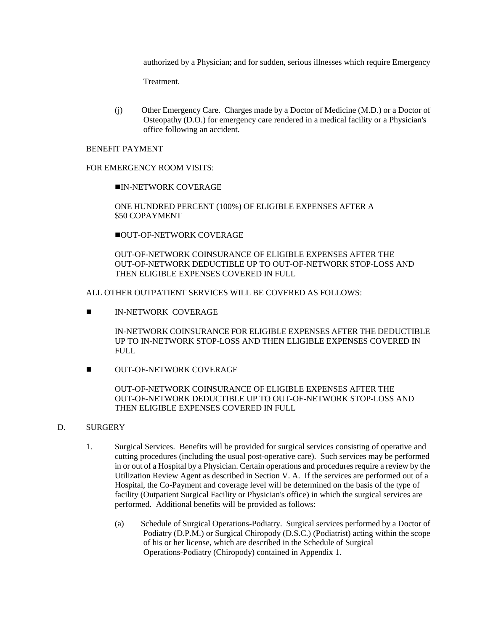authorized by a Physician; and for sudden, serious illnesses which require Emergency

Treatment.

(j) Other Emergency Care. Charges made by a Doctor of Medicine (M.D.) or a Doctor of Osteopathy (D.O.) for emergency care rendered in a medical facility or a Physician's office following an accident.

## BENEFIT PAYMENT

### FOR EMERGENCY ROOM VISITS:

IN-NETWORK COVERAGE

ONE HUNDRED PERCENT (100%) OF ELIGIBLE EXPENSES AFTER A \$50 COPAYMENT

**OUT-OF-NETWORK COVERAGE** 

OUT-OF-NETWORK COINSURANCE OF ELIGIBLE EXPENSES AFTER THE OUT-OF-NETWORK DEDUCTIBLE UP TO OUT-OF-NETWORK STOP-LOSS AND THEN ELIGIBLE EXPENSES COVERED IN FULL

ALL OTHER OUTPATIENT SERVICES WILL BE COVERED AS FOLLOWS:

**IN-NETWORK COVERAGE** 

IN-NETWORK COINSURANCE FOR ELIGIBLE EXPENSES AFTER THE DEDUCTIBLE UP TO IN-NETWORK STOP-LOSS AND THEN ELIGIBLE EXPENSES COVERED IN **FULL** 

**NUT-OF-NETWORK COVERAGE** 

OUT-OF-NETWORK COINSURANCE OF ELIGIBLE EXPENSES AFTER THE OUT-OF-NETWORK DEDUCTIBLE UP TO OUT-OF-NETWORK STOP-LOSS AND THEN ELIGIBLE EXPENSES COVERED IN FULL

### D. SURGERY

- 1. Surgical Services. Benefits will be provided for surgical services consisting of operative and cutting procedures (including the usual post-operative care). Such services may be performed in or out of a Hospital by a Physician. Certain operations and procedures require a review by the Utilization Review Agent as described in Section V. A. If the services are performed out of a Hospital, the Co-Payment and coverage level will be determined on the basis of the type of facility (Outpatient Surgical Facility or Physician's office) in which the surgical services are performed. Additional benefits will be provided as follows:
	- (a) Schedule of Surgical Operations-Podiatry. Surgical services performed by a Doctor of Podiatry (D.P.M.) or Surgical Chiropody (D.S.C.) (Podiatrist) acting within the scope of his or her license, which are described in the Schedule of Surgical Operations-Podiatry (Chiropody) contained in Appendix 1.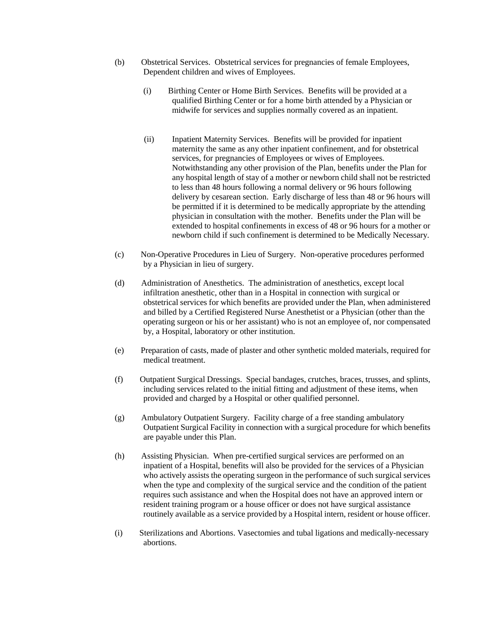- (b) Obstetrical Services. Obstetrical services for pregnancies of female Employees, Dependent children and wives of Employees.
	- (i) Birthing Center or Home Birth Services. Benefits will be provided at a qualified Birthing Center or for a home birth attended by a Physician or midwife for services and supplies normally covered as an inpatient.
	- (ii) Inpatient Maternity Services. Benefits will be provided for inpatient maternity the same as any other inpatient confinement, and for obstetrical services, for pregnancies of Employees or wives of Employees. Notwithstanding any other provision of the Plan, benefits under the Plan for any hospital length of stay of a mother or newborn child shall not be restricted to less than 48 hours following a normal delivery or 96 hours following delivery by cesarean section. Early discharge of less than 48 or 96 hours will be permitted if it is determined to be medically appropriate by the attending physician in consultation with the mother. Benefits under the Plan will be extended to hospital confinements in excess of 48 or 96 hours for a mother or newborn child if such confinement is determined to be Medically Necessary.
- (c) Non-Operative Procedures in Lieu of Surgery. Non-operative procedures performed by a Physician in lieu of surgery.
- (d) Administration of Anesthetics. The administration of anesthetics, except local infiltration anesthetic, other than in a Hospital in connection with surgical or obstetrical services for which benefits are provided under the Plan, when administered and billed by a Certified Registered Nurse Anesthetist or a Physician (other than the operating surgeon or his or her assistant) who is not an employee of, nor compensated by, a Hospital, laboratory or other institution.
- (e) Preparation of casts, made of plaster and other synthetic molded materials, required for medical treatment.
- (f) Outpatient Surgical Dressings. Special bandages, crutches, braces, trusses, and splints, including services related to the initial fitting and adjustment of these items, when provided and charged by a Hospital or other qualified personnel.
- (g) Ambulatory Outpatient Surgery. Facility charge of a free standing ambulatory Outpatient Surgical Facility in connection with a surgical procedure for which benefits are payable under this Plan.
- (h) Assisting Physician. When pre-certified surgical services are performed on an inpatient of a Hospital, benefits will also be provided for the services of a Physician who actively assists the operating surgeon in the performance of such surgical services when the type and complexity of the surgical service and the condition of the patient requires such assistance and when the Hospital does not have an approved intern or resident training program or a house officer or does not have surgical assistance routinely available as a service provided by a Hospital intern, resident or house officer.
- (i) Sterilizations and Abortions. Vasectomies and tubal ligations and medically-necessary abortions.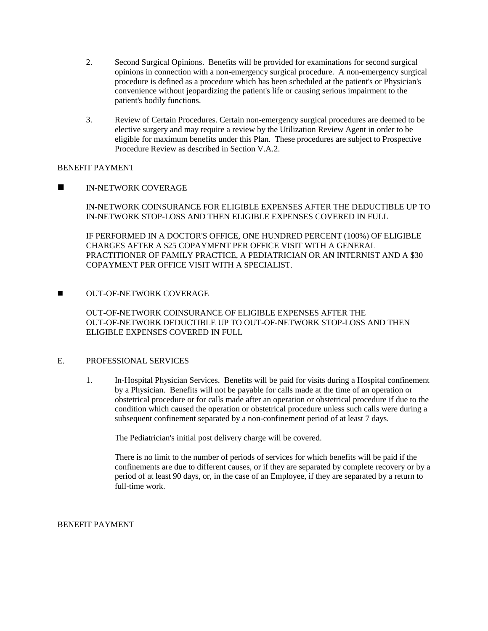- 2. Second Surgical Opinions. Benefits will be provided for examinations for second surgical opinions in connection with a non-emergency surgical procedure. A non-emergency surgical procedure is defined as a procedure which has been scheduled at the patient's or Physician's convenience without jeopardizing the patient's life or causing serious impairment to the patient's bodily functions.
- 3. Review of Certain Procedures. Certain non-emergency surgical procedures are deemed to be elective surgery and may require a review by the Utilization Review Agent in order to be eligible for maximum benefits under this Plan. These procedures are subject to Prospective Procedure Review as described in Section V.A.2.

## BENEFIT PAYMENT

**IN-NETWORK COVERAGE** 

IN-NETWORK COINSURANCE FOR ELIGIBLE EXPENSES AFTER THE DEDUCTIBLE UP TO IN-NETWORK STOP-LOSS AND THEN ELIGIBLE EXPENSES COVERED IN FULL

IF PERFORMED IN A DOCTOR'S OFFICE, ONE HUNDRED PERCENT (100%) OF ELIGIBLE CHARGES AFTER A \$25 COPAYMENT PER OFFICE VISIT WITH A GENERAL PRACTITIONER OF FAMILY PRACTICE, A PEDIATRICIAN OR AN INTERNIST AND A \$30 COPAYMENT PER OFFICE VISIT WITH A SPECIALIST.

**NUT-OF-NETWORK COVERAGE** 

OUT-OF-NETWORK COINSURANCE OF ELIGIBLE EXPENSES AFTER THE OUT-OF-NETWORK DEDUCTIBLE UP TO OUT-OF-NETWORK STOP-LOSS AND THEN ELIGIBLE EXPENSES COVERED IN FULL

### E. PROFESSIONAL SERVICES

1. In-Hospital Physician Services. Benefits will be paid for visits during a Hospital confinement by a Physician. Benefits will not be payable for calls made at the time of an operation or obstetrical procedure or for calls made after an operation or obstetrical procedure if due to the condition which caused the operation or obstetrical procedure unless such calls were during a subsequent confinement separated by a non-confinement period of at least 7 days.

The Pediatrician's initial post delivery charge will be covered.

There is no limit to the number of periods of services for which benefits will be paid if the confinements are due to different causes, or if they are separated by complete recovery or by a period of at least 90 days, or, in the case of an Employee, if they are separated by a return to full-time work.

BENEFIT PAYMENT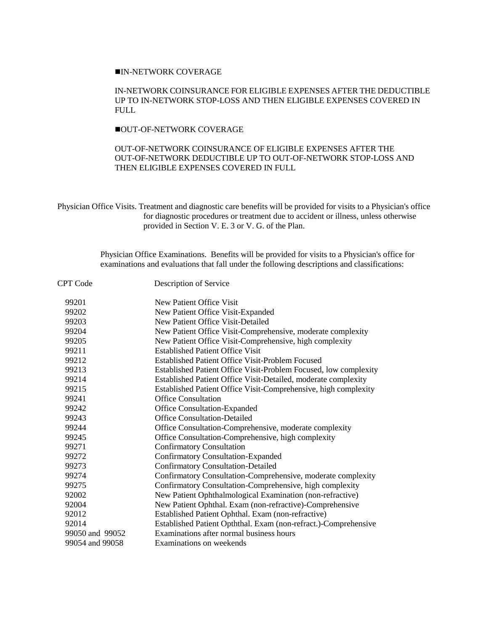## IN-NETWORK COVERAGE

### IN-NETWORK COINSURANCE FOR ELIGIBLE EXPENSES AFTER THE DEDUCTIBLE UP TO IN-NETWORK STOP-LOSS AND THEN ELIGIBLE EXPENSES COVERED IN FULL

## OUT-OF-NETWORK COVERAGE

## OUT-OF-NETWORK COINSURANCE OF ELIGIBLE EXPENSES AFTER THE OUT-OF-NETWORK DEDUCTIBLE UP TO OUT-OF-NETWORK STOP-LOSS AND THEN ELIGIBLE EXPENSES COVERED IN FULL

Physician Office Visits. Treatment and diagnostic care benefits will be provided for visits to a Physician's office for diagnostic procedures or treatment due to accident or illness, unless otherwise provided in Section V. E. 3 or V. G. of the Plan.

> Physician Office Examinations. Benefits will be provided for visits to a Physician's office for examinations and evaluations that fall under the following descriptions and classifications:

| <b>CPT</b> Code | Description of Service                                           |  |
|-----------------|------------------------------------------------------------------|--|
| 99201           | New Patient Office Visit                                         |  |
| 99202           | New Patient Office Visit-Expanded                                |  |
| 99203           | New Patient Office Visit-Detailed                                |  |
| 99204           | New Patient Office Visit-Comprehensive, moderate complexity      |  |
| 99205           | New Patient Office Visit-Comprehensive, high complexity          |  |
| 99211           | <b>Established Patient Office Visit</b>                          |  |
| 99212           | <b>Established Patient Office Visit-Problem Focused</b>          |  |
| 99213           | Established Patient Office Visit-Problem Focused, low complexity |  |
| 99214           | Established Patient Office Visit-Detailed, moderate complexity   |  |
| 99215           | Established Patient Office Visit-Comprehensive, high complexity  |  |
| 99241           | <b>Office Consultation</b>                                       |  |
| 99242           | Office Consultation-Expanded                                     |  |
| 99243           | <b>Office Consultation-Detailed</b>                              |  |
| 99244           | Office Consultation-Comprehensive, moderate complexity           |  |
| 99245           | Office Consultation-Comprehensive, high complexity               |  |
| 99271           | <b>Confirmatory Consultation</b>                                 |  |
| 99272           | <b>Confirmatory Consultation-Expanded</b>                        |  |
| 99273           | <b>Confirmatory Consultation-Detailed</b>                        |  |
| 99274           | Confirmatory Consultation-Comprehensive, moderate complexity     |  |
| 99275           | Confirmatory Consultation-Comprehensive, high complexity         |  |
| 92002           | New Patient Ophthalmological Examination (non-refractive)        |  |
| 92004           | New Patient Ophthal. Exam (non-refractive)-Comprehensive         |  |
| 92012           | Established Patient Ophthal. Exam (non-refractive)               |  |
| 92014           | Established Patient Opththal. Exam (non-refract.)-Comprehensive  |  |
| 99050 and 99052 | Examinations after normal business hours                         |  |
| 99054 and 99058 | Examinations on weekends                                         |  |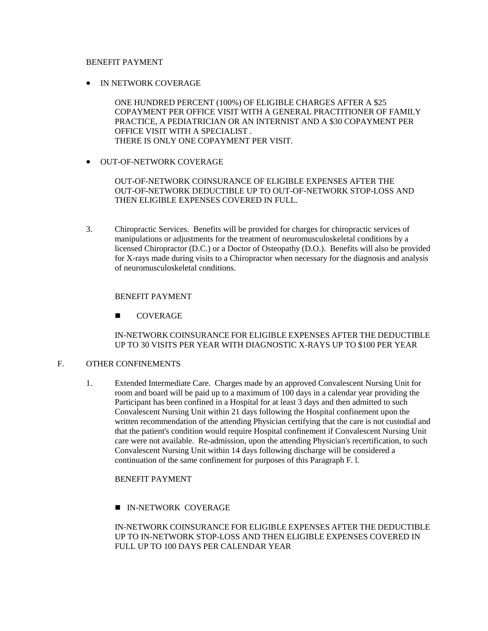## BENEFIT PAYMENT

• IN NETWORK COVERAGE

ONE HUNDRED PERCENT (100%) OF ELIGIBLE CHARGES AFTER A \$25 COPAYMENT PER OFFICE VISIT WITH A GENERAL PRACTITIONER OF FAMILY PRACTICE, A PEDIATRICIAN OR AN INTERNIST AND A \$30 COPAYMENT PER OFFICE VISIT WITH A SPECIALIST . THERE IS ONLY ONE COPAYMENT PER VISIT.

**• OUT-OF-NETWORK COVERAGE** 

OUT-OF-NETWORK COINSURANCE OF ELIGIBLE EXPENSES AFTER THE OUT-OF-NETWORK DEDUCTIBLE UP TO OUT-OF-NETWORK STOP-LOSS AND THEN ELIGIBLE EXPENSES COVERED IN FULL.

3. Chiropractic Services. Benefits will be provided for charges for chiropractic services of manipulations or adjustments for the treatment of neuromusculoskeletal conditions by a licensed Chiropractor (D.C.) or a Doctor of Osteopathy (D.O.). Benefits will also be provided for X-rays made during visits to a Chiropractor when necessary for the diagnosis and analysis of neuromusculoskeletal conditions.

## BENEFIT PAYMENT

**COVERAGE** 

IN-NETWORK COINSURANCE FOR ELIGIBLE EXPENSES AFTER THE DEDUCTIBLE UP TO 30 VISITS PER YEAR WITH DIAGNOSTIC X-RAYS UP TO \$100 PER YEAR

## F. OTHER CONFINEMENTS

1. Extended Intermediate Care. Charges made by an approved Convalescent Nursing Unit for room and board will be paid up to a maximum of 100 days in a calendar year providing the Participant has been confined in a Hospital for at least 3 days and then admitted to such Convalescent Nursing Unit within 21 days following the Hospital confinement upon the written recommendation of the attending Physician certifying that the care is not custodial and that the patient's condition would require Hospital confinement if Convalescent Nursing Unit care were not available. Re-admission, upon the attending Physician's recertification, to such Convalescent Nursing Unit within 14 days following discharge will be considered a continuation of the same confinement for purposes of this Paragraph F. l.

### BENEFIT PAYMENT

**IN-NETWORK COVERAGE** 

IN-NETWORK COINSURANCE FOR ELIGIBLE EXPENSES AFTER THE DEDUCTIBLE UP TO IN-NETWORK STOP-LOSS AND THEN ELIGIBLE EXPENSES COVERED IN FULL UP TO 100 DAYS PER CALENDAR YEAR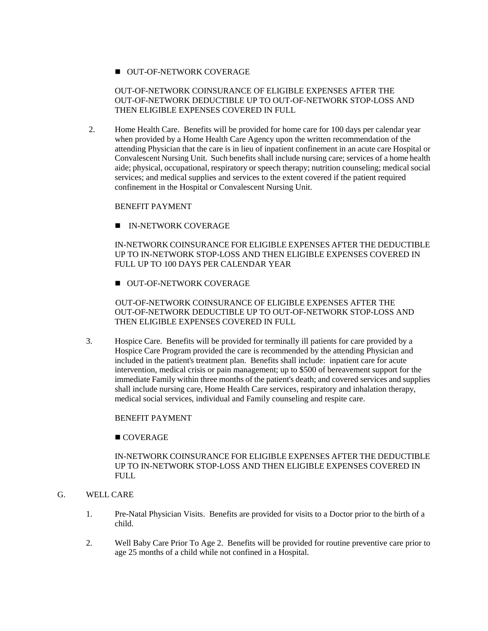## OUT-OF-NETWORK COVERAGE

## OUT-OF-NETWORK COINSURANCE OF ELIGIBLE EXPENSES AFTER THE OUT-OF-NETWORK DEDUCTIBLE UP TO OUT-OF-NETWORK STOP-LOSS AND THEN ELIGIBLE EXPENSES COVERED IN FULL

 2. Home Health Care. Benefits will be provided for home care for 100 days per calendar year when provided by a Home Health Care Agency upon the written recommendation of the attending Physician that the care is in lieu of inpatient confinement in an acute care Hospital or Convalescent Nursing Unit. Such benefits shall include nursing care; services of a home health aide; physical, occupational, respiratory or speech therapy; nutrition counseling; medical social services; and medical supplies and services to the extent covered if the patient required confinement in the Hospital or Convalescent Nursing Unit.

## BENEFIT PAYMENT

IN-NETWORK COVERAGE

IN-NETWORK COINSURANCE FOR ELIGIBLE EXPENSES AFTER THE DEDUCTIBLE UP TO IN-NETWORK STOP-LOSS AND THEN ELIGIBLE EXPENSES COVERED IN FULL UP TO 100 DAYS PER CALENDAR YEAR

**OUT-OF-NETWORK COVERAGE** 

 OUT-OF-NETWORK COINSURANCE OF ELIGIBLE EXPENSES AFTER THE OUT-OF-NETWORK DEDUCTIBLE UP TO OUT-OF-NETWORK STOP-LOSS AND THEN ELIGIBLE EXPENSES COVERED IN FULL

3. Hospice Care. Benefits will be provided for terminally ill patients for care provided by a Hospice Care Program provided the care is recommended by the attending Physician and included in the patient's treatment plan. Benefits shall include: inpatient care for acute intervention, medical crisis or pain management; up to \$500 of bereavement support for the immediate Family within three months of the patient's death; and covered services and supplies shall include nursing care, Home Health Care services, respiratory and inhalation therapy, medical social services, individual and Family counseling and respite care.

## BENEFIT PAYMENT

### **COVERAGE**

### IN-NETWORK COINSURANCE FOR ELIGIBLE EXPENSES AFTER THE DEDUCTIBLE UP TO IN-NETWORK STOP-LOSS AND THEN ELIGIBLE EXPENSES COVERED IN FULL

# G. WELL CARE

- 1. Pre-Natal Physician Visits. Benefits are provided for visits to a Doctor prior to the birth of a child.
- 2. Well Baby Care Prior To Age 2. Benefits will be provided for routine preventive care prior to age 25 months of a child while not confined in a Hospital.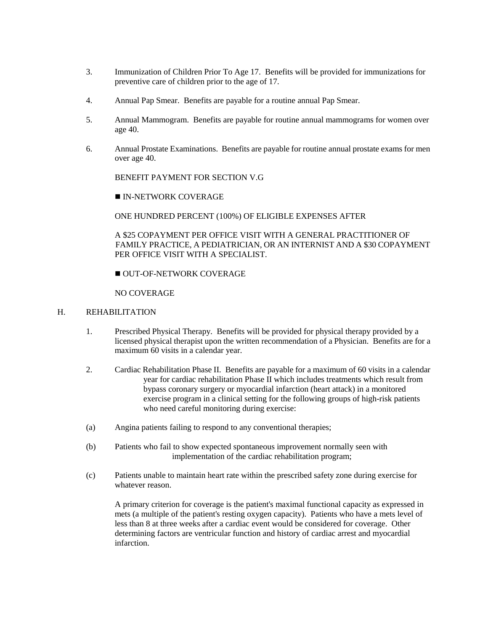- 3. Immunization of Children Prior To Age 17. Benefits will be provided for immunizations for preventive care of children prior to the age of 17.
- 4. Annual Pap Smear. Benefits are payable for a routine annual Pap Smear.
- 5. Annual Mammogram. Benefits are payable for routine annual mammograms for women over age 40.
- 6. Annual Prostate Examinations. Benefits are payable for routine annual prostate exams for men over age 40.

BENEFIT PAYMENT FOR SECTION V.G

**IN-NETWORK COVERAGE** 

ONE HUNDRED PERCENT (100%) OF ELIGIBLE EXPENSES AFTER

A \$25 COPAYMENT PER OFFICE VISIT WITH A GENERAL PRACTITIONER OF FAMILY PRACTICE, A PEDIATRICIAN, OR AN INTERNIST AND A \$30 COPAYMENT PER OFFICE VISIT WITH A SPECIALIST.

OUT-OF-NETWORK COVERAGE

NO COVERAGE

## H. REHABILITATION

- 1. Prescribed Physical Therapy. Benefits will be provided for physical therapy provided by a licensed physical therapist upon the written recommendation of a Physician. Benefits are for a maximum 60 visits in a calendar year.
- 2. Cardiac Rehabilitation Phase II. Benefits are payable for a maximum of 60 visits in a calendar year for cardiac rehabilitation Phase II which includes treatments which result from bypass coronary surgery or myocardial infarction (heart attack) in a monitored exercise program in a clinical setting for the following groups of high-risk patients who need careful monitoring during exercise:
- (a) Angina patients failing to respond to any conventional therapies;
- (b) Patients who fail to show expected spontaneous improvement normally seen with implementation of the cardiac rehabilitation program;
- (c) Patients unable to maintain heart rate within the prescribed safety zone during exercise for whatever reason.

A primary criterion for coverage is the patient's maximal functional capacity as expressed in mets (a multiple of the patient's resting oxygen capacity). Patients who have a mets level of less than 8 at three weeks after a cardiac event would be considered for coverage. Other determining factors are ventricular function and history of cardiac arrest and myocardial infarction.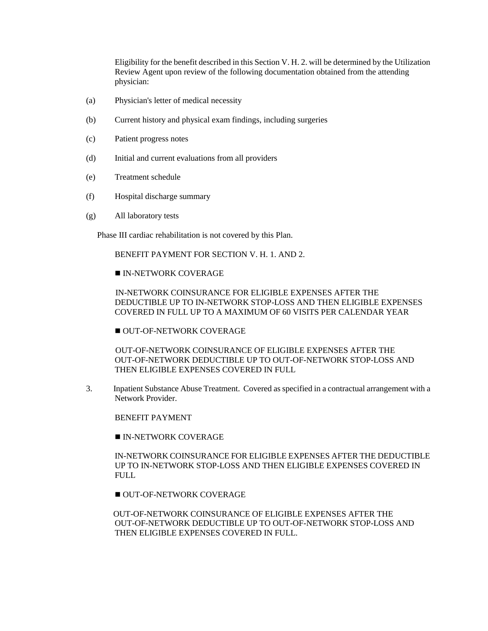Eligibility for the benefit described in this Section V. H. 2. will be determined by the Utilization Review Agent upon review of the following documentation obtained from the attending physician:

- (a) Physician's letter of medical necessity
- (b) Current history and physical exam findings, including surgeries
- (c) Patient progress notes
- (d) Initial and current evaluations from all providers
- (e) Treatment schedule
- (f) Hospital discharge summary
- (g) All laboratory tests

Phase III cardiac rehabilitation is not covered by this Plan.

BENEFIT PAYMENT FOR SECTION V. H. 1. AND 2.

## **IN-NETWORK COVERAGE**

 IN-NETWORK COINSURANCE FOR ELIGIBLE EXPENSES AFTER THE DEDUCTIBLE UP TO IN-NETWORK STOP-LOSS AND THEN ELIGIBLE EXPENSES COVERED IN FULL UP TO A MAXIMUM OF 60 VISITS PER CALENDAR YEAR

OUT-OF-NETWORK COVERAGE

 OUT-OF-NETWORK COINSURANCE OF ELIGIBLE EXPENSES AFTER THE OUT-OF-NETWORK DEDUCTIBLE UP TO OUT-OF-NETWORK STOP-LOSS AND THEN ELIGIBLE EXPENSES COVERED IN FULL

3. Inpatient Substance Abuse Treatment. Covered as specified in a contractual arrangement with a Network Provider.

BENEFIT PAYMENT

**IN-NETWORK COVERAGE** 

IN-NETWORK COINSURANCE FOR ELIGIBLE EXPENSES AFTER THE DEDUCTIBLE UP TO IN-NETWORK STOP-LOSS AND THEN ELIGIBLE EXPENSES COVERED IN FULL.

OUT-OF-NETWORK COVERAGE

 OUT-OF-NETWORK COINSURANCE OF ELIGIBLE EXPENSES AFTER THE OUT-OF-NETWORK DEDUCTIBLE UP TO OUT-OF-NETWORK STOP-LOSS AND THEN ELIGIBLE EXPENSES COVERED IN FULL.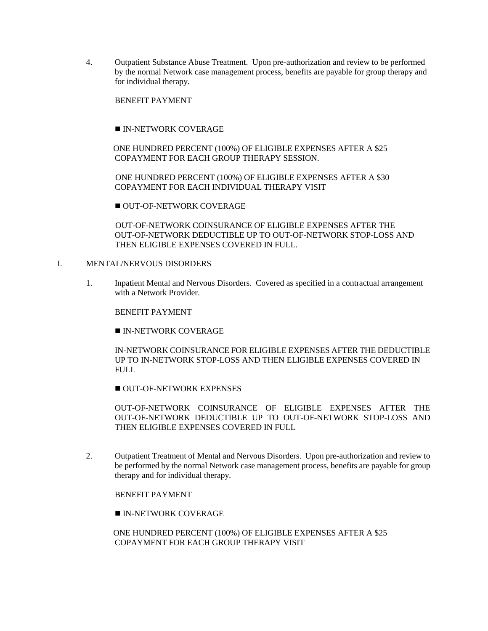4. Outpatient Substance Abuse Treatment. Upon pre-authorization and review to be performed by the normal Network case management process, benefits are payable for group therapy and for individual therapy.

BENEFIT PAYMENT

IN-NETWORK COVERAGE

 ONE HUNDRED PERCENT (100%) OF ELIGIBLE EXPENSES AFTER A \$25 COPAYMENT FOR EACH GROUP THERAPY SESSION.

 ONE HUNDRED PERCENT (100%) OF ELIGIBLE EXPENSES AFTER A \$30 COPAYMENT FOR EACH INDIVIDUAL THERAPY VISIT

OUT-OF-NETWORK COVERAGE

 OUT-OF-NETWORK COINSURANCE OF ELIGIBLE EXPENSES AFTER THE OUT-OF-NETWORK DEDUCTIBLE UP TO OUT-OF-NETWORK STOP-LOSS AND THEN ELIGIBLE EXPENSES COVERED IN FULL.

## I. MENTAL/NERVOUS DISORDERS

1. Inpatient Mental and Nervous Disorders. Covered as specified in a contractual arrangement with a Network Provider.

BENEFIT PAYMENT

IN-NETWORK COVERAGE

IN-NETWORK COINSURANCE FOR ELIGIBLE EXPENSES AFTER THE DEDUCTIBLE UP TO IN-NETWORK STOP-LOSS AND THEN ELIGIBLE EXPENSES COVERED IN FULL

OUT-OF-NETWORK EXPENSES

OUT-OF-NETWORK COINSURANCE OF ELIGIBLE EXPENSES AFTER THE OUT-OF-NETWORK DEDUCTIBLE UP TO OUT-OF-NETWORK STOP-LOSS AND THEN ELIGIBLE EXPENSES COVERED IN FULL

2. Outpatient Treatment of Mental and Nervous Disorders. Upon pre-authorization and review to be performed by the normal Network case management process, benefits are payable for group therapy and for individual therapy.

BENEFIT PAYMENT

IN-NETWORK COVERAGE

 ONE HUNDRED PERCENT (100%) OF ELIGIBLE EXPENSES AFTER A \$25 COPAYMENT FOR EACH GROUP THERAPY VISIT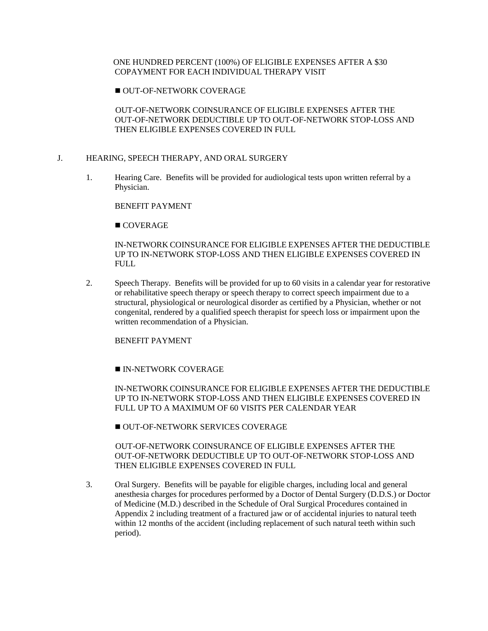## ONE HUNDRED PERCENT (100%) OF ELIGIBLE EXPENSES AFTER A \$30 COPAYMENT FOR EACH INDIVIDUAL THERAPY VISIT

OUT-OF-NETWORK COVERAGE

 OUT-OF-NETWORK COINSURANCE OF ELIGIBLE EXPENSES AFTER THE OUT-OF-NETWORK DEDUCTIBLE UP TO OUT-OF-NETWORK STOP-LOSS AND THEN ELIGIBLE EXPENSES COVERED IN FULL

### J. HEARING, SPEECH THERAPY, AND ORAL SURGERY

1. Hearing Care. Benefits will be provided for audiological tests upon written referral by a Physician.

BENEFIT PAYMENT

COVERAGE

IN-NETWORK COINSURANCE FOR ELIGIBLE EXPENSES AFTER THE DEDUCTIBLE UP TO IN-NETWORK STOP-LOSS AND THEN ELIGIBLE EXPENSES COVERED IN FULL.

2. Speech Therapy. Benefits will be provided for up to 60 visits in a calendar year for restorative or rehabilitative speech therapy or speech therapy to correct speech impairment due to a structural, physiological or neurological disorder as certified by a Physician, whether or not congenital, rendered by a qualified speech therapist for speech loss or impairment upon the written recommendation of a Physician.

BENEFIT PAYMENT

## **IN-NETWORK COVERAGE**

IN-NETWORK COINSURANCE FOR ELIGIBLE EXPENSES AFTER THE DEDUCTIBLE UP TO IN-NETWORK STOP-LOSS AND THEN ELIGIBLE EXPENSES COVERED IN FULL UP TO A MAXIMUM OF 60 VISITS PER CALENDAR YEAR

OUT-OF-NETWORK SERVICES COVERAGE

 OUT-OF-NETWORK COINSURANCE OF ELIGIBLE EXPENSES AFTER THE OUT-OF-NETWORK DEDUCTIBLE UP TO OUT-OF-NETWORK STOP-LOSS AND THEN ELIGIBLE EXPENSES COVERED IN FULL

3. Oral Surgery. Benefits will be payable for eligible charges, including local and general anesthesia charges for procedures performed by a Doctor of Dental Surgery (D.D.S.) or Doctor of Medicine (M.D.) described in the Schedule of Oral Surgical Procedures contained in Appendix 2 including treatment of a fractured jaw or of accidental injuries to natural teeth within 12 months of the accident (including replacement of such natural teeth within such period).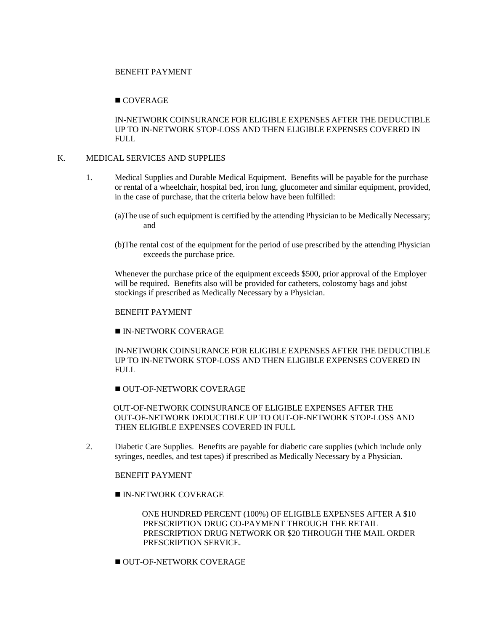### BENEFIT PAYMENT

## ■ COVERAGE

IN-NETWORK COINSURANCE FOR ELIGIBLE EXPENSES AFTER THE DEDUCTIBLE UP TO IN-NETWORK STOP-LOSS AND THEN ELIGIBLE EXPENSES COVERED IN FULL.

### K. MEDICAL SERVICES AND SUPPLIES

- 1. Medical Supplies and Durable Medical Equipment. Benefits will be payable for the purchase or rental of a wheelchair, hospital bed, iron lung, glucometer and similar equipment, provided, in the case of purchase, that the criteria below have been fulfilled:
	- (a)The use of such equipment is certified by the attending Physician to be Medically Necessary; and
	- (b)The rental cost of the equipment for the period of use prescribed by the attending Physician exceeds the purchase price.

Whenever the purchase price of the equipment exceeds \$500, prior approval of the Employer will be required. Benefits also will be provided for catheters, colostomy bags and jobst stockings if prescribed as Medically Necessary by a Physician.

BENEFIT PAYMENT

**IN-NETWORK COVERAGE** 

IN-NETWORK COINSURANCE FOR ELIGIBLE EXPENSES AFTER THE DEDUCTIBLE UP TO IN-NETWORK STOP-LOSS AND THEN ELIGIBLE EXPENSES COVERED IN FULL

OUT-OF-NETWORK COVERAGE

 OUT-OF-NETWORK COINSURANCE OF ELIGIBLE EXPENSES AFTER THE OUT-OF-NETWORK DEDUCTIBLE UP TO OUT-OF-NETWORK STOP-LOSS AND THEN ELIGIBLE EXPENSES COVERED IN FULL

2. Diabetic Care Supplies. Benefits are payable for diabetic care supplies (which include only syringes, needles, and test tapes) if prescribed as Medically Necessary by a Physician.

BENEFIT PAYMENT

IN-NETWORK COVERAGE

 ONE HUNDRED PERCENT (100%) OF ELIGIBLE EXPENSES AFTER A \$10 PRESCRIPTION DRUG CO-PAYMENT THROUGH THE RETAIL PRESCRIPTION DRUG NETWORK OR \$20 THROUGH THE MAIL ORDER PRESCRIPTION SERVICE.

OUT-OF-NETWORK COVERAGE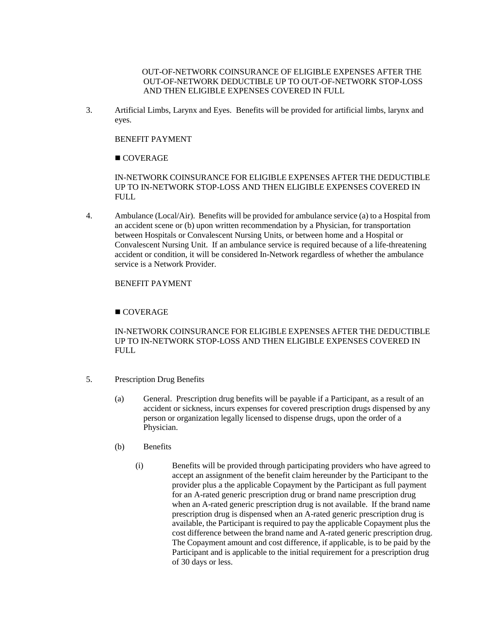OUT-OF-NETWORK COINSURANCE OF ELIGIBLE EXPENSES AFTER THE OUT-OF-NETWORK DEDUCTIBLE UP TO OUT-OF-NETWORK STOP-LOSS AND THEN ELIGIBLE EXPENSES COVERED IN FULL

3. Artificial Limbs, Larynx and Eyes. Benefits will be provided for artificial limbs, larynx and eyes.

## BENEFIT PAYMENT

## ■ COVERAGE

IN-NETWORK COINSURANCE FOR ELIGIBLE EXPENSES AFTER THE DEDUCTIBLE UP TO IN-NETWORK STOP-LOSS AND THEN ELIGIBLE EXPENSES COVERED IN FULL.

4. Ambulance (Local/Air). Benefits will be provided for ambulance service (a) to a Hospital from an accident scene or (b) upon written recommendation by a Physician, for transportation between Hospitals or Convalescent Nursing Units, or between home and a Hospital or Convalescent Nursing Unit. If an ambulance service is required because of a life-threatening accident or condition, it will be considered In-Network regardless of whether the ambulance service is a Network Provider.

## BENEFIT PAYMENT

## ■ COVERAGE

IN-NETWORK COINSURANCE FOR ELIGIBLE EXPENSES AFTER THE DEDUCTIBLE UP TO IN-NETWORK STOP-LOSS AND THEN ELIGIBLE EXPENSES COVERED IN FULL.

- 5. Prescription Drug Benefits
	- (a) General. Prescription drug benefits will be payable if a Participant, as a result of an accident or sickness, incurs expenses for covered prescription drugs dispensed by any person or organization legally licensed to dispense drugs, upon the order of a Physician.
	- (b) Benefits
		- (i) Benefits will be provided through participating providers who have agreed to accept an assignment of the benefit claim hereunder by the Participant to the provider plus a the applicable Copayment by the Participant as full payment for an A-rated generic prescription drug or brand name prescription drug when an A-rated generic prescription drug is not available. If the brand name prescription drug is dispensed when an A-rated generic prescription drug is available, the Participant is required to pay the applicable Copayment plus the cost difference between the brand name and A-rated generic prescription drug. The Copayment amount and cost difference, if applicable, is to be paid by the Participant and is applicable to the initial requirement for a prescription drug of 30 days or less.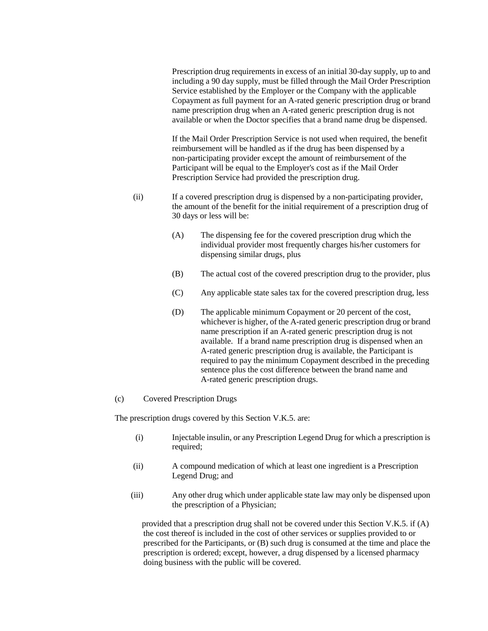Prescription drug requirements in excess of an initial 30-day supply, up to and including a 90 day supply, must be filled through the Mail Order Prescription Service established by the Employer or the Company with the applicable Copayment as full payment for an A-rated generic prescription drug or brand name prescription drug when an A-rated generic prescription drug is not available or when the Doctor specifies that a brand name drug be dispensed.

If the Mail Order Prescription Service is not used when required, the benefit reimbursement will be handled as if the drug has been dispensed by a non-participating provider except the amount of reimbursement of the Participant will be equal to the Employer's cost as if the Mail Order Prescription Service had provided the prescription drug.

- (ii) If a covered prescription drug is dispensed by a non-participating provider, the amount of the benefit for the initial requirement of a prescription drug of 30 days or less will be:
	- (A) The dispensing fee for the covered prescription drug which the individual provider most frequently charges his/her customers for dispensing similar drugs, plus
	- (B) The actual cost of the covered prescription drug to the provider, plus
	- (C) Any applicable state sales tax for the covered prescription drug, less
	- (D) The applicable minimum Copayment or 20 percent of the cost, whichever is higher, of the A-rated generic prescription drug or brand name prescription if an A-rated generic prescription drug is not available. If a brand name prescription drug is dispensed when an A-rated generic prescription drug is available, the Participant is required to pay the minimum Copayment described in the preceding sentence plus the cost difference between the brand name and A-rated generic prescription drugs.

### (c) Covered Prescription Drugs

The prescription drugs covered by this Section V.K.5. are:

- (i) Injectable insulin, or any Prescription Legend Drug for which a prescription is required;
- (ii) A compound medication of which at least one ingredient is a Prescription Legend Drug; and
- (iii) Any other drug which under applicable state law may only be dispensed upon the prescription of a Physician;

 provided that a prescription drug shall not be covered under this Section V.K.5. if (A) the cost thereof is included in the cost of other services or supplies provided to or prescribed for the Participants, or (B) such drug is consumed at the time and place the prescription is ordered; except, however, a drug dispensed by a licensed pharmacy doing business with the public will be covered.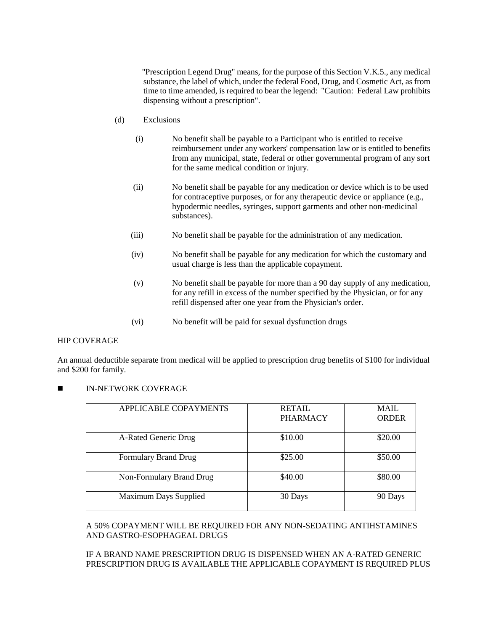"Prescription Legend Drug" means, for the purpose of this Section V.K.5., any medical substance, the label of which, under the federal Food, Drug, and Cosmetic Act, as from time to time amended, is required to bear the legend: "Caution: Federal Law prohibits dispensing without a prescription".

- (d) Exclusions
	- (i) No benefit shall be payable to a Participant who is entitled to receive reimbursement under any workers' compensation law or is entitled to benefits from any municipal, state, federal or other governmental program of any sort for the same medical condition or injury.
	- (ii) No benefit shall be payable for any medication or device which is to be used for contraceptive purposes, or for any therapeutic device or appliance (e.g., hypodermic needles, syringes, support garments and other non-medicinal substances).
	- (iii) No benefit shall be payable for the administration of any medication.
	- (iv) No benefit shall be payable for any medication for which the customary and usual charge is less than the applicable copayment.
	- (v) No benefit shall be payable for more than a 90 day supply of any medication, for any refill in excess of the number specified by the Physician, or for any refill dispensed after one year from the Physician's order.
	- (vi) No benefit will be paid for sexual dysfunction drugs

### HIP COVERAGE

An annual deductible separate from medical will be applied to prescription drug benefits of \$100 for individual and \$200 for family.

IN-NETWORK COVERAGE

| APPLICABLE COPAYMENTS        | <b>RETAIL</b><br><b>PHARMACY</b> | <b>MAIL</b><br><b>ORDER</b> |
|------------------------------|----------------------------------|-----------------------------|
| A-Rated Generic Drug         | \$10.00                          | \$20.00                     |
| <b>Formulary Brand Drug</b>  | \$25.00                          | \$50.00                     |
| Non-Formulary Brand Drug     | \$40.00                          | \$80.00                     |
| <b>Maximum Days Supplied</b> | 30 Days                          | 90 Days                     |

## A 50% COPAYMENT WILL BE REQUIRED FOR ANY NON-SEDATING ANTIHSTAMINES AND GASTRO-ESOPHAGEAL DRUGS

## IF A BRAND NAME PRESCRIPTION DRUG IS DISPENSED WHEN AN A-RATED GENERIC PRESCRIPTION DRUG IS AVAILABLE THE APPLICABLE COPAYMENT IS REQUIRED PLUS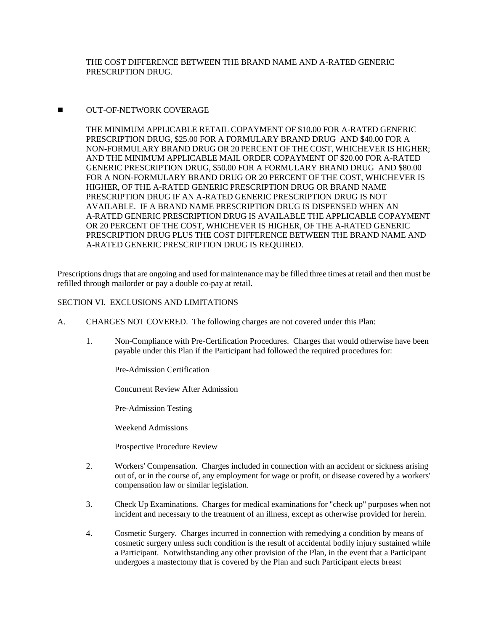THE COST DIFFERENCE BETWEEN THE BRAND NAME AND A-RATED GENERIC PRESCRIPTION DRUG.

## **NUT-OF-NETWORK COVERAGE**

THE MINIMUM APPLICABLE RETAIL COPAYMENT OF \$10.00 FOR A-RATED GENERIC PRESCRIPTION DRUG, \$25.00 FOR A FORMULARY BRAND DRUG AND \$40.00 FOR A NON-FORMULARY BRAND DRUG OR 20 PERCENT OF THE COST, WHICHEVER IS HIGHER; AND THE MINIMUM APPLICABLE MAIL ORDER COPAYMENT OF \$20.00 FOR A-RATED GENERIC PRESCRIPTION DRUG, \$50.00 FOR A FORMULARY BRAND DRUG AND \$80.00 FOR A NON-FORMULARY BRAND DRUG OR 20 PERCENT OF THE COST, WHICHEVER IS HIGHER, OF THE A-RATED GENERIC PRESCRIPTION DRUG OR BRAND NAME PRESCRIPTION DRUG IF AN A-RATED GENERIC PRESCRIPTION DRUG IS NOT AVAILABLE. IF A BRAND NAME PRESCRIPTION DRUG IS DISPENSED WHEN AN A-RATED GENERIC PRESCRIPTION DRUG IS AVAILABLE THE APPLICABLE COPAYMENT OR 20 PERCENT OF THE COST, WHICHEVER IS HIGHER, OF THE A-RATED GENERIC PRESCRIPTION DRUG PLUS THE COST DIFFERENCE BETWEEN THE BRAND NAME AND A-RATED GENERIC PRESCRIPTION DRUG IS REQUIRED.

Prescriptions drugs that are ongoing and used for maintenance may be filled three times at retail and then must be refilled through mailorder or pay a double co-pay at retail.

## SECTION VI. EXCLUSIONS AND LIMITATIONS

- A. CHARGES NOT COVERED. The following charges are not covered under this Plan:
	- 1. Non-Compliance with Pre-Certification Procedures. Charges that would otherwise have been payable under this Plan if the Participant had followed the required procedures for:

Pre-Admission Certification

Concurrent Review After Admission

Pre-Admission Testing

Weekend Admissions

Prospective Procedure Review

- 2. Workers' Compensation. Charges included in connection with an accident or sickness arising out of, or in the course of, any employment for wage or profit, or disease covered by a workers' compensation law or similar legislation.
- 3. Check Up Examinations. Charges for medical examinations for "check up" purposes when not incident and necessary to the treatment of an illness, except as otherwise provided for herein.
- 4. Cosmetic Surgery. Charges incurred in connection with remedying a condition by means of cosmetic surgery unless such condition is the result of accidental bodily injury sustained while a Participant. Notwithstanding any other provision of the Plan, in the event that a Participant undergoes a mastectomy that is covered by the Plan and such Participant elects breast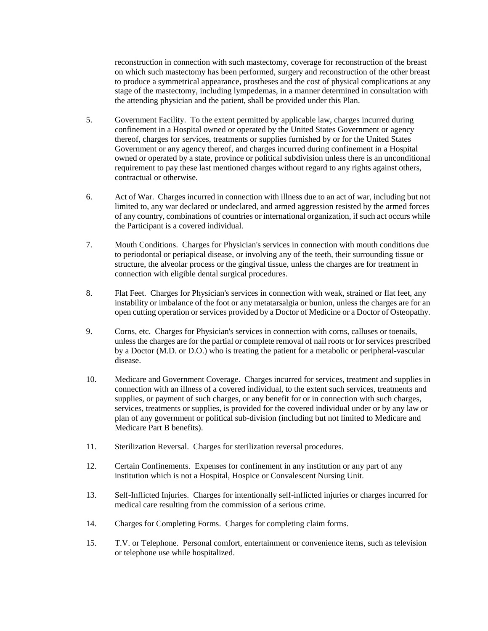reconstruction in connection with such mastectomy, coverage for reconstruction of the breast on which such mastectomy has been performed, surgery and reconstruction of the other breast to produce a symmetrical appearance, prostheses and the cost of physical complications at any stage of the mastectomy, including lympedemas, in a manner determined in consultation with the attending physician and the patient, shall be provided under this Plan.

- 5. Government Facility. To the extent permitted by applicable law, charges incurred during confinement in a Hospital owned or operated by the United States Government or agency thereof, charges for services, treatments or supplies furnished by or for the United States Government or any agency thereof, and charges incurred during confinement in a Hospital owned or operated by a state, province or political subdivision unless there is an unconditional requirement to pay these last mentioned charges without regard to any rights against others, contractual or otherwise.
- 6. Act of War. Charges incurred in connection with illness due to an act of war, including but not limited to, any war declared or undeclared, and armed aggression resisted by the armed forces of any country, combinations of countries or international organization, if such act occurs while the Participant is a covered individual.
- 7. Mouth Conditions. Charges for Physician's services in connection with mouth conditions due to periodontal or periapical disease, or involving any of the teeth, their surrounding tissue or structure, the alveolar process or the gingival tissue, unless the charges are for treatment in connection with eligible dental surgical procedures.
- 8. Flat Feet. Charges for Physician's services in connection with weak, strained or flat feet, any instability or imbalance of the foot or any metatarsalgia or bunion, unless the charges are for an open cutting operation or services provided by a Doctor of Medicine or a Doctor of Osteopathy.
- 9. Corns, etc. Charges for Physician's services in connection with corns, calluses or toenails, unless the charges are for the partial or complete removal of nail roots or for services prescribed by a Doctor (M.D. or D.O.) who is treating the patient for a metabolic or peripheral-vascular disease.
- 10. Medicare and Government Coverage. Charges incurred for services, treatment and supplies in connection with an illness of a covered individual, to the extent such services, treatments and supplies, or payment of such charges, or any benefit for or in connection with such charges, services, treatments or supplies, is provided for the covered individual under or by any law or plan of any government or political sub-division (including but not limited to Medicare and Medicare Part B benefits).
- 11. Sterilization Reversal. Charges for sterilization reversal procedures.
- 12. Certain Confinements. Expenses for confinement in any institution or any part of any institution which is not a Hospital, Hospice or Convalescent Nursing Unit.
- 13. Self-Inflicted Injuries. Charges for intentionally self-inflicted injuries or charges incurred for medical care resulting from the commission of a serious crime.
- 14. Charges for Completing Forms. Charges for completing claim forms.
- 15. T.V. or Telephone. Personal comfort, entertainment or convenience items, such as television or telephone use while hospitalized.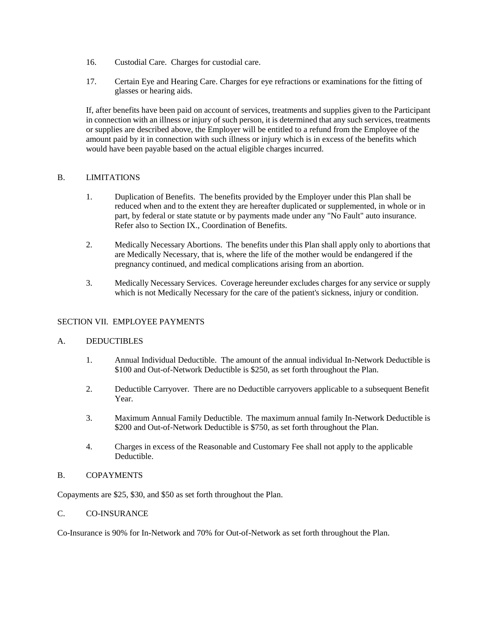- 16. Custodial Care. Charges for custodial care.
- 17. Certain Eye and Hearing Care. Charges for eye refractions or examinations for the fitting of glasses or hearing aids.

If, after benefits have been paid on account of services, treatments and supplies given to the Participant in connection with an illness or injury of such person, it is determined that any such services, treatments or supplies are described above, the Employer will be entitled to a refund from the Employee of the amount paid by it in connection with such illness or injury which is in excess of the benefits which would have been payable based on the actual eligible charges incurred.

## B. LIMITATIONS

- 1. Duplication of Benefits. The benefits provided by the Employer under this Plan shall be reduced when and to the extent they are hereafter duplicated or supplemented, in whole or in part, by federal or state statute or by payments made under any "No Fault" auto insurance. Refer also to Section IX., Coordination of Benefits.
- 2. Medically Necessary Abortions. The benefits under this Plan shall apply only to abortions that are Medically Necessary, that is, where the life of the mother would be endangered if the pregnancy continued, and medical complications arising from an abortion.
- 3. Medically Necessary Services. Coverage hereunder excludes charges for any service or supply which is not Medically Necessary for the care of the patient's sickness, injury or condition.

## SECTION VII. EMPLOYEE PAYMENTS

### A. DEDUCTIBLES

- 1. Annual Individual Deductible. The amount of the annual individual In-Network Deductible is \$100 and Out-of-Network Deductible is \$250, as set forth throughout the Plan.
- 2. Deductible Carryover. There are no Deductible carryovers applicable to a subsequent Benefit Year.
- 3. Maximum Annual Family Deductible. The maximum annual family In-Network Deductible is \$200 and Out-of-Network Deductible is \$750, as set forth throughout the Plan.
- 4. Charges in excess of the Reasonable and Customary Fee shall not apply to the applicable Deductible.

## B. COPAYMENTS

Copayments are \$25, \$30, and \$50 as set forth throughout the Plan.

## C. CO-INSURANCE

Co-Insurance is 90% for In-Network and 70% for Out-of-Network as set forth throughout the Plan.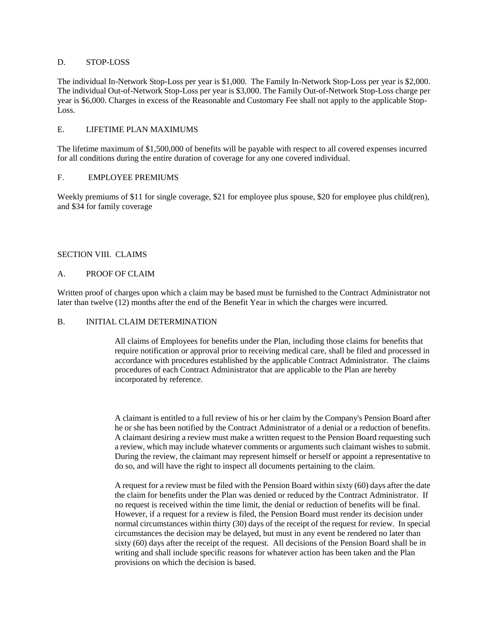## D. STOP-LOSS

The individual In-Network Stop-Loss per year is \$1,000. The Family In-Network Stop-Loss per year is \$2,000. The individual Out-of-Network Stop-Loss per year is \$3,000. The Family Out-of-Network Stop-Loss charge per year is \$6,000. Charges in excess of the Reasonable and Customary Fee shall not apply to the applicable Stop-Loss.

## E. LIFETIME PLAN MAXIMUMS

The lifetime maximum of \$1,500,000 of benefits will be payable with respect to all covered expenses incurred for all conditions during the entire duration of coverage for any one covered individual.

## F. EMPLOYEE PREMIUMS

Weekly premiums of \$11 for single coverage, \$21 for employee plus spouse, \$20 for employee plus child(ren), and \$34 for family coverage

## SECTION VIII. CLAIMS

## A. PROOF OF CLAIM

Written proof of charges upon which a claim may be based must be furnished to the Contract Administrator not later than twelve (12) months after the end of the Benefit Year in which the charges were incurred.

### B. INITIAL CLAIM DETERMINATION

All claims of Employees for benefits under the Plan, including those claims for benefits that require notification or approval prior to receiving medical care, shall be filed and processed in accordance with procedures established by the applicable Contract Administrator. The claims procedures of each Contract Administrator that are applicable to the Plan are hereby incorporated by reference.

A claimant is entitled to a full review of his or her claim by the Company's Pension Board after he or she has been notified by the Contract Administrator of a denial or a reduction of benefits. A claimant desiring a review must make a written request to the Pension Board requesting such a review, which may include whatever comments or arguments such claimant wishes to submit. During the review, the claimant may represent himself or herself or appoint a representative to do so, and will have the right to inspect all documents pertaining to the claim.

A request for a review must be filed with the Pension Board within sixty (60) days after the date the claim for benefits under the Plan was denied or reduced by the Contract Administrator. If no request is received within the time limit, the denial or reduction of benefits will be final. However, if a request for a review is filed, the Pension Board must render its decision under normal circumstances within thirty (30) days of the receipt of the request for review. In special circumstances the decision may be delayed, but must in any event be rendered no later than sixty (60) days after the receipt of the request. All decisions of the Pension Board shall be in writing and shall include specific reasons for whatever action has been taken and the Plan provisions on which the decision is based.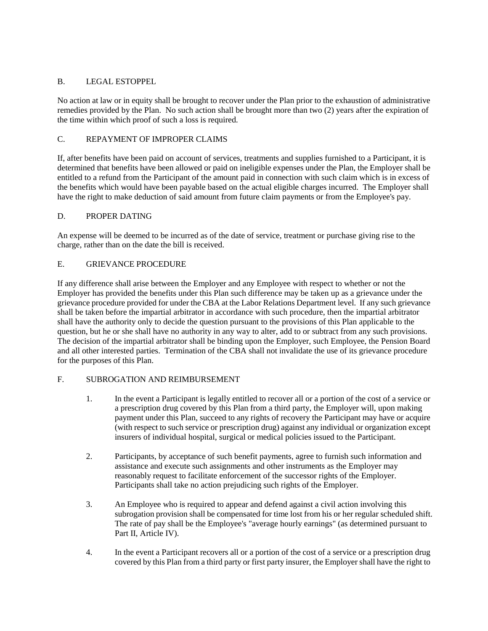## B. LEGAL ESTOPPEL

No action at law or in equity shall be brought to recover under the Plan prior to the exhaustion of administrative remedies provided by the Plan. No such action shall be brought more than two (2) years after the expiration of the time within which proof of such a loss is required.

## C. REPAYMENT OF IMPROPER CLAIMS

If, after benefits have been paid on account of services, treatments and supplies furnished to a Participant, it is determined that benefits have been allowed or paid on ineligible expenses under the Plan, the Employer shall be entitled to a refund from the Participant of the amount paid in connection with such claim which is in excess of the benefits which would have been payable based on the actual eligible charges incurred. The Employer shall have the right to make deduction of said amount from future claim payments or from the Employee's pay.

## D. PROPER DATING

An expense will be deemed to be incurred as of the date of service, treatment or purchase giving rise to the charge, rather than on the date the bill is received.

## E. GRIEVANCE PROCEDURE

If any difference shall arise between the Employer and any Employee with respect to whether or not the Employer has provided the benefits under this Plan such difference may be taken up as a grievance under the grievance procedure provided for under the CBA at the Labor Relations Department level. If any such grievance shall be taken before the impartial arbitrator in accordance with such procedure, then the impartial arbitrator shall have the authority only to decide the question pursuant to the provisions of this Plan applicable to the question, but he or she shall have no authority in any way to alter, add to or subtract from any such provisions. The decision of the impartial arbitrator shall be binding upon the Employer, such Employee, the Pension Board and all other interested parties. Termination of the CBA shall not invalidate the use of its grievance procedure for the purposes of this Plan.

## F. SUBROGATION AND REIMBURSEMENT

- 1. In the event a Participant is legally entitled to recover all or a portion of the cost of a service or a prescription drug covered by this Plan from a third party, the Employer will, upon making payment under this Plan, succeed to any rights of recovery the Participant may have or acquire (with respect to such service or prescription drug) against any individual or organization except insurers of individual hospital, surgical or medical policies issued to the Participant.
- 2. Participants, by acceptance of such benefit payments, agree to furnish such information and assistance and execute such assignments and other instruments as the Employer may reasonably request to facilitate enforcement of the successor rights of the Employer. Participants shall take no action prejudicing such rights of the Employer.
- 3. An Employee who is required to appear and defend against a civil action involving this subrogation provision shall be compensated for time lost from his or her regular scheduled shift. The rate of pay shall be the Employee's "average hourly earnings" (as determined pursuant to Part II, Article IV).
- 4. In the event a Participant recovers all or a portion of the cost of a service or a prescription drug covered by this Plan from a third party or first party insurer, the Employer shall have the right to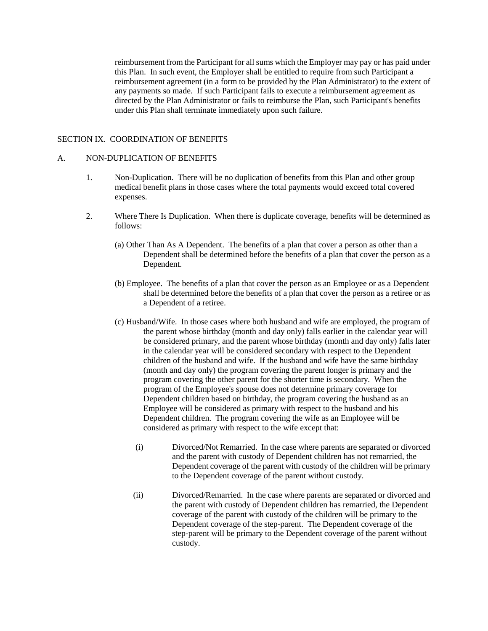reimbursement from the Participant for all sums which the Employer may pay or has paid under this Plan. In such event, the Employer shall be entitled to require from such Participant a reimbursement agreement (in a form to be provided by the Plan Administrator) to the extent of any payments so made. If such Participant fails to execute a reimbursement agreement as directed by the Plan Administrator or fails to reimburse the Plan, such Participant's benefits under this Plan shall terminate immediately upon such failure.

## SECTION IX. COORDINATION OF BENEFITS

### A. NON-DUPLICATION OF BENEFITS

- 1. Non-Duplication. There will be no duplication of benefits from this Plan and other group medical benefit plans in those cases where the total payments would exceed total covered expenses.
- 2. Where There Is Duplication. When there is duplicate coverage, benefits will be determined as follows:
	- (a) Other Than As A Dependent. The benefits of a plan that cover a person as other than a Dependent shall be determined before the benefits of a plan that cover the person as a Dependent.
	- (b) Employee. The benefits of a plan that cover the person as an Employee or as a Dependent shall be determined before the benefits of a plan that cover the person as a retiree or as a Dependent of a retiree.
	- (c) Husband/Wife. In those cases where both husband and wife are employed, the program of the parent whose birthday (month and day only) falls earlier in the calendar year will be considered primary, and the parent whose birthday (month and day only) falls later in the calendar year will be considered secondary with respect to the Dependent children of the husband and wife. If the husband and wife have the same birthday (month and day only) the program covering the parent longer is primary and the program covering the other parent for the shorter time is secondary. When the program of the Employee's spouse does not determine primary coverage for Dependent children based on birthday, the program covering the husband as an Employee will be considered as primary with respect to the husband and his Dependent children. The program covering the wife as an Employee will be considered as primary with respect to the wife except that:
		- (i) Divorced/Not Remarried. In the case where parents are separated or divorced and the parent with custody of Dependent children has not remarried, the Dependent coverage of the parent with custody of the children will be primary to the Dependent coverage of the parent without custody.
		- (ii) Divorced/Remarried. In the case where parents are separated or divorced and the parent with custody of Dependent children has remarried, the Dependent coverage of the parent with custody of the children will be primary to the Dependent coverage of the step-parent. The Dependent coverage of the step-parent will be primary to the Dependent coverage of the parent without custody.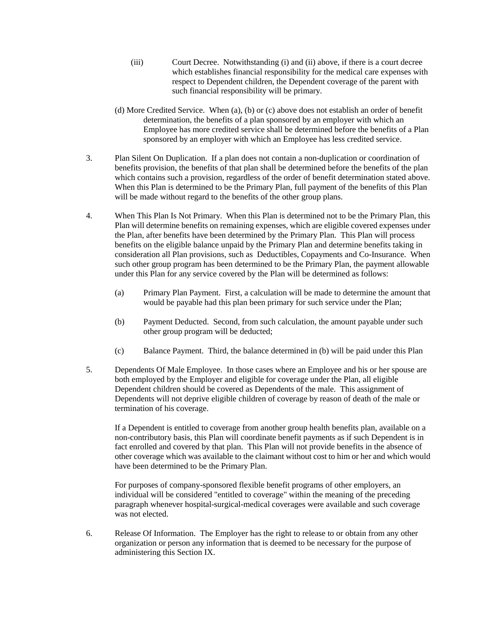- (iii) Court Decree. Notwithstanding (i) and (ii) above, if there is a court decree which establishes financial responsibility for the medical care expenses with respect to Dependent children, the Dependent coverage of the parent with such financial responsibility will be primary.
- (d) More Credited Service. When (a), (b) or (c) above does not establish an order of benefit determination, the benefits of a plan sponsored by an employer with which an Employee has more credited service shall be determined before the benefits of a Plan sponsored by an employer with which an Employee has less credited service.
- 3. Plan Silent On Duplication. If a plan does not contain a non-duplication or coordination of benefits provision, the benefits of that plan shall be determined before the benefits of the plan which contains such a provision, regardless of the order of benefit determination stated above. When this Plan is determined to be the Primary Plan, full payment of the benefits of this Plan will be made without regard to the benefits of the other group plans.
- 4. When This Plan Is Not Primary. When this Plan is determined not to be the Primary Plan, this Plan will determine benefits on remaining expenses, which are eligible covered expenses under the Plan, after benefits have been determined by the Primary Plan. This Plan will process benefits on the eligible balance unpaid by the Primary Plan and determine benefits taking in consideration all Plan provisions, such as Deductibles, Copayments and Co-Insurance. When such other group program has been determined to be the Primary Plan, the payment allowable under this Plan for any service covered by the Plan will be determined as follows:
	- (a) Primary Plan Payment. First, a calculation will be made to determine the amount that would be payable had this plan been primary for such service under the Plan;
	- (b) Payment Deducted. Second, from such calculation, the amount payable under such other group program will be deducted;
	- (c) Balance Payment. Third, the balance determined in (b) will be paid under this Plan
- 5. Dependents Of Male Employee. In those cases where an Employee and his or her spouse are both employed by the Employer and eligible for coverage under the Plan, all eligible Dependent children should be covered as Dependents of the male. This assignment of Dependents will not deprive eligible children of coverage by reason of death of the male or termination of his coverage.

If a Dependent is entitled to coverage from another group health benefits plan, available on a non-contributory basis, this Plan will coordinate benefit payments as if such Dependent is in fact enrolled and covered by that plan. This Plan will not provide benefits in the absence of other coverage which was available to the claimant without cost to him or her and which would have been determined to be the Primary Plan.

For purposes of company-sponsored flexible benefit programs of other employers, an individual will be considered "entitled to coverage" within the meaning of the preceding paragraph whenever hospital-surgical-medical coverages were available and such coverage was not elected.

6. Release Of Information. The Employer has the right to release to or obtain from any other organization or person any information that is deemed to be necessary for the purpose of administering this Section IX.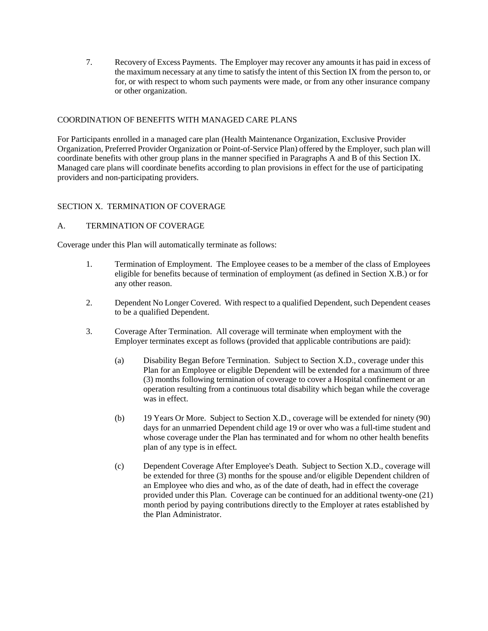7. Recovery of Excess Payments. The Employer may recover any amounts it has paid in excess of the maximum necessary at any time to satisfy the intent of this Section IX from the person to, or for, or with respect to whom such payments were made, or from any other insurance company or other organization.

## COORDINATION OF BENEFITS WITH MANAGED CARE PLANS

For Participants enrolled in a managed care plan (Health Maintenance Organization, Exclusive Provider Organization, Preferred Provider Organization or Point-of-Service Plan) offered by the Employer, such plan will coordinate benefits with other group plans in the manner specified in Paragraphs A and B of this Section IX. Managed care plans will coordinate benefits according to plan provisions in effect for the use of participating providers and non-participating providers.

## SECTION X. TERMINATION OF COVERAGE

## A. TERMINATION OF COVERAGE

Coverage under this Plan will automatically terminate as follows:

- 1. Termination of Employment. The Employee ceases to be a member of the class of Employees eligible for benefits because of termination of employment (as defined in Section X.B.) or for any other reason.
- 2. Dependent No Longer Covered. With respect to a qualified Dependent, such Dependent ceases to be a qualified Dependent.
- 3. Coverage After Termination. All coverage will terminate when employment with the Employer terminates except as follows (provided that applicable contributions are paid):
	- (a) Disability Began Before Termination. Subject to Section X.D., coverage under this Plan for an Employee or eligible Dependent will be extended for a maximum of three (3) months following termination of coverage to cover a Hospital confinement or an operation resulting from a continuous total disability which began while the coverage was in effect.
	- (b) 19 Years Or More. Subject to Section X.D., coverage will be extended for ninety (90) days for an unmarried Dependent child age 19 or over who was a full-time student and whose coverage under the Plan has terminated and for whom no other health benefits plan of any type is in effect.
	- (c) Dependent Coverage After Employee's Death. Subject to Section X.D., coverage will be extended for three (3) months for the spouse and/or eligible Dependent children of an Employee who dies and who, as of the date of death, had in effect the coverage provided under this Plan. Coverage can be continued for an additional twenty-one (21) month period by paying contributions directly to the Employer at rates established by the Plan Administrator.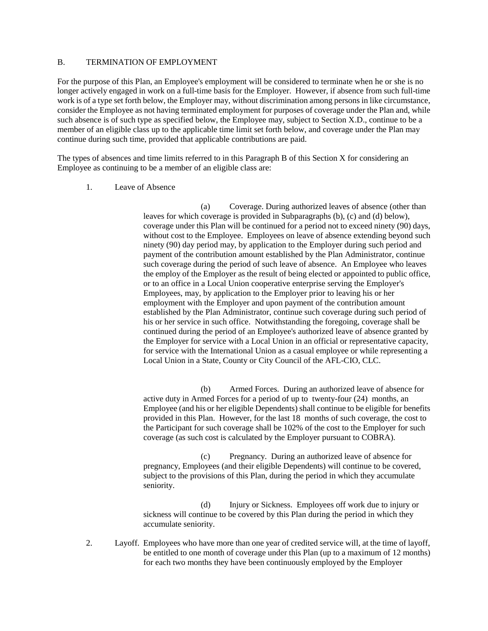### B. TERMINATION OF EMPLOYMENT

For the purpose of this Plan, an Employee's employment will be considered to terminate when he or she is no longer actively engaged in work on a full-time basis for the Employer. However, if absence from such full-time work is of a type set forth below, the Employer may, without discrimination among persons in like circumstance, consider the Employee as not having terminated employment for purposes of coverage under the Plan and, while such absence is of such type as specified below, the Employee may, subject to Section X.D., continue to be a member of an eligible class up to the applicable time limit set forth below, and coverage under the Plan may continue during such time, provided that applicable contributions are paid.

The types of absences and time limits referred to in this Paragraph B of this Section X for considering an Employee as continuing to be a member of an eligible class are:

1. Leave of Absence

(a) Coverage. During authorized leaves of absence (other than leaves for which coverage is provided in Subparagraphs (b), (c) and (d) below), coverage under this Plan will be continued for a period not to exceed ninety (90) days, without cost to the Employee. Employees on leave of absence extending beyond such ninety (90) day period may, by application to the Employer during such period and payment of the contribution amount established by the Plan Administrator, continue such coverage during the period of such leave of absence. An Employee who leaves the employ of the Employer as the result of being elected or appointed to public office, or to an office in a Local Union cooperative enterprise serving the Employer's Employees, may, by application to the Employer prior to leaving his or her employment with the Employer and upon payment of the contribution amount established by the Plan Administrator, continue such coverage during such period of his or her service in such office. Notwithstanding the foregoing, coverage shall be continued during the period of an Employee's authorized leave of absence granted by the Employer for service with a Local Union in an official or representative capacity, for service with the International Union as a casual employee or while representing a Local Union in a State, County or City Council of the AFL-CIO, CLC.

(b) Armed Forces. During an authorized leave of absence for active duty in Armed Forces for a period of up to twenty-four (24) months, an Employee (and his or her eligible Dependents) shall continue to be eligible for benefits provided in this Plan. However, for the last 18 months of such coverage, the cost to the Participant for such coverage shall be 102% of the cost to the Employer for such coverage (as such cost is calculated by the Employer pursuant to COBRA).

(c) Pregnancy. During an authorized leave of absence for pregnancy, Employees (and their eligible Dependents) will continue to be covered, subject to the provisions of this Plan, during the period in which they accumulate seniority.

(d) Injury or Sickness. Employees off work due to injury or sickness will continue to be covered by this Plan during the period in which they accumulate seniority.

2. Layoff. Employees who have more than one year of credited service will, at the time of layoff, be entitled to one month of coverage under this Plan (up to a maximum of 12 months) for each two months they have been continuously employed by the Employer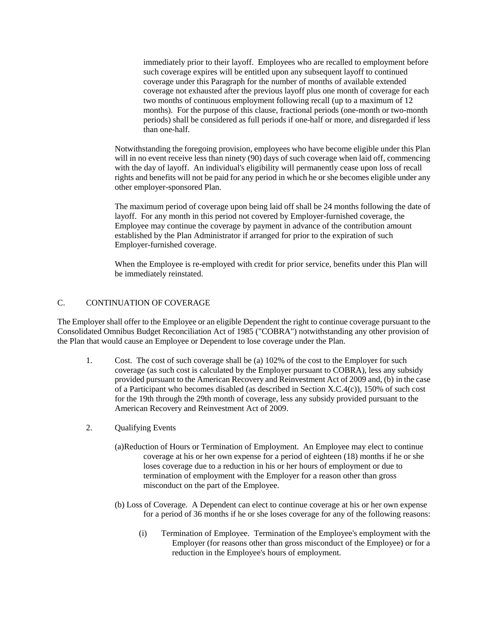immediately prior to their layoff. Employees who are recalled to employment before such coverage expires will be entitled upon any subsequent layoff to continued coverage under this Paragraph for the number of months of available extended coverage not exhausted after the previous layoff plus one month of coverage for each two months of continuous employment following recall (up to a maximum of 12 months). For the purpose of this clause, fractional periods (one-month or two-month periods) shall be considered as full periods if one-half or more, and disregarded if less than one-half.

Notwithstanding the foregoing provision, employees who have become eligible under this Plan will in no event receive less than ninety (90) days of such coverage when laid off, commencing with the day of layoff. An individual's eligibility will permanently cease upon loss of recall rights and benefits will not be paid for any period in which he or she becomes eligible under any other employer-sponsored Plan.

The maximum period of coverage upon being laid off shall be 24 months following the date of layoff. For any month in this period not covered by Employer-furnished coverage, the Employee may continue the coverage by payment in advance of the contribution amount established by the Plan Administrator if arranged for prior to the expiration of such Employer-furnished coverage.

When the Employee is re-employed with credit for prior service, benefits under this Plan will be immediately reinstated.

## C. CONTINUATION OF COVERAGE

The Employer shall offer to the Employee or an eligible Dependent the right to continue coverage pursuant to the Consolidated Omnibus Budget Reconciliation Act of 1985 ("COBRA") notwithstanding any other provision of the Plan that would cause an Employee or Dependent to lose coverage under the Plan.

- 1. Cost. The cost of such coverage shall be (a) 102% of the cost to the Employer for such coverage (as such cost is calculated by the Employer pursuant to COBRA), less any subsidy provided pursuant to the American Recovery and Reinvestment Act of 2009 and, (b) in the case of a Participant who becomes disabled (as described in Section X.C.4(c)), 150% of such cost for the 19th through the 29th month of coverage, less any subsidy provided pursuant to the American Recovery and Reinvestment Act of 2009.
- 2. Qualifying Events
	- (a)Reduction of Hours or Termination of Employment. An Employee may elect to continue coverage at his or her own expense for a period of eighteen (18) months if he or she loses coverage due to a reduction in his or her hours of employment or due to termination of employment with the Employer for a reason other than gross misconduct on the part of the Employee.
	- (b) Loss of Coverage. A Dependent can elect to continue coverage at his or her own expense for a period of 36 months if he or she loses coverage for any of the following reasons:
		- (i) Termination of Employee. Termination of the Employee's employment with the Employer (for reasons other than gross misconduct of the Employee) or for a reduction in the Employee's hours of employment.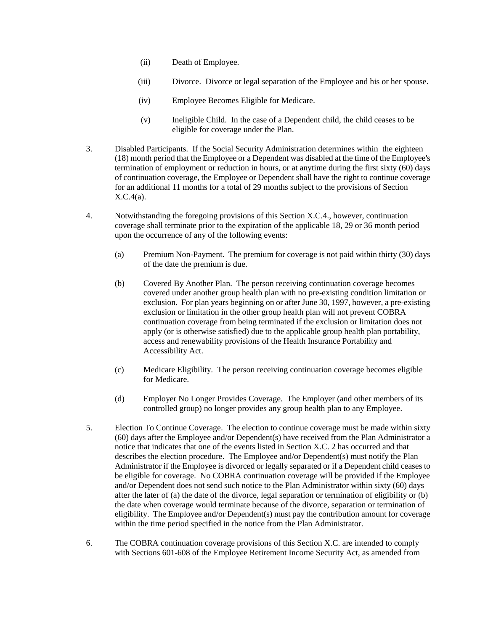- (ii) Death of Employee.
- (iii) Divorce. Divorce or legal separation of the Employee and his or her spouse.
- (iv) Employee Becomes Eligible for Medicare.
- (v) Ineligible Child. In the case of a Dependent child, the child ceases to be eligible for coverage under the Plan.
- 3. Disabled Participants. If the Social Security Administration determines within the eighteen (18) month period that the Employee or a Dependent was disabled at the time of the Employee's termination of employment or reduction in hours, or at anytime during the first sixty (60) days of continuation coverage, the Employee or Dependent shall have the right to continue coverage for an additional 11 months for a total of 29 months subject to the provisions of Section X.C.4(a).
- 4. Notwithstanding the foregoing provisions of this Section X.C.4., however, continuation coverage shall terminate prior to the expiration of the applicable 18, 29 or 36 month period upon the occurrence of any of the following events:
	- (a) Premium Non-Payment. The premium for coverage is not paid within thirty (30) days of the date the premium is due.
	- (b) Covered By Another Plan. The person receiving continuation coverage becomes covered under another group health plan with no pre-existing condition limitation or exclusion. For plan years beginning on or after June 30, 1997, however, a pre-existing exclusion or limitation in the other group health plan will not prevent COBRA continuation coverage from being terminated if the exclusion or limitation does not apply (or is otherwise satisfied) due to the applicable group health plan portability, access and renewability provisions of the Health Insurance Portability and Accessibility Act.
	- (c) Medicare Eligibility. The person receiving continuation coverage becomes eligible for Medicare.
	- (d) Employer No Longer Provides Coverage. The Employer (and other members of its controlled group) no longer provides any group health plan to any Employee.
- 5. Election To Continue Coverage. The election to continue coverage must be made within sixty (60) days after the Employee and/or Dependent(s) have received from the Plan Administrator a notice that indicates that one of the events listed in Section X.C. 2 has occurred and that describes the election procedure. The Employee and/or Dependent(s) must notify the Plan Administrator if the Employee is divorced or legally separated or if a Dependent child ceases to be eligible for coverage. No COBRA continuation coverage will be provided if the Employee and/or Dependent does not send such notice to the Plan Administrator within sixty (60) days after the later of (a) the date of the divorce, legal separation or termination of eligibility or (b) the date when coverage would terminate because of the divorce, separation or termination of eligibility. The Employee and/or Dependent(s) must pay the contribution amount for coverage within the time period specified in the notice from the Plan Administrator.
- 6. The COBRA continuation coverage provisions of this Section X.C. are intended to comply with Sections 601-608 of the Employee Retirement Income Security Act, as amended from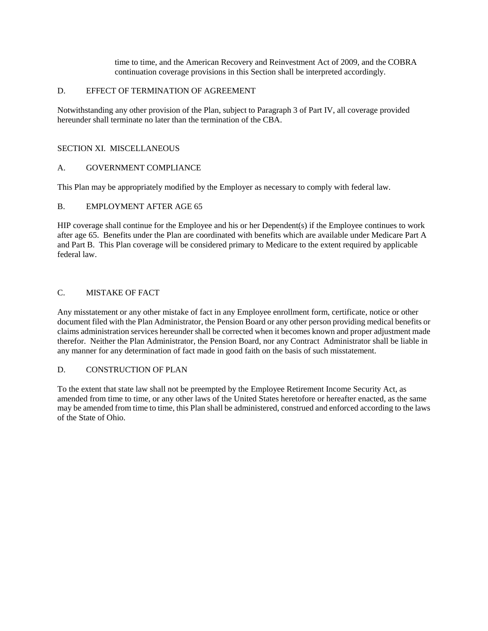time to time, and the American Recovery and Reinvestment Act of 2009, and the COBRA continuation coverage provisions in this Section shall be interpreted accordingly.

## D. EFFECT OF TERMINATION OF AGREEMENT

Notwithstanding any other provision of the Plan, subject to Paragraph 3 of Part IV, all coverage provided hereunder shall terminate no later than the termination of the CBA.

## SECTION XI. MISCELLANEOUS

## A. GOVERNMENT COMPLIANCE

This Plan may be appropriately modified by the Employer as necessary to comply with federal law.

## B. EMPLOYMENT AFTER AGE 65

HIP coverage shall continue for the Employee and his or her Dependent(s) if the Employee continues to work after age 65. Benefits under the Plan are coordinated with benefits which are available under Medicare Part A and Part B. This Plan coverage will be considered primary to Medicare to the extent required by applicable federal law.

## C. MISTAKE OF FACT

Any misstatement or any other mistake of fact in any Employee enrollment form, certificate, notice or other document filed with the Plan Administrator, the Pension Board or any other person providing medical benefits or claims administration services hereunder shall be corrected when it becomes known and proper adjustment made therefor. Neither the Plan Administrator, the Pension Board, nor any Contract Administrator shall be liable in any manner for any determination of fact made in good faith on the basis of such misstatement.

### D. CONSTRUCTION OF PLAN

To the extent that state law shall not be preempted by the Employee Retirement Income Security Act, as amended from time to time, or any other laws of the United States heretofore or hereafter enacted, as the same may be amended from time to time, this Plan shall be administered, construed and enforced according to the laws of the State of Ohio.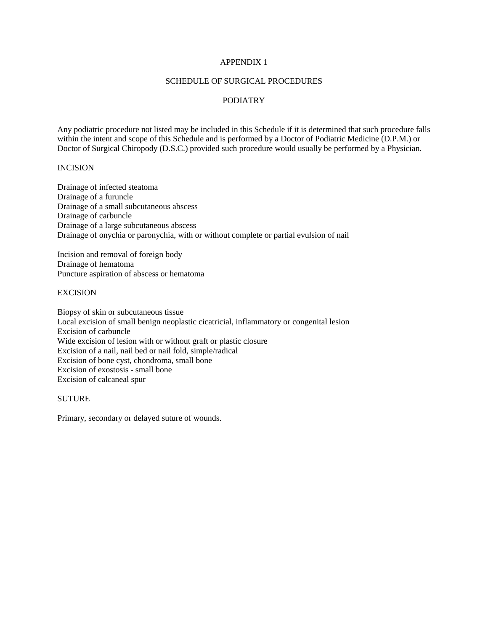## APPENDIX 1

## SCHEDULE OF SURGICAL PROCEDURES

## PODIATRY

Any podiatric procedure not listed may be included in this Schedule if it is determined that such procedure falls within the intent and scope of this Schedule and is performed by a Doctor of Podiatric Medicine (D.P.M.) or Doctor of Surgical Chiropody (D.S.C.) provided such procedure would usually be performed by a Physician.

## INCISION

Drainage of infected steatoma Drainage of a furuncle Drainage of a small subcutaneous abscess Drainage of carbuncle Drainage of a large subcutaneous abscess Drainage of onychia or paronychia, with or without complete or partial evulsion of nail

Incision and removal of foreign body Drainage of hematoma Puncture aspiration of abscess or hematoma

#### **EXCISION**

Biopsy of skin or subcutaneous tissue Local excision of small benign neoplastic cicatricial, inflammatory or congenital lesion Excision of carbuncle Wide excision of lesion with or without graft or plastic closure Excision of a nail, nail bed or nail fold, simple/radical Excision of bone cyst, chondroma, small bone Excision of exostosis - small bone Excision of calcaneal spur

## **SUTURE**

Primary, secondary or delayed suture of wounds.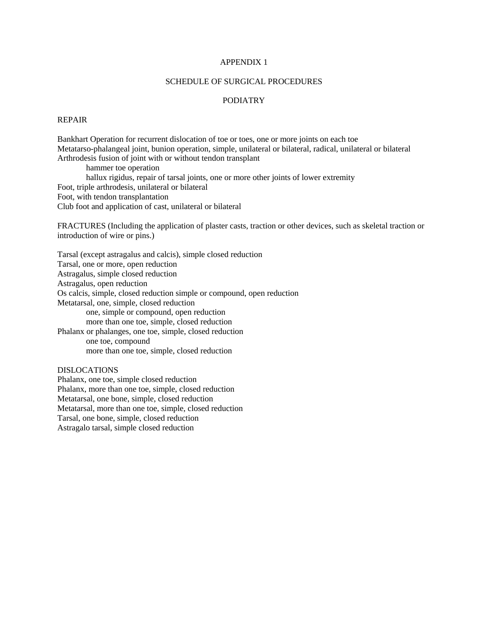## APPENDIX 1

#### SCHEDULE OF SURGICAL PROCEDURES

## PODIATRY

## REPAIR

Bankhart Operation for recurrent dislocation of toe or toes, one or more joints on each toe Metatarso-phalangeal joint, bunion operation, simple, unilateral or bilateral, radical, unilateral or bilateral Arthrodesis fusion of joint with or without tendon transplant hammer toe operation hallux rigidus, repair of tarsal joints, one or more other joints of lower extremity Foot, triple arthrodesis, unilateral or bilateral Foot, with tendon transplantation Club foot and application of cast, unilateral or bilateral FRACTURES (Including the application of plaster casts, traction or other devices, such as skeletal traction or introduction of wire or pins.)

Tarsal (except astragalus and calcis), simple closed reduction Tarsal, one or more, open reduction Astragalus, simple closed reduction Astragalus, open reduction Os calcis, simple, closed reduction simple or compound, open reduction Metatarsal, one, simple, closed reduction one, simple or compound, open reduction more than one toe, simple, closed reduction Phalanx or phalanges, one toe, simple, closed reduction one toe, compound more than one toe, simple, closed reduction

## DISLOCATIONS

Phalanx, one toe, simple closed reduction Phalanx, more than one toe, simple, closed reduction Metatarsal, one bone, simple, closed reduction Metatarsal, more than one toe, simple, closed reduction Tarsal, one bone, simple, closed reduction Astragalo tarsal, simple closed reduction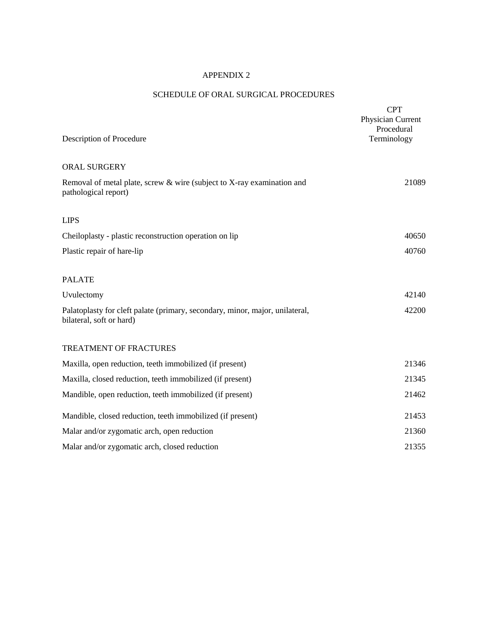## APPENDIX 2

# SCHEDULE OF ORAL SURGICAL PROCEDURES

| Description of Procedure                                                                                 | <b>CPT</b><br>Physician Current<br>Procedural<br>Terminology |
|----------------------------------------------------------------------------------------------------------|--------------------------------------------------------------|
| <b>ORAL SURGERY</b>                                                                                      |                                                              |
| Removal of metal plate, screw & wire (subject to X-ray examination and<br>pathological report)           | 21089                                                        |
| <b>LIPS</b>                                                                                              |                                                              |
| Cheiloplasty - plastic reconstruction operation on lip                                                   | 40650                                                        |
| Plastic repair of hare-lip                                                                               | 40760                                                        |
| <b>PALATE</b>                                                                                            |                                                              |
| Uvulectomy                                                                                               | 42140                                                        |
| Palatoplasty for cleft palate (primary, secondary, minor, major, unilateral,<br>bilateral, soft or hard) | 42200                                                        |
| <b>TREATMENT OF FRACTURES</b>                                                                            |                                                              |
| Maxilla, open reduction, teeth immobilized (if present)                                                  | 21346                                                        |
| Maxilla, closed reduction, teeth immobilized (if present)                                                | 21345                                                        |
| Mandible, open reduction, teeth immobilized (if present)                                                 | 21462                                                        |
| Mandible, closed reduction, teeth immobilized (if present)                                               | 21453                                                        |
| Malar and/or zygomatic arch, open reduction                                                              | 21360                                                        |
| Malar and/or zygomatic arch, closed reduction                                                            | 21355                                                        |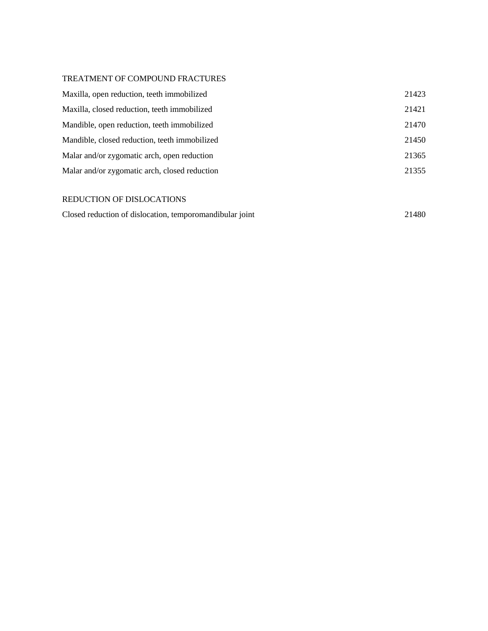## TREATMENT OF COMPOUND FRACTURES

| Maxilla, open reduction, teeth immobilized    | 21423 |
|-----------------------------------------------|-------|
| Maxilla, closed reduction, teeth immobilized  | 21421 |
| Mandible, open reduction, teeth immobilized   | 21470 |
| Mandible, closed reduction, teeth immobilized | 21450 |
| Malar and/or zygomatic arch, open reduction   | 21365 |
| Malar and/or zygomatic arch, closed reduction | 21355 |
|                                               |       |
| REDUCTION OF DISLOCATIONS                     |       |

| Closed reduction of dislocation, temporomandibular joint |  | 21480 |
|----------------------------------------------------------|--|-------|
|----------------------------------------------------------|--|-------|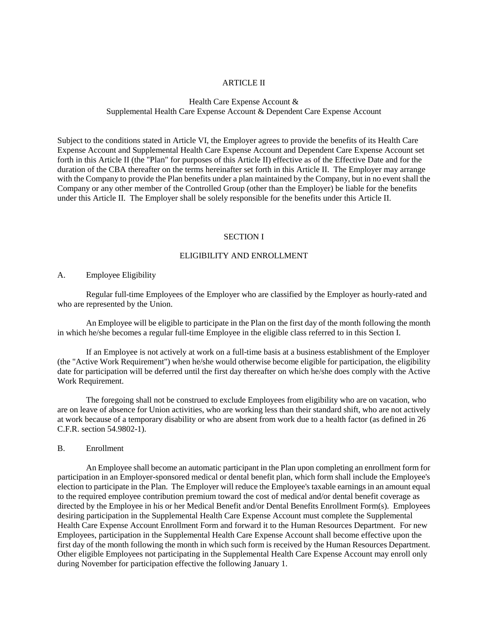#### ARTICLE II

## Health Care Expense Account & Supplemental Health Care Expense Account & Dependent Care Expense Account

Subject to the conditions stated in Article VI, the Employer agrees to provide the benefits of its Health Care Expense Account and Supplemental Health Care Expense Account and Dependent Care Expense Account set forth in this Article II (the "Plan" for purposes of this Article II) effective as of the Effective Date and for the duration of the CBA thereafter on the terms hereinafter set forth in this Article II. The Employer may arrange with the Company to provide the Plan benefits under a plan maintained by the Company, but in no event shall the Company or any other member of the Controlled Group (other than the Employer) be liable for the benefits under this Article II. The Employer shall be solely responsible for the benefits under this Article II.

### SECTION I

## ELIGIBILITY AND ENROLLMENT

#### A. Employee Eligibility

Regular full-time Employees of the Employer who are classified by the Employer as hourly-rated and who are represented by the Union.

An Employee will be eligible to participate in the Plan on the first day of the month following the month in which he/she becomes a regular full-time Employee in the eligible class referred to in this Section I.

If an Employee is not actively at work on a full-time basis at a business establishment of the Employer (the "Active Work Requirement") when he/she would otherwise become eligible for participation, the eligibility date for participation will be deferred until the first day thereafter on which he/she does comply with the Active Work Requirement.

The foregoing shall not be construed to exclude Employees from eligibility who are on vacation, who are on leave of absence for Union activities, who are working less than their standard shift, who are not actively at work because of a temporary disability or who are absent from work due to a health factor (as defined in 26 C.F.R. section 54.9802-1).

#### B. Enrollment

An Employee shall become an automatic participant in the Plan upon completing an enrollment form for participation in an Employer-sponsored medical or dental benefit plan, which form shall include the Employee's election to participate in the Plan. The Employer will reduce the Employee's taxable earnings in an amount equal to the required employee contribution premium toward the cost of medical and/or dental benefit coverage as directed by the Employee in his or her Medical Benefit and/or Dental Benefits Enrollment Form(s). Employees desiring participation in the Supplemental Health Care Expense Account must complete the Supplemental Health Care Expense Account Enrollment Form and forward it to the Human Resources Department. For new Employees, participation in the Supplemental Health Care Expense Account shall become effective upon the first day of the month following the month in which such form is received by the Human Resources Department. Other eligible Employees not participating in the Supplemental Health Care Expense Account may enroll only during November for participation effective the following January 1.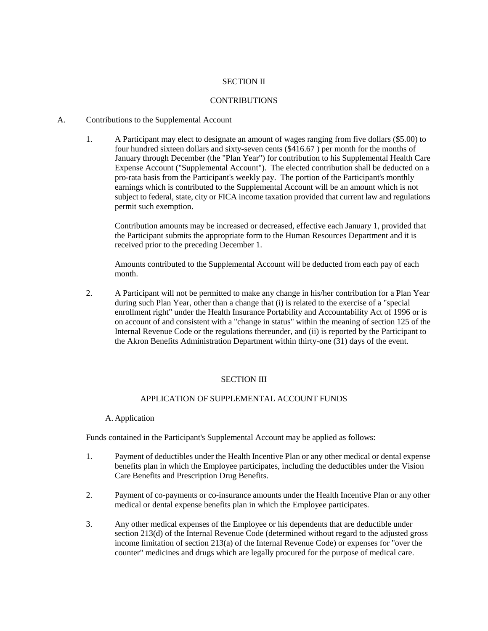### SECTION II

## **CONTRIBUTIONS**

## A. Contributions to the Supplemental Account

1. A Participant may elect to designate an amount of wages ranging from five dollars (\$5.00) to four hundred sixteen dollars and sixty-seven cents (\$416.67 ) per month for the months of January through December (the "Plan Year") for contribution to his Supplemental Health Care Expense Account ("Supplemental Account"). The elected contribution shall be deducted on a pro-rata basis from the Participant's weekly pay. The portion of the Participant's monthly earnings which is contributed to the Supplemental Account will be an amount which is not subject to federal, state, city or FICA income taxation provided that current law and regulations permit such exemption.

Contribution amounts may be increased or decreased, effective each January 1, provided that the Participant submits the appropriate form to the Human Resources Department and it is received prior to the preceding December 1.

Amounts contributed to the Supplemental Account will be deducted from each pay of each month.

2. A Participant will not be permitted to make any change in his/her contribution for a Plan Year during such Plan Year, other than a change that (i) is related to the exercise of a "special enrollment right" under the Health Insurance Portability and Accountability Act of 1996 or is on account of and consistent with a "change in status" within the meaning of section 125 of the Internal Revenue Code or the regulations thereunder, and (ii) is reported by the Participant to the Akron Benefits Administration Department within thirty-one (31) days of the event.

### SECTION III

## APPLICATION OF SUPPLEMENTAL ACCOUNT FUNDS

### A. Application

Funds contained in the Participant's Supplemental Account may be applied as follows:

- 1. Payment of deductibles under the Health Incentive Plan or any other medical or dental expense benefits plan in which the Employee participates, including the deductibles under the Vision Care Benefits and Prescription Drug Benefits.
- 2. Payment of co-payments or co-insurance amounts under the Health Incentive Plan or any other medical or dental expense benefits plan in which the Employee participates.
- 3. Any other medical expenses of the Employee or his dependents that are deductible under section 213(d) of the Internal Revenue Code (determined without regard to the adjusted gross income limitation of section 213(a) of the Internal Revenue Code) or expenses for "over the counter" medicines and drugs which are legally procured for the purpose of medical care.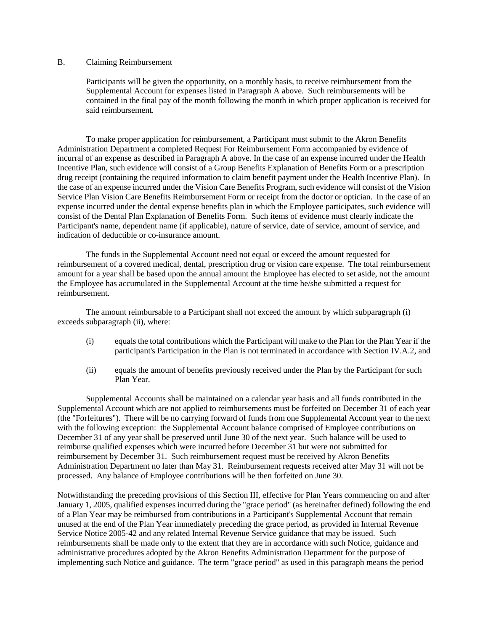### B. Claiming Reimbursement

Participants will be given the opportunity, on a monthly basis, to receive reimbursement from the Supplemental Account for expenses listed in Paragraph A above. Such reimbursements will be contained in the final pay of the month following the month in which proper application is received for said reimbursement.

To make proper application for reimbursement, a Participant must submit to the Akron Benefits Administration Department a completed Request For Reimbursement Form accompanied by evidence of incurral of an expense as described in Paragraph A above. In the case of an expense incurred under the Health Incentive Plan, such evidence will consist of a Group Benefits Explanation of Benefits Form or a prescription drug receipt (containing the required information to claim benefit payment under the Health Incentive Plan). In the case of an expense incurred under the Vision Care Benefits Program, such evidence will consist of the Vision Service Plan Vision Care Benefits Reimbursement Form or receipt from the doctor or optician. In the case of an expense incurred under the dental expense benefits plan in which the Employee participates, such evidence will consist of the Dental Plan Explanation of Benefits Form. Such items of evidence must clearly indicate the Participant's name, dependent name (if applicable), nature of service, date of service, amount of service, and indication of deductible or co-insurance amount.

The funds in the Supplemental Account need not equal or exceed the amount requested for reimbursement of a covered medical, dental, prescription drug or vision care expense. The total reimbursement amount for a year shall be based upon the annual amount the Employee has elected to set aside, not the amount the Employee has accumulated in the Supplemental Account at the time he/she submitted a request for reimbursement.

The amount reimbursable to a Participant shall not exceed the amount by which subparagraph (i) exceeds subparagraph (ii), where:

- (i) equals the total contributions which the Participant will make to the Plan for the Plan Year if the participant's Participation in the Plan is not terminated in accordance with Section IV.A.2, and
- (ii) equals the amount of benefits previously received under the Plan by the Participant for such Plan Year.

Supplemental Accounts shall be maintained on a calendar year basis and all funds contributed in the Supplemental Account which are not applied to reimbursements must be forfeited on December 31 of each year (the "Forfeitures"). There will be no carrying forward of funds from one Supplemental Account year to the next with the following exception: the Supplemental Account balance comprised of Employee contributions on December 31 of any year shall be preserved until June 30 of the next year. Such balance will be used to reimburse qualified expenses which were incurred before December 31 but were not submitted for reimbursement by December 31. Such reimbursement request must be received by Akron Benefits Administration Department no later than May 31. Reimbursement requests received after May 31 will not be processed. Any balance of Employee contributions will be then forfeited on June 30.

Notwithstanding the preceding provisions of this Section III, effective for Plan Years commencing on and after January 1, 2005, qualified expenses incurred during the "grace period" (as hereinafter defined) following the end of a Plan Year may be reimbursed from contributions in a Participant's Supplemental Account that remain unused at the end of the Plan Year immediately preceding the grace period, as provided in Internal Revenue Service Notice 2005-42 and any related Internal Revenue Service guidance that may be issued. Such reimbursements shall be made only to the extent that they are in accordance with such Notice, guidance and administrative procedures adopted by the Akron Benefits Administration Department for the purpose of implementing such Notice and guidance. The term "grace period" as used in this paragraph means the period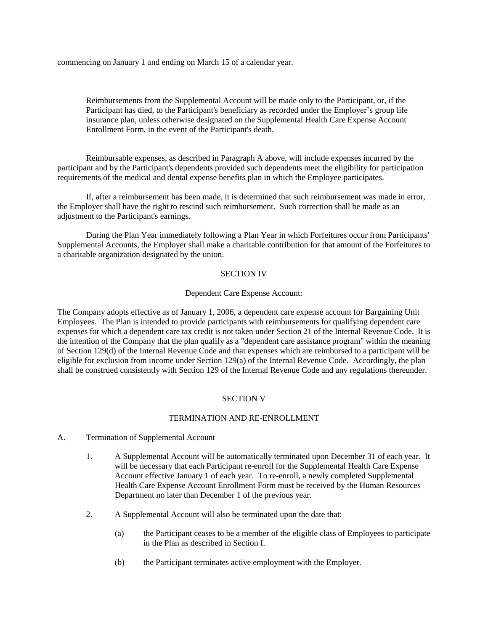commencing on January 1 and ending on March 15 of a calendar year.

Reimbursements from the Supplemental Account will be made only to the Participant, or, if the Participant has died, to the Participant's beneficiary as recorded under the Employer's group life insurance plan, unless otherwise designated on the Supplemental Health Care Expense Account Enrollment Form, in the event of the Participant's death.

Reimbursable expenses, as described in Paragraph A above, will include expenses incurred by the participant and by the Participant's dependents provided such dependents meet the eligibility for participation requirements of the medical and dental expense benefits plan in which the Employee participates.

If, after a reimbursement has been made, it is determined that such reimbursement was made in error, the Employer shall have the right to rescind such reimbursement. Such correction shall be made as an adjustment to the Participant's earnings.

During the Plan Year immediately following a Plan Year in which Forfeitures occur from Participants' Supplemental Accounts, the Employer shall make a charitable contribution for that amount of the Forfeitures to a charitable organization designated by the union.

## SECTION IV

## Dependent Care Expense Account:

The Company adopts effective as of January 1, 2006, a dependent care expense account for Bargaining Unit Employees. The Plan is intended to provide participants with reimbursements for qualifying dependent care expenses for which a dependent care tax credit is not taken under Section 21 of the Internal Revenue Code. It is the intention of the Company that the plan qualify as a "dependent care assistance program" within the meaning of Section 129(d) of the Internal Revenue Code and that expenses which are reimbursed to a participant will be eligible for exclusion from income under Section 129(a) of the Internal Revenue Code. Accordingly, the plan shall be construed consistently with Section 129 of the Internal Revenue Code and any regulations thereunder.

## SECTION V

## TERMINATION AND RE-ENROLLMENT

- A. Termination of Supplemental Account
	- 1. A Supplemental Account will be automatically terminated upon December 31 of each year. It will be necessary that each Participant re-enroll for the Supplemental Health Care Expense Account effective January 1 of each year. To re-enroll, a newly completed Supplemental Health Care Expense Account Enrollment Form must be received by the Human Resources Department no later than December 1 of the previous year.
	- 2. A Supplemental Account will also be terminated upon the date that:
		- (a) the Participant ceases to be a member of the eligible class of Employees to participate in the Plan as described in Section I.
		- (b) the Participant terminates active employment with the Employer.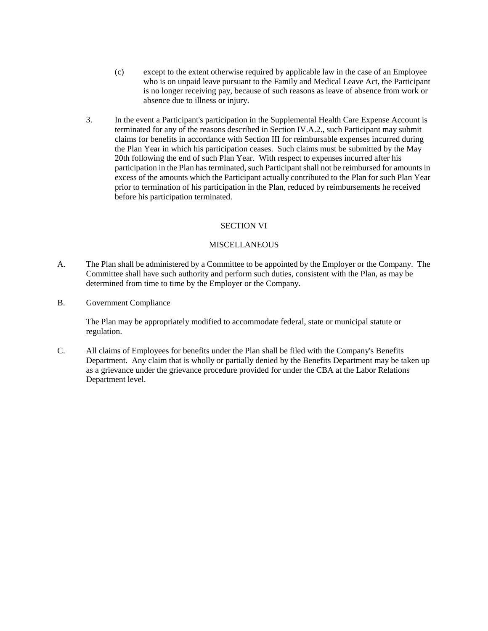- (c) except to the extent otherwise required by applicable law in the case of an Employee who is on unpaid leave pursuant to the Family and Medical Leave Act, the Participant is no longer receiving pay, because of such reasons as leave of absence from work or absence due to illness or injury.
- 3. In the event a Participant's participation in the Supplemental Health Care Expense Account is terminated for any of the reasons described in Section IV.A.2., such Participant may submit claims for benefits in accordance with Section III for reimbursable expenses incurred during the Plan Year in which his participation ceases. Such claims must be submitted by the May 20th following the end of such Plan Year. With respect to expenses incurred after his participation in the Plan has terminated, such Participant shall not be reimbursed for amounts in excess of the amounts which the Participant actually contributed to the Plan for such Plan Year prior to termination of his participation in the Plan, reduced by reimbursements he received before his participation terminated.

## SECTION VI

## MISCELLANEOUS

- A. The Plan shall be administered by a Committee to be appointed by the Employer or the Company. The Committee shall have such authority and perform such duties, consistent with the Plan, as may be determined from time to time by the Employer or the Company.
- B. Government Compliance

The Plan may be appropriately modified to accommodate federal, state or municipal statute or regulation.

C. All claims of Employees for benefits under the Plan shall be filed with the Company's Benefits Department. Any claim that is wholly or partially denied by the Benefits Department may be taken up as a grievance under the grievance procedure provided for under the CBA at the Labor Relations Department level.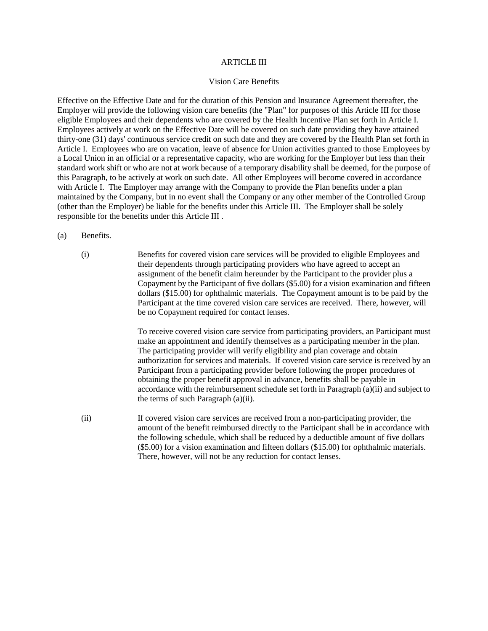#### ARTICLE III

#### Vision Care Benefits

Effective on the Effective Date and for the duration of this Pension and Insurance Agreement thereafter, the Employer will provide the following vision care benefits (the "Plan" for purposes of this Article III for those eligible Employees and their dependents who are covered by the Health Incentive Plan set forth in Article I. Employees actively at work on the Effective Date will be covered on such date providing they have attained thirty-one (31) days' continuous service credit on such date and they are covered by the Health Plan set forth in Article I. Employees who are on vacation, leave of absence for Union activities granted to those Employees by a Local Union in an official or a representative capacity, who are working for the Employer but less than their standard work shift or who are not at work because of a temporary disability shall be deemed, for the purpose of this Paragraph, to be actively at work on such date. All other Employees will become covered in accordance with Article I. The Employer may arrange with the Company to provide the Plan benefits under a plan maintained by the Company, but in no event shall the Company or any other member of the Controlled Group (other than the Employer) be liable for the benefits under this Article III. The Employer shall be solely responsible for the benefits under this Article III .

- (a) Benefits.
	- (i) Benefits for covered vision care services will be provided to eligible Employees and their dependents through participating providers who have agreed to accept an assignment of the benefit claim hereunder by the Participant to the provider plus a Copayment by the Participant of five dollars (\$5.00) for a vision examination and fifteen dollars (\$15.00) for ophthalmic materials. The Copayment amount is to be paid by the Participant at the time covered vision care services are received. There, however, will be no Copayment required for contact lenses.

To receive covered vision care service from participating providers, an Participant must make an appointment and identify themselves as a participating member in the plan. The participating provider will verify eligibility and plan coverage and obtain authorization for services and materials. If covered vision care service is received by an Participant from a participating provider before following the proper procedures of obtaining the proper benefit approval in advance, benefits shall be payable in accordance with the reimbursement schedule set forth in Paragraph (a)(ii) and subject to the terms of such Paragraph (a)(ii).

(ii) If covered vision care services are received from a non-participating provider, the amount of the benefit reimbursed directly to the Participant shall be in accordance with the following schedule, which shall be reduced by a deductible amount of five dollars (\$5.00) for a vision examination and fifteen dollars (\$15.00) for ophthalmic materials. There, however, will not be any reduction for contact lenses.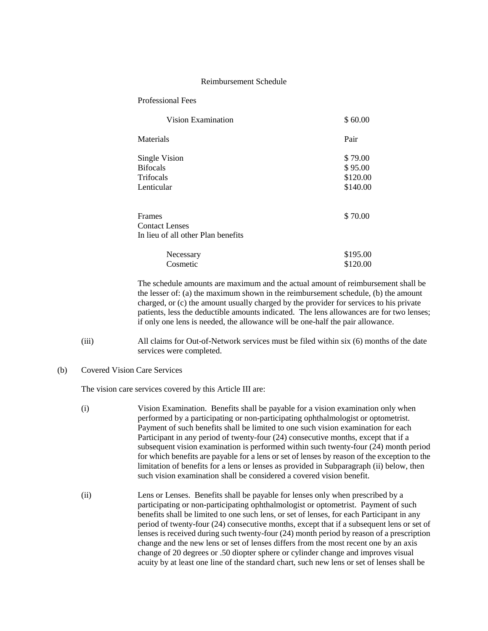#### Reimbursement Schedule

| <b>Professional Fees</b> |  |
|--------------------------|--|
|--------------------------|--|

| Vision Examination                 | \$60.00  |
|------------------------------------|----------|
| Materials                          | Pair     |
| Single Vision                      | \$79.00  |
| <b>Bifocals</b>                    | \$95.00  |
| Trifocals                          | \$120.00 |
| Lenticular                         | \$140.00 |
| Frames                             | \$70.00  |
| <b>Contact Lenses</b>              |          |
| In lieu of all other Plan benefits |          |
| Necessary                          | \$195.00 |
| Cosmetic                           | \$120.00 |

The schedule amounts are maximum and the actual amount of reimbursement shall be the lesser of: (a) the maximum shown in the reimbursement schedule, (b) the amount charged, or (c) the amount usually charged by the provider for services to his private patients, less the deductible amounts indicated. The lens allowances are for two lenses; if only one lens is needed, the allowance will be one-half the pair allowance.

- (iii) All claims for Out-of-Network services must be filed within six (6) months of the date services were completed.
- (b) Covered Vision Care Services

The vision care services covered by this Article III are:

- (i) Vision Examination. Benefits shall be payable for a vision examination only when performed by a participating or non-participating ophthalmologist or optometrist. Payment of such benefits shall be limited to one such vision examination for each Participant in any period of twenty-four (24) consecutive months, except that if a subsequent vision examination is performed within such twenty-four (24) month period for which benefits are payable for a lens or set of lenses by reason of the exception to the limitation of benefits for a lens or lenses as provided in Subparagraph (ii) below, then such vision examination shall be considered a covered vision benefit.
- (ii) Lens or Lenses. Benefits shall be payable for lenses only when prescribed by a participating or non-participating ophthalmologist or optometrist. Payment of such benefits shall be limited to one such lens, or set of lenses, for each Participant in any period of twenty-four (24) consecutive months, except that if a subsequent lens or set of lenses is received during such twenty-four (24) month period by reason of a prescription change and the new lens or set of lenses differs from the most recent one by an axis change of 20 degrees or .50 diopter sphere or cylinder change and improves visual acuity by at least one line of the standard chart, such new lens or set of lenses shall be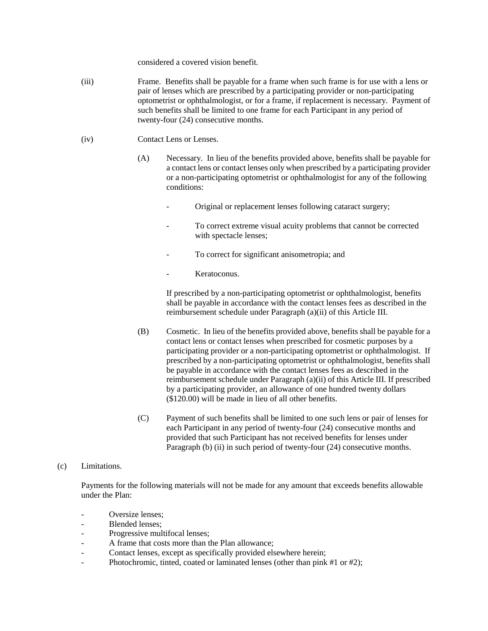considered a covered vision benefit.

- (iii) Frame. Benefits shall be payable for a frame when such frame is for use with a lens or pair of lenses which are prescribed by a participating provider or non-participating optometrist or ophthalmologist, or for a frame, if replacement is necessary. Payment of such benefits shall be limited to one frame for each Participant in any period of twenty-four (24) consecutive months.
- (iv) Contact Lens or Lenses.
	- (A) Necessary. In lieu of the benefits provided above, benefits shall be payable for a contact lens or contact lenses only when prescribed by a participating provider or a non-participating optometrist or ophthalmologist for any of the following conditions:
		- Original or replacement lenses following cataract surgery;
		- To correct extreme visual acuity problems that cannot be corrected with spectacle lenses;
		- To correct for significant anisometropia; and
		- Keratoconus.

If prescribed by a non-participating optometrist or ophthalmologist, benefits shall be payable in accordance with the contact lenses fees as described in the reimbursement schedule under Paragraph (a)(ii) of this Article III.

- (B) Cosmetic. In lieu of the benefits provided above, benefits shall be payable for a contact lens or contact lenses when prescribed for cosmetic purposes by a participating provider or a non-participating optometrist or ophthalmologist. If prescribed by a non-participating optometrist or ophthalmologist, benefits shall be payable in accordance with the contact lenses fees as described in the reimbursement schedule under Paragraph (a)(ii) of this Article III. If prescribed by a participating provider, an allowance of one hundred twenty dollars (\$120.00) will be made in lieu of all other benefits.
- (C) Payment of such benefits shall be limited to one such lens or pair of lenses for each Participant in any period of twenty-four (24) consecutive months and provided that such Participant has not received benefits for lenses under Paragraph (b) (ii) in such period of twenty-four (24) consecutive months.

### (c) Limitations.

Payments for the following materials will not be made for any amount that exceeds benefits allowable under the Plan:

- Oversize lenses:
- Blended lenses:
- Progressive multifocal lenses;
- A frame that costs more than the Plan allowance;
- Contact lenses, except as specifically provided elsewhere herein;
- Photochromic, tinted, coated or laminated lenses (other than pink #1 or #2);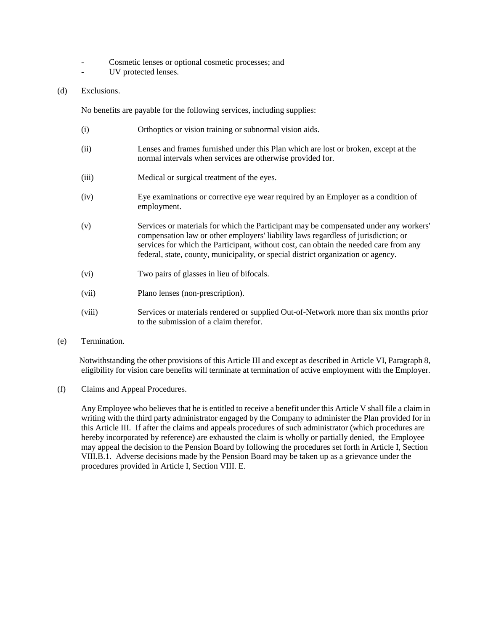- Cosmetic lenses or optional cosmetic processes; and
- UV protected lenses.

## (d) Exclusions.

No benefits are payable for the following services, including supplies:

- (i) Orthoptics or vision training or subnormal vision aids.
- (ii) Lenses and frames furnished under this Plan which are lost or broken, except at the normal intervals when services are otherwise provided for.
- (iii) Medical or surgical treatment of the eyes.
- (iv) Eye examinations or corrective eye wear required by an Employer as a condition of employment.
- (v) Services or materials for which the Participant may be compensated under any workers' compensation law or other employers' liability laws regardless of jurisdiction; or services for which the Participant, without cost, can obtain the needed care from any federal, state, county, municipality, or special district organization or agency.
- (vi) Two pairs of glasses in lieu of bifocals.
- (vii) Plano lenses (non-prescription).
- (viii) Services or materials rendered or supplied Out-of-Network more than six months prior to the submission of a claim therefor.
- (e) Termination.

Notwithstanding the other provisions of this Article III and except as described in Article VI, Paragraph 8, eligibility for vision care benefits will terminate at termination of active employment with the Employer.

(f) Claims and Appeal Procedures.

Any Employee who believes that he is entitled to receive a benefit under this Article V shall file a claim in writing with the third party administrator engaged by the Company to administer the Plan provided for in this Article III. If after the claims and appeals procedures of such administrator (which procedures are hereby incorporated by reference) are exhausted the claim is wholly or partially denied, the Employee may appeal the decision to the Pension Board by following the procedures set forth in Article I, Section VIII.B.1. Adverse decisions made by the Pension Board may be taken up as a grievance under the procedures provided in Article I, Section VIII. E.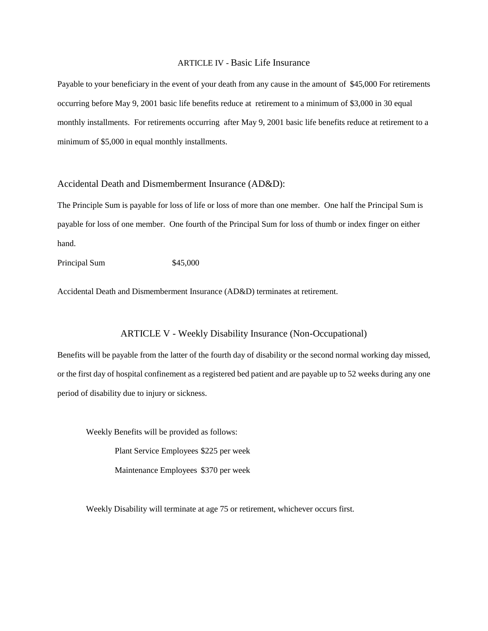### ARTICLE IV - Basic Life Insurance

Payable to your beneficiary in the event of your death from any cause in the amount of \$45,000 For retirements occurring before May 9, 2001 basic life benefits reduce at retirement to a minimum of \$3,000 in 30 equal monthly installments. For retirements occurring after May 9, 2001 basic life benefits reduce at retirement to a minimum of \$5,000 in equal monthly installments.

## Accidental Death and Dismemberment Insurance (AD&D):

The Principle Sum is payable for loss of life or loss of more than one member. One half the Principal Sum is payable for loss of one member. One fourth of the Principal Sum for loss of thumb or index finger on either hand.

Principal Sum \$45,000

Accidental Death and Dismemberment Insurance (AD&D) terminates at retirement.

### ARTICLE V - Weekly Disability Insurance (Non-Occupational)

Benefits will be payable from the latter of the fourth day of disability or the second normal working day missed, or the first day of hospital confinement as a registered bed patient and are payable up to 52 weeks during any one period of disability due to injury or sickness.

Weekly Benefits will be provided as follows:

Plant Service Employees \$225 per week

Maintenance Employees \$370 per week

Weekly Disability will terminate at age 75 or retirement, whichever occurs first.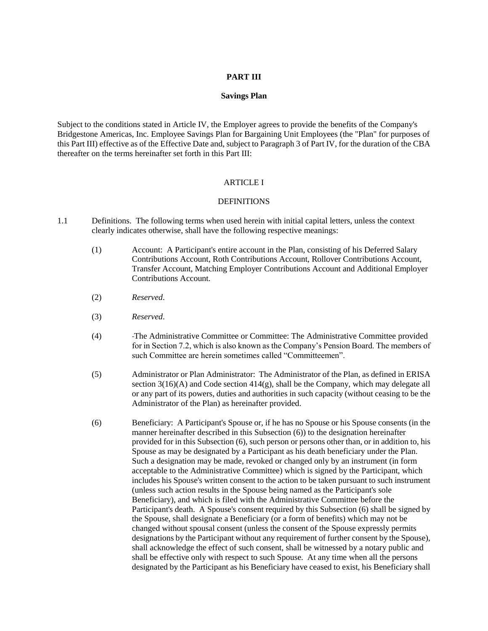#### **PART III**

#### **Savings Plan**

Subject to the conditions stated in Article IV, the Employer agrees to provide the benefits of the Company's Bridgestone Americas, Inc. Employee Savings Plan for Bargaining Unit Employees (the "Plan" for purposes of this Part III) effective as of the Effective Date and, subject to Paragraph 3 of Part IV, for the duration of the CBA thereafter on the terms hereinafter set forth in this Part III:

#### ARTICLE I

### DEFINITIONS

- 1.1 Definitions. The following terms when used herein with initial capital letters, unless the context clearly indicates otherwise, shall have the following respective meanings:
	- (1) Account: A Participant's entire account in the Plan, consisting of his Deferred Salary Contributions Account, Roth Contributions Account, Rollover Contributions Account, Transfer Account, Matching Employer Contributions Account and Additional Employer Contributions Account.
	- (2) *Reserved*.
	- (3) *Reserved*.
	- (4) The Administrative Committee or Committee: The Administrative Committee provided for in Section 7.2, which is also known as the Company's Pension Board. The members of such Committee are herein sometimes called "Committeemen".
	- (5) Administrator or Plan Administrator: The Administrator of the Plan, as defined in ERISA section  $3(16)(A)$  and Code section  $414(g)$ , shall be the Company, which may delegate all or any part of its powers, duties and authorities in such capacity (without ceasing to be the Administrator of the Plan) as hereinafter provided.
	- (6) Beneficiary: A Participant's Spouse or, if he has no Spouse or his Spouse consents (in the manner hereinafter described in this Subsection (6)) to the designation hereinafter provided for in this Subsection (6), such person or persons other than, or in addition to, his Spouse as may be designated by a Participant as his death beneficiary under the Plan. Such a designation may be made, revoked or changed only by an instrument (in form acceptable to the Administrative Committee) which is signed by the Participant, which includes his Spouse's written consent to the action to be taken pursuant to such instrument (unless such action results in the Spouse being named as the Participant's sole Beneficiary), and which is filed with the Administrative Committee before the Participant's death. A Spouse's consent required by this Subsection (6) shall be signed by the Spouse, shall designate a Beneficiary (or a form of benefits) which may not be changed without spousal consent (unless the consent of the Spouse expressly permits designations by the Participant without any requirement of further consent by the Spouse), shall acknowledge the effect of such consent, shall be witnessed by a notary public and shall be effective only with respect to such Spouse. At any time when all the persons designated by the Participant as his Beneficiary have ceased to exist, his Beneficiary shall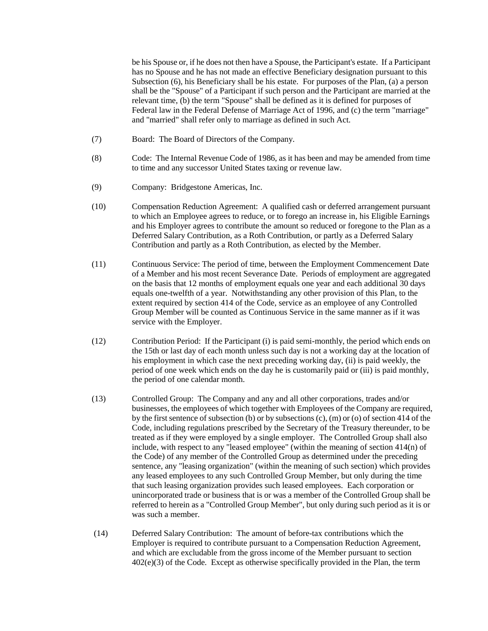be his Spouse or, if he does not then have a Spouse, the Participant's estate. If a Participant has no Spouse and he has not made an effective Beneficiary designation pursuant to this Subsection (6), his Beneficiary shall be his estate. For purposes of the Plan, (a) a person shall be the "Spouse" of a Participant if such person and the Participant are married at the relevant time, (b) the term "Spouse" shall be defined as it is defined for purposes of Federal law in the Federal Defense of Marriage Act of 1996, and (c) the term "marriage" and "married" shall refer only to marriage as defined in such Act.

- (7) Board: The Board of Directors of the Company.
- (8) Code: The Internal Revenue Code of 1986, as it has been and may be amended from time to time and any successor United States taxing or revenue law.
- (9) Company: Bridgestone Americas, Inc.
- (10) Compensation Reduction Agreement: A qualified cash or deferred arrangement pursuant to which an Employee agrees to reduce, or to forego an increase in, his Eligible Earnings and his Employer agrees to contribute the amount so reduced or foregone to the Plan as a Deferred Salary Contribution, as a Roth Contribution, or partly as a Deferred Salary Contribution and partly as a Roth Contribution, as elected by the Member.
- (11) Continuous Service: The period of time, between the Employment Commencement Date of a Member and his most recent Severance Date. Periods of employment are aggregated on the basis that 12 months of employment equals one year and each additional 30 days equals one-twelfth of a year. Notwithstanding any other provision of this Plan, to the extent required by section 414 of the Code, service as an employee of any Controlled Group Member will be counted as Continuous Service in the same manner as if it was service with the Employer.
- (12) Contribution Period: If the Participant (i) is paid semi-monthly, the period which ends on the 15th or last day of each month unless such day is not a working day at the location of his employment in which case the next preceding working day, (ii) is paid weekly, the period of one week which ends on the day he is customarily paid or (iii) is paid monthly, the period of one calendar month.
- (13) Controlled Group: The Company and any and all other corporations, trades and/or businesses, the employees of which together with Employees of the Company are required, by the first sentence of subsection (b) or by subsections (c), (m) or (o) of section 414 of the Code, including regulations prescribed by the Secretary of the Treasury thereunder, to be treated as if they were employed by a single employer. The Controlled Group shall also include, with respect to any "leased employee" (within the meaning of section 414(n) of the Code) of any member of the Controlled Group as determined under the preceding sentence, any "leasing organization" (within the meaning of such section) which provides any leased employees to any such Controlled Group Member, but only during the time that such leasing organization provides such leased employees. Each corporation or unincorporated trade or business that is or was a member of the Controlled Group shall be referred to herein as a "Controlled Group Member", but only during such period as it is or was such a member.
- (14) Deferred Salary Contribution: The amount of before-tax contributions which the Employer is required to contribute pursuant to a Compensation Reduction Agreement, and which are excludable from the gross income of the Member pursuant to section 402(e)(3) of the Code. Except as otherwise specifically provided in the Plan, the term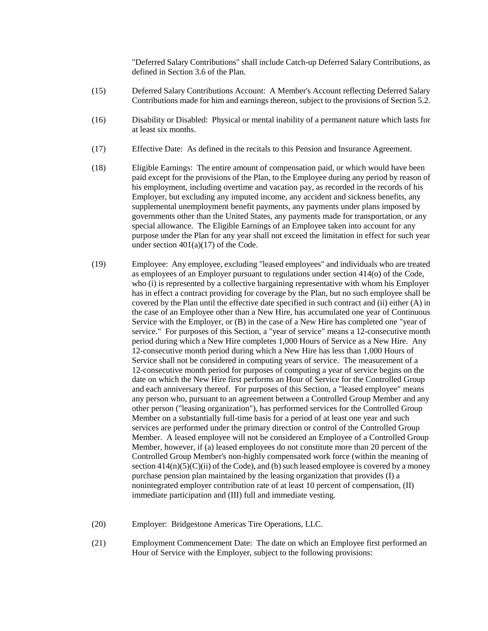"Deferred Salary Contributions" shall include Catch-up Deferred Salary Contributions, as defined in Section 3.6 of the Plan.

- (15) Deferred Salary Contributions Account: A Member's Account reflecting Deferred Salary Contributions made for him and earnings thereon, subject to the provisions of Section 5.2.
- (16) Disability or Disabled: Physical or mental inability of a permanent nature which lasts for at least six months.
- (17) Effective Date: As defined in the recitals to this Pension and Insurance Agreement.
- (18) Eligible Earnings: The entire amount of compensation paid, or which would have been paid except for the provisions of the Plan, to the Employee during any period by reason of his employment, including overtime and vacation pay, as recorded in the records of his Employer, but excluding any imputed income, any accident and sickness benefits, any supplemental unemployment benefit payments, any payments under plans imposed by governments other than the United States, any payments made for transportation, or any special allowance. The Eligible Earnings of an Employee taken into account for any purpose under the Plan for any year shall not exceed the limitation in effect for such year under section  $401(a)(17)$  of the Code.
- (19) Employee: Any employee, excluding "leased employees" and individuals who are treated as employees of an Employer pursuant to regulations under section 414(o) of the Code, who (i) is represented by a collective bargaining representative with whom his Employer has in effect a contract providing for coverage by the Plan, but no such employee shall be covered by the Plan until the effective date specified in such contract and (ii) either (A) in the case of an Employee other than a New Hire, has accumulated one year of Continuous Service with the Employer, or (B) in the case of a New Hire has completed one "year of service." For purposes of this Section, a "year of service" means a 12-consecutive month period during which a New Hire completes 1,000 Hours of Service as a New Hire. Any 12-consecutive month period during which a New Hire has less than 1,000 Hours of Service shall not be considered in computing years of service. The measurement of a 12-consecutive month period for purposes of computing a year of service begins on the date on which the New Hire first performs an Hour of Service for the Controlled Group and each anniversary thereof. For purposes of this Section, a "leased employee" means any person who, pursuant to an agreement between a Controlled Group Member and any other person ("leasing organization"), has performed services for the Controlled Group Member on a substantially full-time basis for a period of at least one year and such services are performed under the primary direction or control of the Controlled Group Member. A leased employee will not be considered an Employee of a Controlled Group Member, however, if (a) leased employees do not constitute more than 20 percent of the Controlled Group Member's non-highly compensated work force (within the meaning of section  $414(n)(5)(i)$  of the Code), and (b) such leased employee is covered by a money purchase pension plan maintained by the leasing organization that provides (I) a nonintegrated employer contribution rate of at least 10 percent of compensation, (II) immediate participation and (III) full and immediate vesting.
- (20) Employer: Bridgestone Americas Tire Operations, LLC.
- (21) Employment Commencement Date: The date on which an Employee first performed an Hour of Service with the Employer, subject to the following provisions: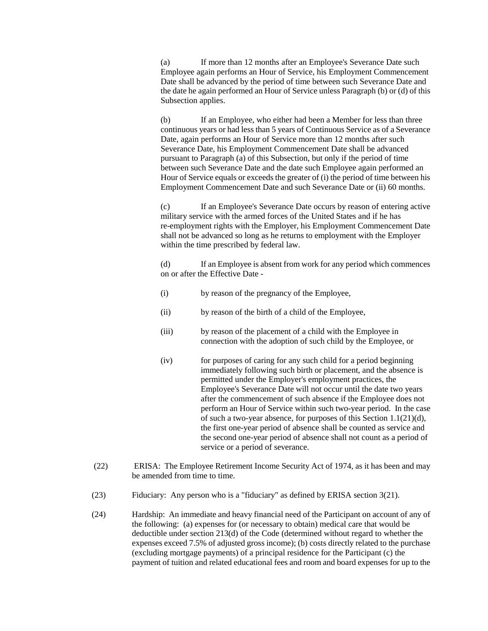(a) If more than 12 months after an Employee's Severance Date such Employee again performs an Hour of Service, his Employment Commencement Date shall be advanced by the period of time between such Severance Date and the date he again performed an Hour of Service unless Paragraph (b) or (d) of this Subsection applies.

(b) If an Employee, who either had been a Member for less than three continuous years or had less than 5 years of Continuous Service as of a Severance Date, again performs an Hour of Service more than 12 months after such Severance Date, his Employment Commencement Date shall be advanced pursuant to Paragraph (a) of this Subsection, but only if the period of time between such Severance Date and the date such Employee again performed an Hour of Service equals or exceeds the greater of (i) the period of time between his Employment Commencement Date and such Severance Date or (ii) 60 months.

(c) If an Employee's Severance Date occurs by reason of entering active military service with the armed forces of the United States and if he has re-employment rights with the Employer, his Employment Commencement Date shall not be advanced so long as he returns to employment with the Employer within the time prescribed by federal law.

(d) If an Employee is absent from work for any period which commences on or after the Effective Date -

- (i) by reason of the pregnancy of the Employee,
- (ii) by reason of the birth of a child of the Employee,
- (iii) by reason of the placement of a child with the Employee in connection with the adoption of such child by the Employee, or
- (iv) for purposes of caring for any such child for a period beginning immediately following such birth or placement, and the absence is permitted under the Employer's employment practices, the Employee's Severance Date will not occur until the date two years after the commencement of such absence if the Employee does not perform an Hour of Service within such two-year period. In the case of such a two-year absence, for purposes of this Section 1.1(21)(d), the first one-year period of absence shall be counted as service and the second one-year period of absence shall not count as a period of service or a period of severance.
- (22) ERISA: The Employee Retirement Income Security Act of 1974, as it has been and may be amended from time to time.
- (23) Fiduciary: Any person who is a "fiduciary" as defined by ERISA section 3(21).
- (24) Hardship: An immediate and heavy financial need of the Participant on account of any of the following: (a) expenses for (or necessary to obtain) medical care that would be deductible under section 213(d) of the Code (determined without regard to whether the expenses exceed 7.5% of adjusted gross income); (b) costs directly related to the purchase (excluding mortgage payments) of a principal residence for the Participant (c) the payment of tuition and related educational fees and room and board expenses for up to the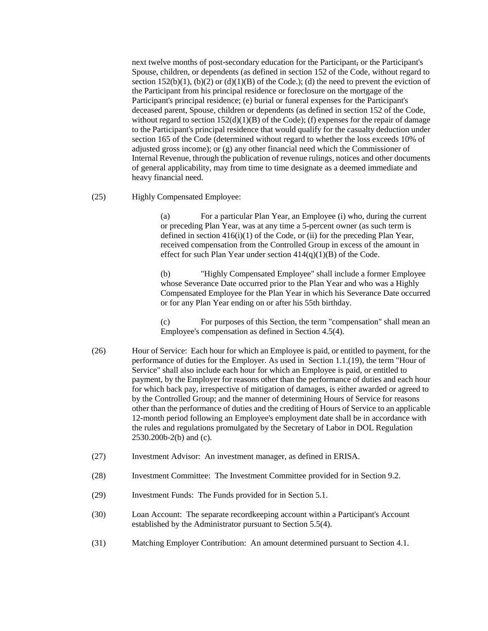next twelve months of post-secondary education for the Participant, or the Participant's Spouse, children, or dependents (as defined in section 152 of the Code, without regard to section  $152(b)(1)$ ,  $(b)(2)$  or  $(d)(1)(B)$  of the Code.); (d) the need to prevent the eviction of the Participant from his principal residence or foreclosure on the mortgage of the Participant's principal residence; (e) burial or funeral expenses for the Participant's deceased parent, Spouse, children or dependents (as defined in section 152 of the Code, without regard to section  $152(d)(1)(B)$  of the Code); (f) expenses for the repair of damage to the Participant's principal residence that would qualify for the casualty deduction under section 165 of the Code (determined without regard to whether the loss exceeds 10% of adjusted gross income); or (g) any other financial need which the Commissioner of Internal Revenue, through the publication of revenue rulings, notices and other documents of general applicability, may from time to time designate as a deemed immediate and heavy financial need.

(25) Highly Compensated Employee:

(a) For a particular Plan Year, an Employee (i) who, during the current or preceding Plan Year, was at any time a 5-percent owner (as such term is defined in section  $416(i)(1)$  of the Code, or (ii) for the preceding Plan Year, received compensation from the Controlled Group in excess of the amount in effect for such Plan Year under section  $414(q)(1)(B)$  of the Code.

(b) "Highly Compensated Employee" shall include a former Employee whose Severance Date occurred prior to the Plan Year and who was a Highly Compensated Employee for the Plan Year in which his Severance Date occurred or for any Plan Year ending on or after his 55th birthday.

(c) For purposes of this Section, the term "compensation" shall mean an Employee's compensation as defined in Section 4.5(4).

- (26) Hour of Service: Each hour for which an Employee is paid, or entitled to payment, for the performance of duties for the Employer. As used in Section 1.1.(19), the term "Hour of Service" shall also include each hour for which an Employee is paid, or entitled to payment, by the Employer for reasons other than the performance of duties and each hour for which back pay, irrespective of mitigation of damages, is either awarded or agreed to by the Controlled Group; and the manner of determining Hours of Service for reasons other than the performance of duties and the crediting of Hours of Service to an applicable 12-month period following an Employee's employment date shall be in accordance with the rules and regulations promulgated by the Secretary of Labor in DOL Regulation 2530.200b-2(b) and (c).
- (27) Investment Advisor: An investment manager, as defined in ERISA.
- (28) Investment Committee: The Investment Committee provided for in Section 9.2.
- (29) Investment Funds: The Funds provided for in Section 5.1.
- (30) Loan Account: The separate recordkeeping account within a Participant's Account established by the Administrator pursuant to Section 5.5(4).
- (31) Matching Employer Contribution: An amount determined pursuant to Section 4.1.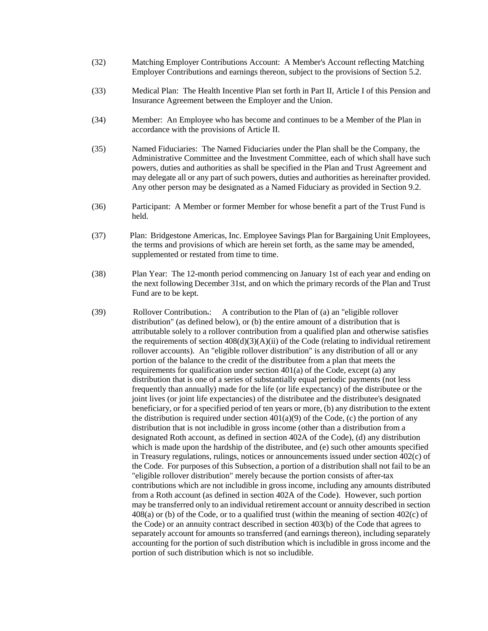- (32) Matching Employer Contributions Account: A Member's Account reflecting Matching Employer Contributions and earnings thereon, subject to the provisions of Section 5.2.
- (33) Medical Plan: The Health Incentive Plan set forth in Part II, Article I of this Pension and Insurance Agreement between the Employer and the Union.
- (34) Member: An Employee who has become and continues to be a Member of the Plan in accordance with the provisions of Article II.
- (35) Named Fiduciaries: The Named Fiduciaries under the Plan shall be the Company, the Administrative Committee and the Investment Committee, each of which shall have such powers, duties and authorities as shall be specified in the Plan and Trust Agreement and may delegate all or any part of such powers, duties and authorities as hereinafter provided. Any other person may be designated as a Named Fiduciary as provided in Section 9.2.
- (36) Participant: A Member or former Member for whose benefit a part of the Trust Fund is held.
- (37) Plan: Bridgestone Americas, Inc. Employee Savings Plan for Bargaining Unit Employees, the terms and provisions of which are herein set forth, as the same may be amended, supplemented or restated from time to time.
- (38) Plan Year: The 12-month period commencing on January 1st of each year and ending on the next following December 31st, and on which the primary records of the Plan and Trust Fund are to be kept.
- (39) Rollover Contribution.: A contribution to the Plan of (a) an "eligible rollover distribution" (as defined below), or (b) the entire amount of a distribution that is attributable solely to a rollover contribution from a qualified plan and otherwise satisfies the requirements of section  $408(d)(3)(A)(ii)$  of the Code (relating to individual retirement rollover accounts). An "eligible rollover distribution" is any distribution of all or any portion of the balance to the credit of the distributee from a plan that meets the requirements for qualification under section 401(a) of the Code, except (a) any distribution that is one of a series of substantially equal periodic payments (not less frequently than annually) made for the life (or life expectancy) of the distributee or the joint lives (or joint life expectancies) of the distributee and the distributee's designated beneficiary, or for a specified period of ten years or more, (b) any distribution to the extent the distribution is required under section  $401(a)(9)$  of the Code, (c) the portion of any distribution that is not includible in gross income (other than a distribution from a designated Roth account, as defined in section 402A of the Code), (d) any distribution which is made upon the hardship of the distributee, and (e) such other amounts specified in Treasury regulations, rulings, notices or announcements issued under section 402(c) of the Code. For purposes of this Subsection, a portion of a distribution shall not fail to be an "eligible rollover distribution" merely because the portion consists of after-tax contributions which are not includible in gross income, including any amounts distributed from a Roth account (as defined in section 402A of the Code). However, such portion may be transferred only to an individual retirement account or annuity described in section 408(a) or (b) of the Code, or to a qualified trust (within the meaning of section 402(c) of the Code) or an annuity contract described in section 403(b) of the Code that agrees to separately account for amounts so transferred (and earnings thereon), including separately accounting for the portion of such distribution which is includible in gross income and the portion of such distribution which is not so includible.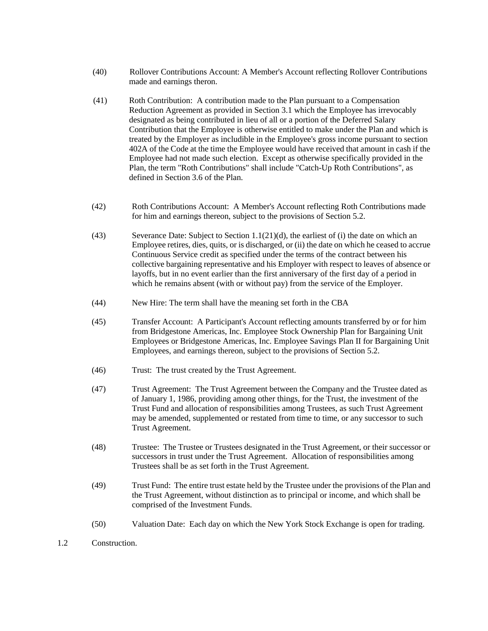- (40) Rollover Contributions Account: A Member's Account reflecting Rollover Contributions made and earnings theron.
- (41) Roth Contribution: A contribution made to the Plan pursuant to a Compensation Reduction Agreement as provided in Section 3.1 which the Employee has irrevocably designated as being contributed in lieu of all or a portion of the Deferred Salary Contribution that the Employee is otherwise entitled to make under the Plan and which is treated by the Employer as includible in the Employee's gross income pursuant to section 402A of the Code at the time the Employee would have received that amount in cash if the Employee had not made such election. Except as otherwise specifically provided in the Plan, the term "Roth Contributions" shall include "Catch-Up Roth Contributions", as defined in Section 3.6 of the Plan.
- (42) Roth Contributions Account: A Member's Account reflecting Roth Contributions made for him and earnings thereon, subject to the provisions of Section 5.2.
- (43) Severance Date: Subject to Section 1.1(21)(d), the earliest of (i) the date on which an Employee retires, dies, quits, or is discharged, or (ii) the date on which he ceased to accrue Continuous Service credit as specified under the terms of the contract between his collective bargaining representative and his Employer with respect to leaves of absence or layoffs, but in no event earlier than the first anniversary of the first day of a period in which he remains absent (with or without pay) from the service of the Employer.
- (44) New Hire: The term shall have the meaning set forth in the CBA
- (45) Transfer Account: A Participant's Account reflecting amounts transferred by or for him from Bridgestone Americas, Inc. Employee Stock Ownership Plan for Bargaining Unit Employees or Bridgestone Americas, Inc. Employee Savings Plan II for Bargaining Unit Employees, and earnings thereon, subject to the provisions of Section 5.2.
- (46) Trust: The trust created by the Trust Agreement.
- (47) Trust Agreement: The Trust Agreement between the Company and the Trustee dated as of January 1, 1986, providing among other things, for the Trust, the investment of the Trust Fund and allocation of responsibilities among Trustees, as such Trust Agreement may be amended, supplemented or restated from time to time, or any successor to such Trust Agreement.
- (48) Trustee: The Trustee or Trustees designated in the Trust Agreement, or their successor or successors in trust under the Trust Agreement. Allocation of responsibilities among Trustees shall be as set forth in the Trust Agreement.
- (49) Trust Fund: The entire trust estate held by the Trustee under the provisions of the Plan and the Trust Agreement, without distinction as to principal or income, and which shall be comprised of the Investment Funds.
- (50) Valuation Date: Each day on which the New York Stock Exchange is open for trading.
- 1.2 Construction.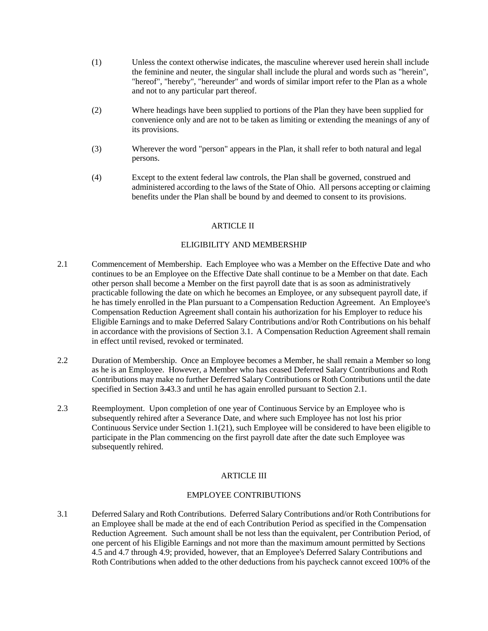- (1) Unless the context otherwise indicates, the masculine wherever used herein shall include the feminine and neuter, the singular shall include the plural and words such as "herein", "hereof", "hereby", "hereunder" and words of similar import refer to the Plan as a whole and not to any particular part thereof.
- (2) Where headings have been supplied to portions of the Plan they have been supplied for convenience only and are not to be taken as limiting or extending the meanings of any of its provisions.
- (3) Wherever the word "person" appears in the Plan, it shall refer to both natural and legal persons.
- (4) Except to the extent federal law controls, the Plan shall be governed, construed and administered according to the laws of the State of Ohio. All persons accepting or claiming benefits under the Plan shall be bound by and deemed to consent to its provisions.

## **ARTICLE II**

### ELIGIBILITY AND MEMBERSHIP

- 2.1 Commencement of Membership. Each Employee who was a Member on the Effective Date and who continues to be an Employee on the Effective Date shall continue to be a Member on that date. Each other person shall become a Member on the first payroll date that is as soon as administratively practicable following the date on which he becomes an Employee, or any subsequent payroll date, if he has timely enrolled in the Plan pursuant to a Compensation Reduction Agreement. An Employee's Compensation Reduction Agreement shall contain his authorization for his Employer to reduce his Eligible Earnings and to make Deferred Salary Contributions and/or Roth Contributions on his behalf in accordance with the provisions of Section 3.1. A Compensation Reduction Agreement shall remain in effect until revised, revoked or terminated.
- 2.2 Duration of Membership. Once an Employee becomes a Member, he shall remain a Member so long as he is an Employee. However, a Member who has ceased Deferred Salary Contributions and Roth Contributions may make no further Deferred Salary Contributions or Roth Contributions until the date specified in Section 3.43.3 and until he has again enrolled pursuant to Section 2.1.
- 2.3 Reemployment. Upon completion of one year of Continuous Service by an Employee who is subsequently rehired after a Severance Date, and where such Employee has not lost his prior Continuous Service under Section 1.1(21), such Employee will be considered to have been eligible to participate in the Plan commencing on the first payroll date after the date such Employee was subsequently rehired.

# ARTICLE III

# EMPLOYEE CONTRIBUTIONS

3.1 Deferred Salary and Roth Contributions. Deferred Salary Contributions and/or Roth Contributions for an Employee shall be made at the end of each Contribution Period as specified in the Compensation Reduction Agreement. Such amount shall be not less than the equivalent, per Contribution Period, of one percent of his Eligible Earnings and not more than the maximum amount permitted by Sections 4.5 and 4.7 through 4.9; provided, however, that an Employee's Deferred Salary Contributions and Roth Contributions when added to the other deductions from his paycheck cannot exceed 100% of the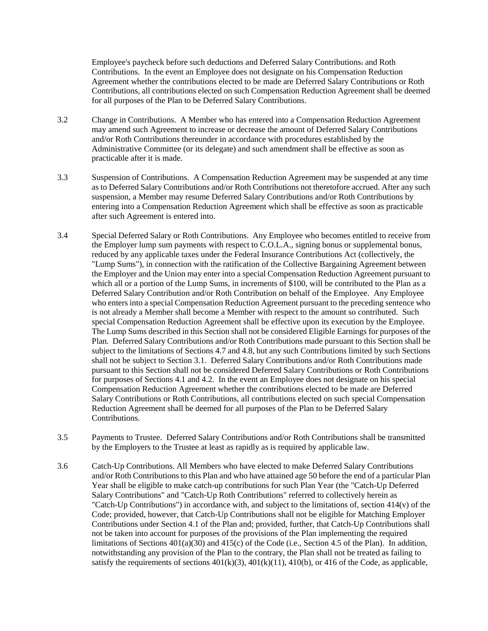Employee's paycheck before such deductions and Deferred Salary Contributions. and Roth Contributions. In the event an Employee does not designate on his Compensation Reduction Agreement whether the contributions elected to be made are Deferred Salary Contributions or Roth Contributions, all contributions elected on such Compensation Reduction Agreement shall be deemed for all purposes of the Plan to be Deferred Salary Contributions.

- 3.2 Change in Contributions. A Member who has entered into a Compensation Reduction Agreement may amend such Agreement to increase or decrease the amount of Deferred Salary Contributions and/or Roth Contributions thereunder in accordance with procedures established by the Administrative Committee (or its delegate) and such amendment shall be effective as soon as practicable after it is made.
- 3.3 Suspension of Contributions. A Compensation Reduction Agreement may be suspended at any time as to Deferred Salary Contributions and/or Roth Contributions not theretofore accrued. After any such suspension, a Member may resume Deferred Salary Contributions and/or Roth Contributions by entering into a Compensation Reduction Agreement which shall be effective as soon as practicable after such Agreement is entered into.
- 3.4 Special Deferred Salary or Roth Contributions. Any Employee who becomes entitled to receive from the Employer lump sum payments with respect to C.O.L.A., signing bonus or supplemental bonus, reduced by any applicable taxes under the Federal Insurance Contributions Act (collectively, the "Lump Sums"), in connection with the ratification of the Collective Bargaining Agreement between the Employer and the Union may enter into a special Compensation Reduction Agreement pursuant to which all or a portion of the Lump Sums, in increments of \$100, will be contributed to the Plan as a Deferred Salary Contribution and/or Roth Contribution on behalf of the Employee. Any Employee who enters into a special Compensation Reduction Agreement pursuant to the preceding sentence who is not already a Member shall become a Member with respect to the amount so contributed. Such special Compensation Reduction Agreement shall be effective upon its execution by the Employee. The Lump Sums described in this Section shall not be considered Eligible Earnings for purposes of the Plan. Deferred Salary Contributions and/or Roth Contributions made pursuant to this Section shall be subject to the limitations of Sections 4.7 and 4.8, but any such Contributions limited by such Sections shall not be subject to Section 3.1. Deferred Salary Contributions and/or Roth Contributions made pursuant to this Section shall not be considered Deferred Salary Contributions or Roth Contributions for purposes of Sections 4.1 and 4.2. In the event an Employee does not designate on his special Compensation Reduction Agreement whether the contributions elected to be made are Deferred Salary Contributions or Roth Contributions, all contributions elected on such special Compensation Reduction Agreement shall be deemed for all purposes of the Plan to be Deferred Salary Contributions.
- 3.5 Payments to Trustee. Deferred Salary Contributions and/or Roth Contributions shall be transmitted by the Employers to the Trustee at least as rapidly as is required by applicable law.
- 3.6 Catch-Up Contributions. All Members who have elected to make Deferred Salary Contributions and/or Roth Contributions to this Plan and who have attained age 50 before the end of a particular Plan Year shall be eligible to make catch-up contributions for such Plan Year (the "Catch-Up Deferred Salary Contributions" and "Catch-Up Roth Contributions" referred to collectively herein as "Catch-Up Contributions") in accordance with, and subject to the limitations of, section 414(v) of the Code; provided, however, that Catch-Up Contributions shall not be eligible for Matching Employer Contributions under Section 4.1 of the Plan and; provided, further, that Catch-Up Contributions shall not be taken into account for purposes of the provisions of the Plan implementing the required limitations of Sections 401(a)(30) and 415(c) of the Code (i.e., Section 4.5 of the Plan). In addition, notwithstanding any provision of the Plan to the contrary, the Plan shall not be treated as failing to satisfy the requirements of sections  $401(k)(3)$ ,  $401(k)(11)$ ,  $410(b)$ , or  $416$  of the Code, as applicable,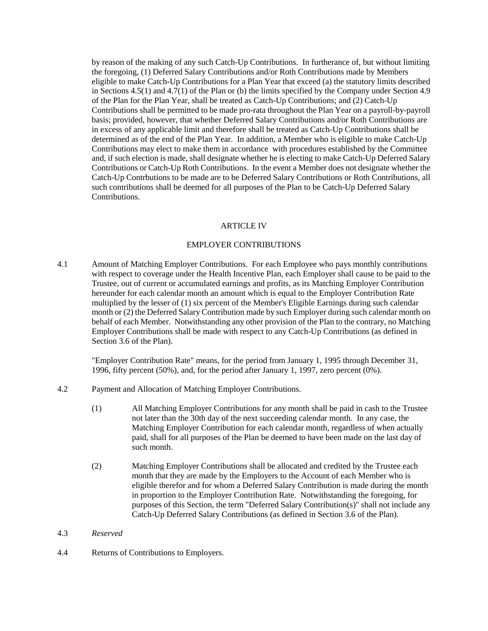by reason of the making of any such Catch-Up Contributions. In furtherance of, but without limiting the foregoing, (1) Deferred Salary Contributions and/or Roth Contributions made by Members eligible to make Catch-Up Contributions for a Plan Year that exceed (a) the statutory limits described in Sections 4.5(1) and 4.7(1) of the Plan or (b) the limits specified by the Company under Section 4.9 of the Plan for the Plan Year, shall be treated as Catch-Up Contributions; and (2) Catch-Up Contributions shall be permitted to be made pro-rata throughout the Plan Year on a payroll-by-payroll basis; provided, however, that whether Deferred Salary Contributions and/or Roth Contributions are in excess of any applicable limit and therefore shall be treated as Catch-Up Contributions shall be determined as of the end of the Plan Year. In addition, a Member who is eligible to make Catch-Up Contributions may elect to make them in accordance with procedures established by the Committee and, if such election is made, shall designate whether he is electing to make Catch-Up Deferred Salary Contributions or Catch-Up Roth Contributions. In the event a Member does not designate whether the Catch-Up Contrbutions to be made are to be Deferred Salary Contributions or Roth Contributions, all such contributions shall be deemed for all purposes of the Plan to be Catch-Up Deferred Salary Contributions.

### **ARTICLE IV**

## EMPLOYER CONTRIBUTIONS

4.1 Amount of Matching Employer Contributions. For each Employee who pays monthly contributions with respect to coverage under the Health Incentive Plan, each Employer shall cause to be paid to the Trustee, out of current or accumulated earnings and profits, as its Matching Employer Contribution hereunder for each calendar month an amount which is equal to the Employer Contribution Rate multiplied by the lesser of (1) six percent of the Member's Eligible Earnings during such calendar month or (2) the Deferred Salary Contribution made by such Employer during such calendar month on behalf of each Member. Notwithstanding any other provision of the Plan to the contrary, no Matching Employer Contributions shall be made with respect to any Catch-Up Contributions (as defined in Section 3.6 of the Plan).

"Employer Contribution Rate" means, for the period from January 1, 1995 through December 31, 1996, fifty percent (50%), and, for the period after January 1, 1997, zero percent (0%).

- 4.2 Payment and Allocation of Matching Employer Contributions.
	- (1) All Matching Employer Contributions for any month shall be paid in cash to the Trustee not later than the 30th day of the next succeeding calendar month. In any case, the Matching Employer Contribution for each calendar month, regardless of when actually paid, shall for all purposes of the Plan be deemed to have been made on the last day of such month.
	- (2) Matching Employer Contributions shall be allocated and credited by the Trustee each month that they are made by the Employers to the Account of each Member who is eligible therefor and for whom a Deferred Salary Contribution is made during the month in proportion to the Employer Contribution Rate. Notwithstanding the foregoing, for purposes of this Section, the term "Deferred Salary Contribution(s)" shall not include any Catch-Up Deferred Salary Contributions (as defined in Section 3.6 of the Plan).

### 4.3 *Reserved*

4.4 Returns of Contributions to Employers.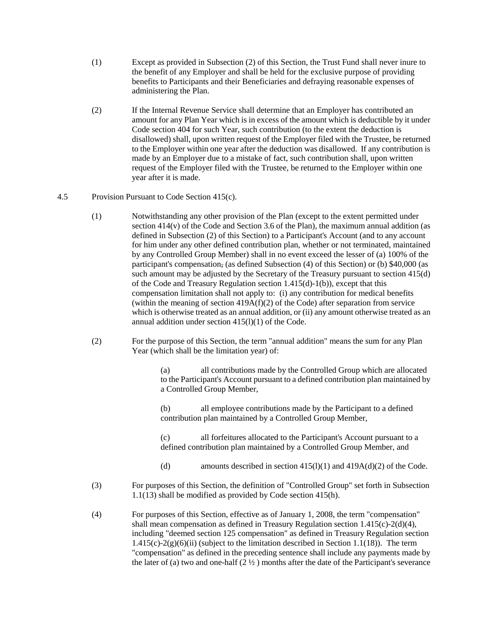- (1) Except as provided in Subsection (2) of this Section, the Trust Fund shall never inure to the benefit of any Employer and shall be held for the exclusive purpose of providing benefits to Participants and their Beneficiaries and defraying reasonable expenses of administering the Plan.
- (2) If the Internal Revenue Service shall determine that an Employer has contributed an amount for any Plan Year which is in excess of the amount which is deductible by it under Code section 404 for such Year, such contribution (to the extent the deduction is disallowed) shall, upon written request of the Employer filed with the Trustee, be returned to the Employer within one year after the deduction was disallowed. If any contribution is made by an Employer due to a mistake of fact, such contribution shall, upon written request of the Employer filed with the Trustee, be returned to the Employer within one year after it is made.
- 4.5 Provision Pursuant to Code Section 415(c).
	- (1) Notwithstanding any other provision of the Plan (except to the extent permitted under section 414(v) of the Code and Section 3.6 of the Plan), the maximum annual addition (as defined in Subsection (2) of this Section) to a Participant's Account (and to any account for him under any other defined contribution plan, whether or not terminated, maintained by any Controlled Group Member) shall in no event exceed the lesser of (a) 100% of the participant's compensation, (as defined Subsection (4) of this Section) or (b) \$40,000 (as such amount may be adjusted by the Secretary of the Treasury pursuant to section 415(d) of the Code and Treasury Regulation section 1.415(d)-1(b)), except that this compensation limitation shall not apply to: (i) any contribution for medical benefits (within the meaning of section  $419A(f)(2)$  of the Code) after separation from service which is otherwise treated as an annual addition, or (ii) any amount otherwise treated as an annual addition under section 415(l)(1) of the Code.
	- (2) For the purpose of this Section, the term "annual addition" means the sum for any Plan Year (which shall be the limitation year) of:

(a) all contributions made by the Controlled Group which are allocated to the Participant's Account pursuant to a defined contribution plan maintained by a Controlled Group Member,

(b) all employee contributions made by the Participant to a defined contribution plan maintained by a Controlled Group Member,

(c) all forfeitures allocated to the Participant's Account pursuant to a defined contribution plan maintained by a Controlled Group Member, and

- (d) amounts described in section  $415(l)(1)$  and  $419A(d)(2)$  of the Code.
- (3) For purposes of this Section, the definition of "Controlled Group" set forth in Subsection 1.1(13) shall be modified as provided by Code section 415(h).
- (4) For purposes of this Section, effective as of January 1, 2008, the term "compensation" shall mean compensation as defined in Treasury Regulation section 1.415(c)-2(d)(4), including "deemed section 125 compensation" as defined in Treasury Regulation section  $1.415(c) - 2(g)(6)(ii)$  (subject to the limitation described in Section 1.1(18)). The term "compensation" as defined in the preceding sentence shall include any payments made by the later of (a) two and one-half  $(2 \frac{1}{2})$  months after the date of the Participant's severance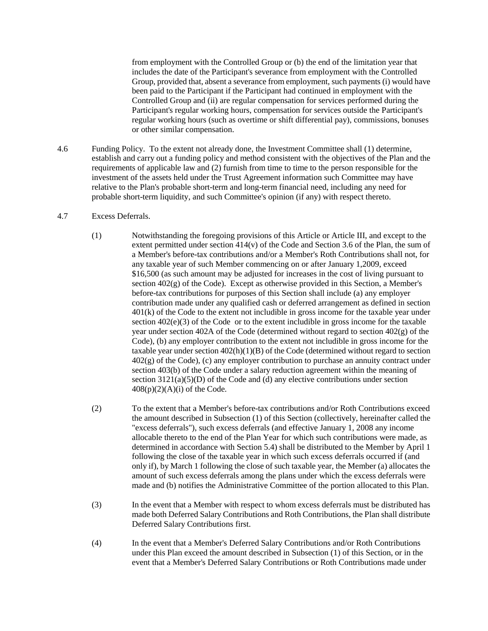from employment with the Controlled Group or (b) the end of the limitation year that includes the date of the Participant's severance from employment with the Controlled Group, provided that, absent a severance from employment, such payments (i) would have been paid to the Participant if the Participant had continued in employment with the Controlled Group and (ii) are regular compensation for services performed during the Participant's regular working hours, compensation for services outside the Participant's regular working hours (such as overtime or shift differential pay), commissions, bonuses or other similar compensation.

- 4.6 Funding Policy. To the extent not already done, the Investment Committee shall (1) determine, establish and carry out a funding policy and method consistent with the objectives of the Plan and the requirements of applicable law and (2) furnish from time to time to the person responsible for the investment of the assets held under the Trust Agreement information such Committee may have relative to the Plan's probable short-term and long-term financial need, including any need for probable short-term liquidity, and such Committee's opinion (if any) with respect thereto.
- 4.7 Excess Deferrals.
	- (1) Notwithstanding the foregoing provisions of this Article or Article III, and except to the extent permitted under section 414(v) of the Code and Section 3.6 of the Plan, the sum of a Member's before-tax contributions and/or a Member's Roth Contributions shall not, for any taxable year of such Member commencing on or after January 1,2009, exceed \$16,500 (as such amount may be adjusted for increases in the cost of living pursuant to section  $402(g)$  of the Code). Except as otherwise provided in this Section, a Member's before-tax contributions for purposes of this Section shall include (a) any employer contribution made under any qualified cash or deferred arrangement as defined in section 401(k) of the Code to the extent not includible in gross income for the taxable year under section 402(e)(3) of the Code or to the extent includible in gross income for the taxable year under section 402A of the Code (determined without regard to section  $402(g)$  of the Code), (b) any employer contribution to the extent not includible in gross income for the taxable year under section  $402(h)(1)(B)$  of the Code (determined without regard to section 402(g) of the Code), (c) any employer contribution to purchase an annuity contract under section 403(b) of the Code under a salary reduction agreement within the meaning of section 3121(a)(5)(D) of the Code and (d) any elective contributions under section  $408(p)(2)(A)(i)$  of the Code.
	- (2) To the extent that a Member's before-tax contributions and/or Roth Contributions exceed the amount described in Subsection (1) of this Section (collectively, hereinafter called the "excess deferrals"), such excess deferrals (and effective January 1, 2008 any income allocable thereto to the end of the Plan Year for which such contributions were made, as determined in accordance with Section 5.4) shall be distributed to the Member by April 1 following the close of the taxable year in which such excess deferrals occurred if (and only if), by March 1 following the close of such taxable year, the Member (a) allocates the amount of such excess deferrals among the plans under which the excess deferrals were made and (b) notifies the Administrative Committee of the portion allocated to this Plan.
	- (3) In the event that a Member with respect to whom excess deferrals must be distributed has made both Deferred Salary Contributions and Roth Contributions, the Plan shall distribute Deferred Salary Contributions first.
	- (4) In the event that a Member's Deferred Salary Contributions and/or Roth Contributions under this Plan exceed the amount described in Subsection (1) of this Section, or in the event that a Member's Deferred Salary Contributions or Roth Contributions made under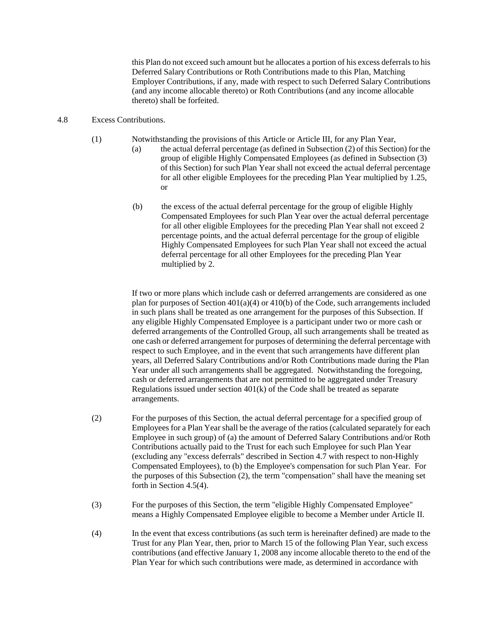this Plan do not exceed such amount but he allocates a portion of his excess deferrals to his Deferred Salary Contributions or Roth Contributions made to this Plan, Matching Employer Contributions, if any, made with respect to such Deferred Salary Contributions (and any income allocable thereto) or Roth Contributions (and any income allocable thereto) shall be forfeited.

### 4.8 Excess Contributions.

- (1) Notwithstanding the provisions of this Article or Article III, for any Plan Year,
	- (a) the actual deferral percentage (as defined in Subsection (2) of this Section) for the group of eligible Highly Compensated Employees (as defined in Subsection (3) of this Section) for such Plan Year shall not exceed the actual deferral percentage for all other eligible Employees for the preceding Plan Year multiplied by 1.25, or
	- (b) the excess of the actual deferral percentage for the group of eligible Highly Compensated Employees for such Plan Year over the actual deferral percentage for all other eligible Employees for the preceding Plan Year shall not exceed 2 percentage points, and the actual deferral percentage for the group of eligible Highly Compensated Employees for such Plan Year shall not exceed the actual deferral percentage for all other Employees for the preceding Plan Year multiplied by 2.

If two or more plans which include cash or deferred arrangements are considered as one plan for purposes of Section 401(a)(4) or 410(b) of the Code, such arrangements included in such plans shall be treated as one arrangement for the purposes of this Subsection. If any eligible Highly Compensated Employee is a participant under two or more cash or deferred arrangements of the Controlled Group, all such arrangements shall be treated as one cash or deferred arrangement for purposes of determining the deferral percentage with respect to such Employee, and in the event that such arrangements have different plan years, all Deferred Salary Contributions and/or Roth Contributions made during the Plan Year under all such arrangements shall be aggregated. Notwithstanding the foregoing, cash or deferred arrangements that are not permitted to be aggregated under Treasury Regulations issued under section 401(k) of the Code shall be treated as separate arrangements.

- (2) For the purposes of this Section, the actual deferral percentage for a specified group of Employees for a Plan Year shall be the average of the ratios (calculated separately for each Employee in such group) of (a) the amount of Deferred Salary Contributions and/or Roth Contributions actually paid to the Trust for each such Employee for such Plan Year (excluding any "excess deferrals" described in Section 4.7 with respect to non-Highly Compensated Employees), to (b) the Employee's compensation for such Plan Year. For the purposes of this Subsection (2), the term "compensation" shall have the meaning set forth in Section 4.5(4).
- (3) For the purposes of this Section, the term "eligible Highly Compensated Employee" means a Highly Compensated Employee eligible to become a Member under Article II.
- (4) In the event that excess contributions (as such term is hereinafter defined) are made to the Trust for any Plan Year, then, prior to March 15 of the following Plan Year, such excess contributions (and effective January 1, 2008 any income allocable thereto to the end of the Plan Year for which such contributions were made, as determined in accordance with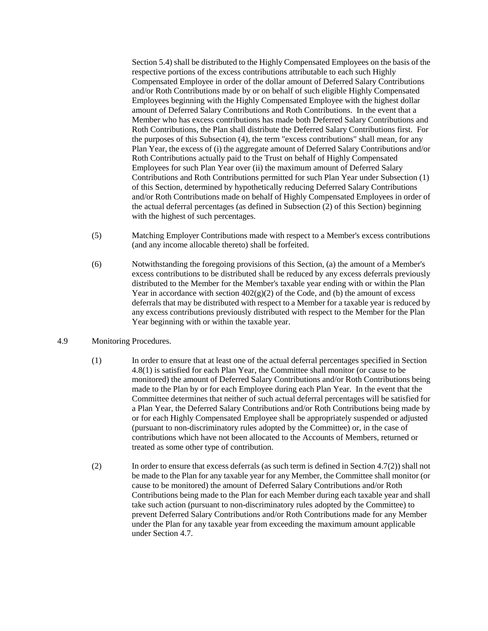Section 5.4) shall be distributed to the Highly Compensated Employees on the basis of the respective portions of the excess contributions attributable to each such Highly Compensated Employee in order of the dollar amount of Deferred Salary Contributions and/or Roth Contributions made by or on behalf of such eligible Highly Compensated Employees beginning with the Highly Compensated Employee with the highest dollar amount of Deferred Salary Contributions and Roth Contributions. In the event that a Member who has excess contributions has made both Deferred Salary Contributions and Roth Contributions, the Plan shall distribute the Deferred Salary Contributions first. For the purposes of this Subsection (4), the term "excess contributions" shall mean, for any Plan Year, the excess of (i) the aggregate amount of Deferred Salary Contributions and/or Roth Contributions actually paid to the Trust on behalf of Highly Compensated Employees for such Plan Year over (ii) the maximum amount of Deferred Salary Contributions and Roth Contributions permitted for such Plan Year under Subsection (1) of this Section, determined by hypothetically reducing Deferred Salary Contributions and/or Roth Contributions made on behalf of Highly Compensated Employees in order of the actual deferral percentages (as defined in Subsection (2) of this Section) beginning with the highest of such percentages.

- (5) Matching Employer Contributions made with respect to a Member's excess contributions (and any income allocable thereto) shall be forfeited.
- (6) Notwithstanding the foregoing provisions of this Section, (a) the amount of a Member's excess contributions to be distributed shall be reduced by any excess deferrals previously distributed to the Member for the Member's taxable year ending with or within the Plan Year in accordance with section  $402(g)(2)$  of the Code, and (b) the amount of excess deferrals that may be distributed with respect to a Member for a taxable year is reduced by any excess contributions previously distributed with respect to the Member for the Plan Year beginning with or within the taxable year.
- 4.9 Monitoring Procedures.
	- (1) In order to ensure that at least one of the actual deferral percentages specified in Section 4.8(1) is satisfied for each Plan Year, the Committee shall monitor (or cause to be monitored) the amount of Deferred Salary Contributions and/or Roth Contributions being made to the Plan by or for each Employee during each Plan Year. In the event that the Committee determines that neither of such actual deferral percentages will be satisfied for a Plan Year, the Deferred Salary Contributions and/or Roth Contributions being made by or for each Highly Compensated Employee shall be appropriately suspended or adjusted (pursuant to non-discriminatory rules adopted by the Committee) or, in the case of contributions which have not been allocated to the Accounts of Members, returned or treated as some other type of contribution.
	- (2) In order to ensure that excess deferrals (as such term is defined in Section 4.7(2)) shall not be made to the Plan for any taxable year for any Member, the Committee shall monitor (or cause to be monitored) the amount of Deferred Salary Contributions and/or Roth Contributions being made to the Plan for each Member during each taxable year and shall take such action (pursuant to non-discriminatory rules adopted by the Committee) to prevent Deferred Salary Contributions and/or Roth Contributions made for any Member under the Plan for any taxable year from exceeding the maximum amount applicable under Section 4.7.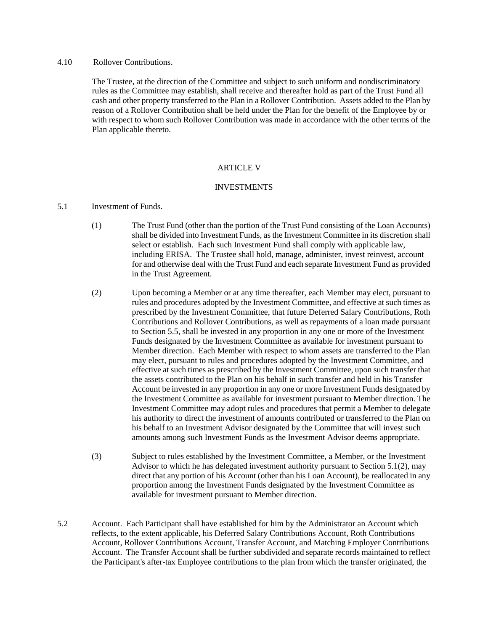#### 4.10 Rollover Contributions.

The Trustee, at the direction of the Committee and subject to such uniform and nondiscriminatory rules as the Committee may establish, shall receive and thereafter hold as part of the Trust Fund all cash and other property transferred to the Plan in a Rollover Contribution. Assets added to the Plan by reason of a Rollover Contribution shall be held under the Plan for the benefit of the Employee by or with respect to whom such Rollover Contribution was made in accordance with the other terms of the Plan applicable thereto.

### ARTICLE V

### INVESTMENTS

### 5.1 Investment of Funds.

- (1) The Trust Fund (other than the portion of the Trust Fund consisting of the Loan Accounts) shall be divided into Investment Funds, as the Investment Committee in its discretion shall select or establish. Each such Investment Fund shall comply with applicable law, including ERISA. The Trustee shall hold, manage, administer, invest reinvest, account for and otherwise deal with the Trust Fund and each separate Investment Fund as provided in the Trust Agreement.
- (2) Upon becoming a Member or at any time thereafter, each Member may elect, pursuant to rules and procedures adopted by the Investment Committee, and effective at such times as prescribed by the Investment Committee, that future Deferred Salary Contributions, Roth Contributions and Rollover Contributions, as well as repayments of a loan made pursuant to Section 5.5, shall be invested in any proportion in any one or more of the Investment Funds designated by the Investment Committee as available for investment pursuant to Member direction. Each Member with respect to whom assets are transferred to the Plan may elect, pursuant to rules and procedures adopted by the Investment Committee, and effective at such times as prescribed by the Investment Committee, upon such transfer that the assets contributed to the Plan on his behalf in such transfer and held in his Transfer Account be invested in any proportion in any one or more Investment Funds designated by the Investment Committee as available for investment pursuant to Member direction. The Investment Committee may adopt rules and procedures that permit a Member to delegate his authority to direct the investment of amounts contributed or transferred to the Plan on his behalf to an Investment Advisor designated by the Committee that will invest such amounts among such Investment Funds as the Investment Advisor deems appropriate.
- (3) Subject to rules established by the Investment Committee, a Member, or the Investment Advisor to which he has delegated investment authority pursuant to Section 5.1(2), may direct that any portion of his Account (other than his Loan Account), be reallocated in any proportion among the Investment Funds designated by the Investment Committee as available for investment pursuant to Member direction.
- 5.2 Account. Each Participant shall have established for him by the Administrator an Account which reflects, to the extent applicable, his Deferred Salary Contributions Account, Roth Contributions Account, Rollover Contributions Account, Transfer Account, and Matching Employer Contributions Account. The Transfer Account shall be further subdivided and separate records maintained to reflect the Participant's after-tax Employee contributions to the plan from which the transfer originated, the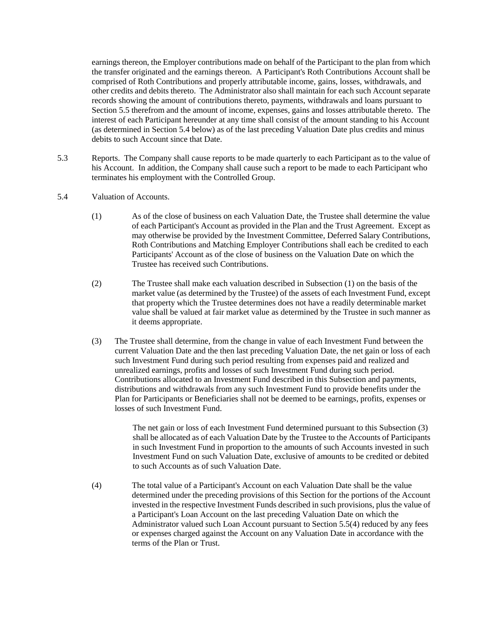earnings thereon, the Employer contributions made on behalf of the Participant to the plan from which the transfer originated and the earnings thereon. A Participant's Roth Contributions Account shall be comprised of Roth Contributions and properly attributable income, gains, losses, withdrawals, and other credits and debits thereto. The Administrator also shall maintain for each such Account separate records showing the amount of contributions thereto, payments, withdrawals and loans pursuant to Section 5.5 therefrom and the amount of income, expenses, gains and losses attributable thereto. The interest of each Participant hereunder at any time shall consist of the amount standing to his Account (as determined in Section 5.4 below) as of the last preceding Valuation Date plus credits and minus debits to such Account since that Date.

- 5.3 Reports. The Company shall cause reports to be made quarterly to each Participant as to the value of his Account. In addition, the Company shall cause such a report to be made to each Participant who terminates his employment with the Controlled Group.
- 5.4 Valuation of Accounts.
	- (1) As of the close of business on each Valuation Date, the Trustee shall determine the value of each Participant's Account as provided in the Plan and the Trust Agreement. Except as may otherwise be provided by the Investment Committee, Deferred Salary Contributions, Roth Contributions and Matching Employer Contributions shall each be credited to each Participants' Account as of the close of business on the Valuation Date on which the Trustee has received such Contributions.
	- (2) The Trustee shall make each valuation described in Subsection (1) on the basis of the market value (as determined by the Trustee) of the assets of each Investment Fund, except that property which the Trustee determines does not have a readily determinable market value shall be valued at fair market value as determined by the Trustee in such manner as it deems appropriate.
	- (3) The Trustee shall determine, from the change in value of each Investment Fund between the current Valuation Date and the then last preceding Valuation Date, the net gain or loss of each such Investment Fund during such period resulting from expenses paid and realized and unrealized earnings, profits and losses of such Investment Fund during such period. Contributions allocated to an Investment Fund described in this Subsection and payments, distributions and withdrawals from any such Investment Fund to provide benefits under the Plan for Participants or Beneficiaries shall not be deemed to be earnings, profits, expenses or losses of such Investment Fund.

The net gain or loss of each Investment Fund determined pursuant to this Subsection (3) shall be allocated as of each Valuation Date by the Trustee to the Accounts of Participants in such Investment Fund in proportion to the amounts of such Accounts invested in such Investment Fund on such Valuation Date, exclusive of amounts to be credited or debited to such Accounts as of such Valuation Date.

(4) The total value of a Participant's Account on each Valuation Date shall be the value determined under the preceding provisions of this Section for the portions of the Account invested in the respective Investment Funds described in such provisions, plus the value of a Participant's Loan Account on the last preceding Valuation Date on which the Administrator valued such Loan Account pursuant to Section 5.5(4) reduced by any fees or expenses charged against the Account on any Valuation Date in accordance with the terms of the Plan or Trust.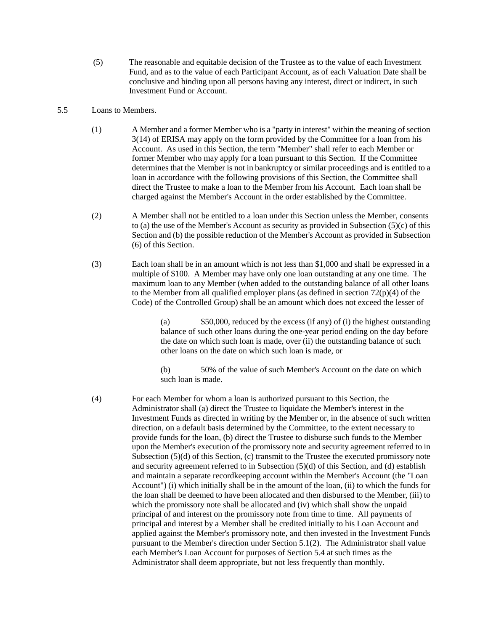- (5) The reasonable and equitable decision of the Trustee as to the value of each Investment Fund, and as to the value of each Participant Account, as of each Valuation Date shall be conclusive and binding upon all persons having any interest, direct or indirect, in such Investment Fund or Account.
- 5.5 Loans to Members.
	- (1) A Member and a former Member who is a "party in interest" within the meaning of section 3(14) of ERISA may apply on the form provided by the Committee for a loan from his Account. As used in this Section, the term "Member" shall refer to each Member or former Member who may apply for a loan pursuant to this Section. If the Committee determines that the Member is not in bankruptcy or similar proceedings and is entitled to a loan in accordance with the following provisions of this Section, the Committee shall direct the Trustee to make a loan to the Member from his Account. Each loan shall be charged against the Member's Account in the order established by the Committee.
	- (2) A Member shall not be entitled to a loan under this Section unless the Member, consents to (a) the use of the Member's Account as security as provided in Subsection (5)(c) of this Section and (b) the possible reduction of the Member's Account as provided in Subsection (6) of this Section.
	- (3) Each loan shall be in an amount which is not less than \$1,000 and shall be expressed in a multiple of \$100. A Member may have only one loan outstanding at any one time. The maximum loan to any Member (when added to the outstanding balance of all other loans to the Member from all qualified employer plans (as defined in section 72(p)(4) of the Code) of the Controlled Group) shall be an amount which does not exceed the lesser of

(a) \$50,000, reduced by the excess (if any) of (i) the highest outstanding balance of such other loans during the one-year period ending on the day before the date on which such loan is made, over (ii) the outstanding balance of such other loans on the date on which such loan is made, or

(b) 50% of the value of such Member's Account on the date on which such loan is made.

(4) For each Member for whom a loan is authorized pursuant to this Section, the Administrator shall (a) direct the Trustee to liquidate the Member's interest in the Investment Funds as directed in writing by the Member or, in the absence of such written direction, on a default basis determined by the Committee, to the extent necessary to provide funds for the loan, (b) direct the Trustee to disburse such funds to the Member upon the Member's execution of the promissory note and security agreement referred to in Subsection (5)(d) of this Section, (c) transmit to the Trustee the executed promissory note and security agreement referred to in Subsection (5)(d) of this Section, and (d) establish and maintain a separate recordkeeping account within the Member's Account (the "Loan Account") (i) which initially shall be in the amount of the loan, (ii) to which the funds for the loan shall be deemed to have been allocated and then disbursed to the Member, (iii) to which the promissory note shall be allocated and (iv) which shall show the unpaid principal of and interest on the promissory note from time to time. All payments of principal and interest by a Member shall be credited initially to his Loan Account and applied against the Member's promissory note, and then invested in the Investment Funds pursuant to the Member's direction under Section 5.1(2). The Administrator shall value each Member's Loan Account for purposes of Section 5.4 at such times as the Administrator shall deem appropriate, but not less frequently than monthly.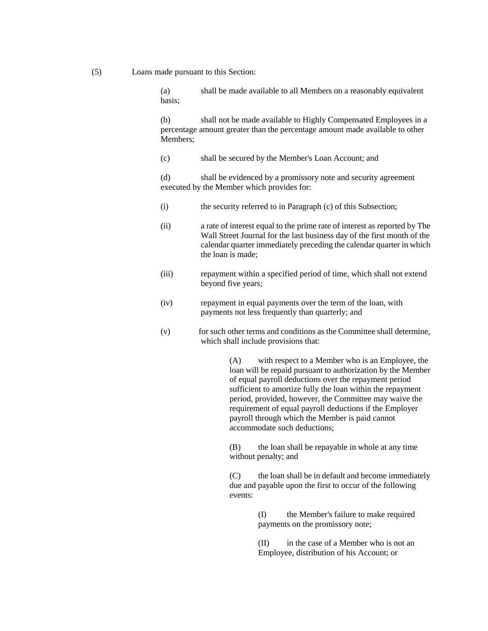(5) Loans made pursuant to this Section:

(a) shall be made available to all Members on a reasonably equivalent basis;

(b) shall not be made available to Highly Compensated Employees in a percentage amount greater than the percentage amount made available to other Members;

(c) shall be secured by the Member's Loan Account; and

(d) shall be evidenced by a promissory note and security agreement executed by the Member which provides for:

- (i) the security referred to in Paragraph (c) of this Subsection;
- (ii) a rate of interest equal to the prime rate of interest as reported by The Wall Street Journal for the last business day of the first month of the calendar quarter immediately preceding the calendar quarter in which the loan is made;
- (iii) repayment within a specified period of time, which shall not extend beyond five years;
- (iv) repayment in equal payments over the term of the loan, with payments not less frequently than quarterly; and
- (v) for such other terms and conditions as the Committee shall determine, which shall include provisions that:

(A) with respect to a Member who is an Employee, the loan will be repaid pursuant to authorization by the Member of equal payroll deductions over the repayment period sufficient to amortize fully the loan within the repayment period, provided, however, the Committee may waive the requirement of equal payroll deductions if the Employer payroll through which the Member is paid cannot accommodate such deductions;

(B) the loan shall be repayable in whole at any time without penalty; and

(C) the loan shall be in default and become immediately due and payable upon the first to occur of the following events:

> (I) the Member's failure to make required payments on the promissory note;

> (II) in the case of a Member who is not an Employee, distribution of his Account; or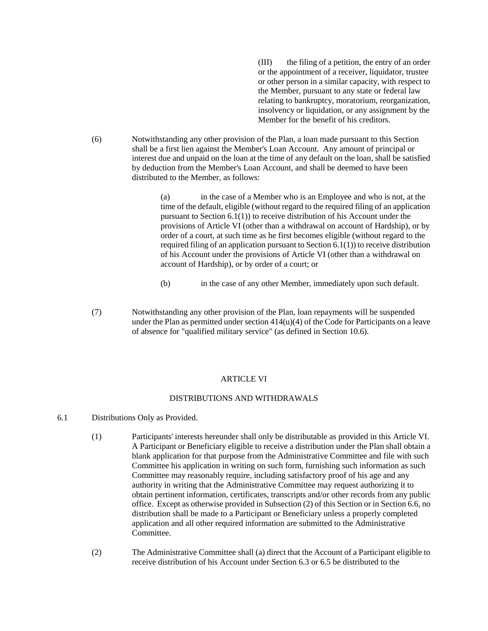(III) the filing of a petition, the entry of an order or the appointment of a receiver, liquidator, trustee or other person in a similar capacity, with respect to the Member, pursuant to any state or federal law relating to bankruptcy, moratorium, reorganization, insolvency or liquidation, or any assignment by the Member for the benefit of his creditors.

(6) Notwithstanding any other provision of the Plan, a loan made pursuant to this Section shall be a first lien against the Member's Loan Account. Any amount of principal or interest due and unpaid on the loan at the time of any default on the loan, shall be satisfied by deduction from the Member's Loan Account, and shall be deemed to have been distributed to the Member, as follows:

> (a) in the case of a Member who is an Employee and who is not, at the time of the default, eligible (without regard to the required filing of an application pursuant to Section 6.1(1)) to receive distribution of his Account under the provisions of Article VI (other than a withdrawal on account of Hardship), or by order of a court, at such time as he first becomes eligible (without regard to the required filing of an application pursuant to Section 6.1(1)) to receive distribution of his Account under the provisions of Article VI (other than a withdrawal on account of Hardship), or by order of a court; or

- (b) in the case of any other Member, immediately upon such default.
- (7) Notwithstanding any other provision of the Plan, loan repayments will be suspended under the Plan as permitted under section  $414(u)(4)$  of the Code for Participants on a leave of absence for "qualified military service" (as defined in Section 10.6).

### **ARTICLE VI**

#### DISTRIBUTIONS AND WITHDRAWALS

- 6.1 Distributions Only as Provided.
	- (1) Participants' interests hereunder shall only be distributable as provided in this Article VI. A Participant or Beneficiary eligible to receive a distribution under the Plan shall obtain a blank application for that purpose from the Administrative Committee and file with such Committee his application in writing on such form, furnishing such information as such Committee may reasonably require, including satisfactory proof of his age and any authority in writing that the Administrative Committee may request authorizing it to obtain pertinent information, certificates, transcripts and/or other records from any public office. Except as otherwise provided in Subsection (2) of this Section or in Section 6.6, no distribution shall be made to a Participant or Beneficiary unless a properly completed application and all other required information are submitted to the Administrative Committee.
	- (2) The Administrative Committee shall (a) direct that the Account of a Participant eligible to receive distribution of his Account under Section 6.3 or 6.5 be distributed to the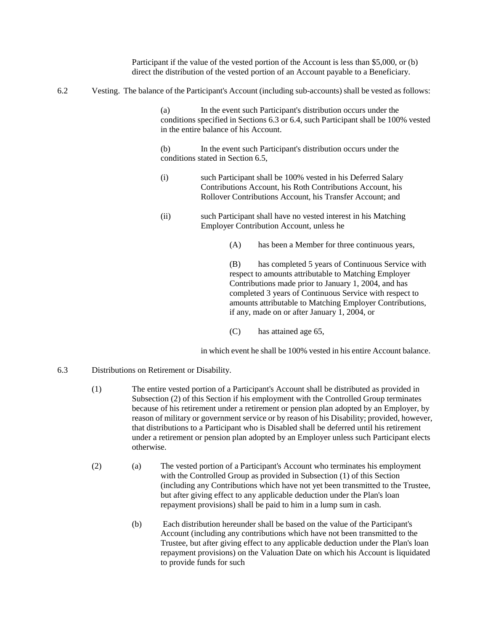Participant if the value of the vested portion of the Account is less than \$5,000, or (b) direct the distribution of the vested portion of an Account payable to a Beneficiary.

6.2 Vesting. The balance of the Participant's Account (including sub-accounts) shall be vested as follows:

(a) In the event such Participant's distribution occurs under the conditions specified in Sections 6.3 or 6.4, such Participant shall be 100% vested in the entire balance of his Account.

(b) In the event such Participant's distribution occurs under the conditions stated in Section 6.5,

- (i) such Participant shall be 100% vested in his Deferred Salary Contributions Account, his Roth Contributions Account, his Rollover Contributions Account, his Transfer Account; and
- (ii) such Participant shall have no vested interest in his Matching Employer Contribution Account, unless he
	- (A) has been a Member for three continuous years,

(B) has completed 5 years of Continuous Service with respect to amounts attributable to Matching Employer Contributions made prior to January 1, 2004, and has completed 3 years of Continuous Service with respect to amounts attributable to Matching Employer Contributions, if any, made on or after January 1, 2004, or

(C) has attained age 65,

in which event he shall be 100% vested in his entire Account balance.

- 6.3 Distributions on Retirement or Disability.
	- (1) The entire vested portion of a Participant's Account shall be distributed as provided in Subsection (2) of this Section if his employment with the Controlled Group terminates because of his retirement under a retirement or pension plan adopted by an Employer, by reason of military or government service or by reason of his Disability; provided, however, that distributions to a Participant who is Disabled shall be deferred until his retirement under a retirement or pension plan adopted by an Employer unless such Participant elects otherwise.
	- (2) (a) The vested portion of a Participant's Account who terminates his employment with the Controlled Group as provided in Subsection (1) of this Section (including any Contributions which have not yet been transmitted to the Trustee, but after giving effect to any applicable deduction under the Plan's loan repayment provisions) shall be paid to him in a lump sum in cash.
		- (b) Each distribution hereunder shall be based on the value of the Participant's Account (including any contributions which have not been transmitted to the Trustee, but after giving effect to any applicable deduction under the Plan's loan repayment provisions) on the Valuation Date on which his Account is liquidated to provide funds for such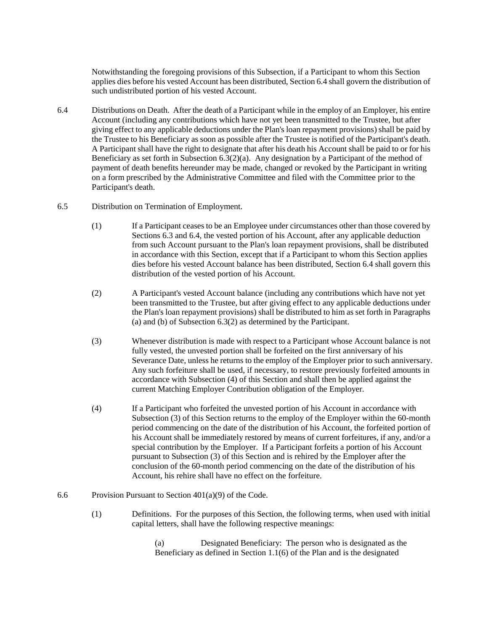Notwithstanding the foregoing provisions of this Subsection, if a Participant to whom this Section applies dies before his vested Account has been distributed, Section 6.4 shall govern the distribution of such undistributed portion of his vested Account.

- 6.4 Distributions on Death. After the death of a Participant while in the employ of an Employer, his entire Account (including any contributions which have not yet been transmitted to the Trustee, but after giving effect to any applicable deductions under the Plan's loan repayment provisions) shall be paid by the Trustee to his Beneficiary as soon as possible after the Trustee is notified of the Participant's death. A Participant shall have the right to designate that after his death his Account shall be paid to or for his Beneficiary as set forth in Subsection  $6.3(2)(a)$ . Any designation by a Participant of the method of payment of death benefits hereunder may be made, changed or revoked by the Participant in writing on a form prescribed by the Administrative Committee and filed with the Committee prior to the Participant's death.
- 6.5 Distribution on Termination of Employment.
	- (1) If a Participant ceases to be an Employee under circumstances other than those covered by Sections 6.3 and 6.4, the vested portion of his Account, after any applicable deduction from such Account pursuant to the Plan's loan repayment provisions, shall be distributed in accordance with this Section, except that if a Participant to whom this Section applies dies before his vested Account balance has been distributed, Section 6.4 shall govern this distribution of the vested portion of his Account.
	- (2) A Participant's vested Account balance (including any contributions which have not yet been transmitted to the Trustee, but after giving effect to any applicable deductions under the Plan's loan repayment provisions) shall be distributed to him as set forth in Paragraphs (a) and (b) of Subsection 6.3(2) as determined by the Participant.
	- (3) Whenever distribution is made with respect to a Participant whose Account balance is not fully vested, the unvested portion shall be forfeited on the first anniversary of his Severance Date, unless he returns to the employ of the Employer prior to such anniversary. Any such forfeiture shall be used, if necessary, to restore previously forfeited amounts in accordance with Subsection (4) of this Section and shall then be applied against the current Matching Employer Contribution obligation of the Employer.
	- (4) If a Participant who forfeited the unvested portion of his Account in accordance with Subsection (3) of this Section returns to the employ of the Employer within the 60-month period commencing on the date of the distribution of his Account, the forfeited portion of his Account shall be immediately restored by means of current forfeitures, if any, and/or a special contribution by the Employer. If a Participant forfeits a portion of his Account pursuant to Subsection (3) of this Section and is rehired by the Employer after the conclusion of the 60-month period commencing on the date of the distribution of his Account, his rehire shall have no effect on the forfeiture.
- 6.6 Provision Pursuant to Section 401(a)(9) of the Code.
	- (1) Definitions. For the purposes of this Section, the following terms, when used with initial capital letters, shall have the following respective meanings:

(a) Designated Beneficiary: The person who is designated as the Beneficiary as defined in Section 1.1(6) of the Plan and is the designated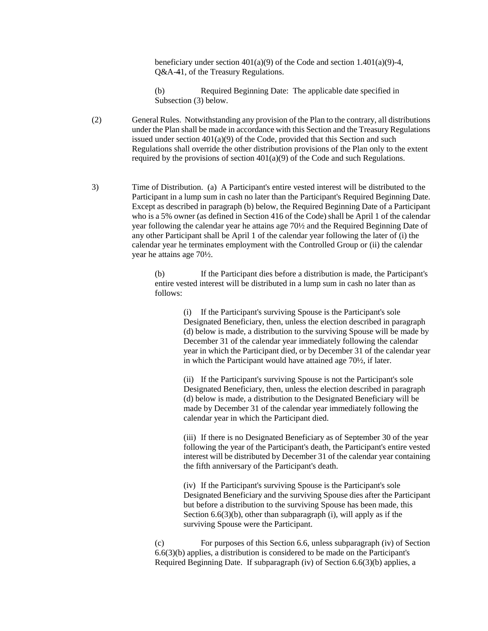beneficiary under section  $401(a)(9)$  of the Code and section  $1.401(a)(9)-4$ , Q&A-41, of the Treasury Regulations.

(b) Required Beginning Date: The applicable date specified in Subsection (3) below.

(2) General Rules. Notwithstanding any provision of the Plan to the contrary, all distributions under the Plan shall be made in accordance with this Section and the Treasury Regulations issued under section  $401(a)(9)$  of the Code, provided that this Section and such Regulations shall override the other distribution provisions of the Plan only to the extent required by the provisions of section 401(a)(9) of the Code and such Regulations.

3) Time of Distribution. (a) A Participant's entire vested interest will be distributed to the Participant in a lump sum in cash no later than the Participant's Required Beginning Date. Except as described in paragraph (b) below, the Required Beginning Date of a Participant who is a 5% owner (as defined in Section 416 of the Code) shall be April 1 of the calendar year following the calendar year he attains age 70½ and the Required Beginning Date of any other Participant shall be April 1 of the calendar year following the later of (i) the calendar year he terminates employment with the Controlled Group or (ii) the calendar year he attains age 70½.

> (b) If the Participant dies before a distribution is made, the Participant's entire vested interest will be distributed in a lump sum in cash no later than as follows:

> > (i) If the Participant's surviving Spouse is the Participant's sole Designated Beneficiary, then, unless the election described in paragraph (d) below is made, a distribution to the surviving Spouse will be made by December 31 of the calendar year immediately following the calendar year in which the Participant died, or by December 31 of the calendar year in which the Participant would have attained age 70½, if later.

(ii) If the Participant's surviving Spouse is not the Participant's sole Designated Beneficiary, then, unless the election described in paragraph (d) below is made, a distribution to the Designated Beneficiary will be made by December 31 of the calendar year immediately following the calendar year in which the Participant died.

(iii) If there is no Designated Beneficiary as of September 30 of the year following the year of the Participant's death, the Participant's entire vested interest will be distributed by December 31 of the calendar year containing the fifth anniversary of the Participant's death.

(iv) If the Participant's surviving Spouse is the Participant's sole Designated Beneficiary and the surviving Spouse dies after the Participant but before a distribution to the surviving Spouse has been made, this Section  $6.6(3)(b)$ , other than subparagraph (i), will apply as if the surviving Spouse were the Participant.

(c) For purposes of this Section 6.6, unless subparagraph (iv) of Section 6.6(3)(b) applies, a distribution is considered to be made on the Participant's Required Beginning Date. If subparagraph (iv) of Section 6.6(3)(b) applies, a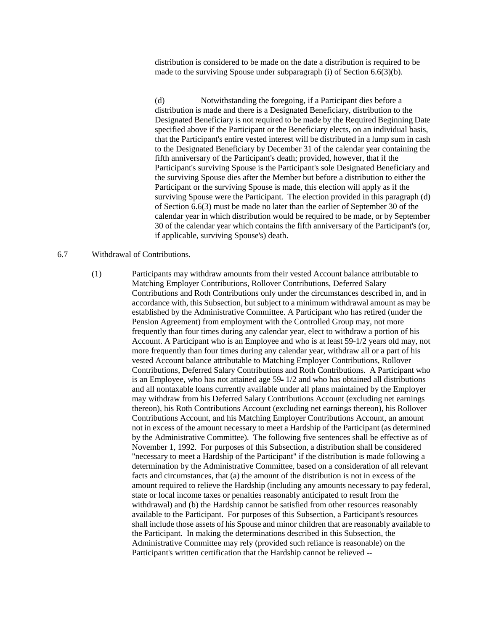distribution is considered to be made on the date a distribution is required to be made to the surviving Spouse under subparagraph (i) of Section 6.6(3)(b).

(d) Notwithstanding the foregoing, if a Participant dies before a distribution is made and there is a Designated Beneficiary, distribution to the Designated Beneficiary is not required to be made by the Required Beginning Date specified above if the Participant or the Beneficiary elects, on an individual basis, that the Participant's entire vested interest will be distributed in a lump sum in cash to the Designated Beneficiary by December 31 of the calendar year containing the fifth anniversary of the Participant's death; provided, however, that if the Participant's surviving Spouse is the Participant's sole Designated Beneficiary and the surviving Spouse dies after the Member but before a distribution to either the Participant or the surviving Spouse is made, this election will apply as if the surviving Spouse were the Participant. The election provided in this paragraph (d) of Section 6.6(3) must be made no later than the earlier of September 30 of the calendar year in which distribution would be required to be made, or by September 30 of the calendar year which contains the fifth anniversary of the Participant's (or, if applicable, surviving Spouse's) death.

### 6.7 Withdrawal of Contributions.

(1) Participants may withdraw amounts from their vested Account balance attributable to Matching Employer Contributions, Rollover Contributions, Deferred Salary Contributions and Roth Contributions only under the circumstances described in, and in accordance with, this Subsection, but subject to a minimum withdrawal amount as may be established by the Administrative Committee. A Participant who has retired (under the Pension Agreement) from employment with the Controlled Group may, not more frequently than four times during any calendar year, elect to withdraw a portion of his Account. A Participant who is an Employee and who is at least 59-1/2 years old may, not more frequently than four times during any calendar year, withdraw all or a part of his vested Account balance attributable to Matching Employer Contributions, Rollover Contributions, Deferred Salary Contributions and Roth Contributions. A Participant who is an Employee, who has not attained age 59- 1/2 and who has obtained all distributions and all nontaxable loans currently available under all plans maintained by the Employer may withdraw from his Deferred Salary Contributions Account (excluding net earnings thereon), his Roth Contributions Account (excluding net earnings thereon), his Rollover Contributions Account, and his Matching Employer Contributions Account, an amount not in excess of the amount necessary to meet a Hardship of the Participant (as determined by the Administrative Committee). The following five sentences shall be effective as of November 1, 1992. For purposes of this Subsection, a distribution shall be considered "necessary to meet a Hardship of the Participant" if the distribution is made following a determination by the Administrative Committee, based on a consideration of all relevant facts and circumstances, that (a) the amount of the distribution is not in excess of the amount required to relieve the Hardship (including any amounts necessary to pay federal, state or local income taxes or penalties reasonably anticipated to result from the withdrawal) and (b) the Hardship cannot be satisfied from other resources reasonably available to the Participant. For purposes of this Subsection, a Participant's resources shall include those assets of his Spouse and minor children that are reasonably available to the Participant. In making the determinations described in this Subsection, the Administrative Committee may rely (provided such reliance is reasonable) on the Participant's written certification that the Hardship cannot be relieved --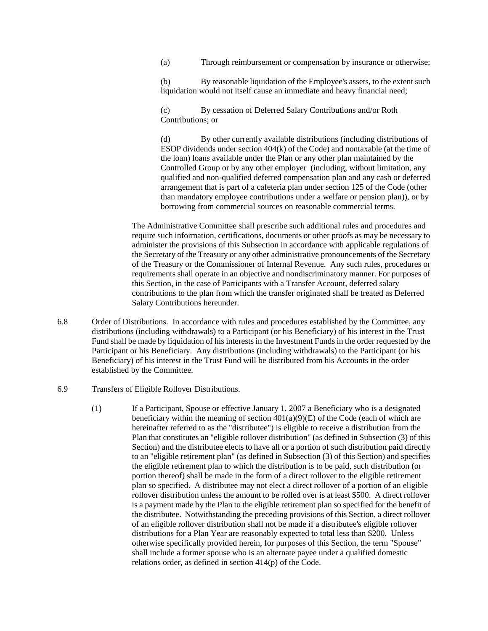(a) Through reimbursement or compensation by insurance or otherwise;

(b) By reasonable liquidation of the Employee's assets, to the extent such liquidation would not itself cause an immediate and heavy financial need;

(c) By cessation of Deferred Salary Contributions and/or Roth Contributions; or

(d) By other currently available distributions (including distributions of ESOP dividends under section 404(k) of the Code) and nontaxable (at the time of the loan) loans available under the Plan or any other plan maintained by the Controlled Group or by any other employer (including, without limitation, any qualified and non-qualified deferred compensation plan and any cash or deferred arrangement that is part of a cafeteria plan under section 125 of the Code (other than mandatory employee contributions under a welfare or pension plan)), or by borrowing from commercial sources on reasonable commercial terms.

The Administrative Committee shall prescribe such additional rules and procedures and require such information, certifications, documents or other proofs as may be necessary to administer the provisions of this Subsection in accordance with applicable regulations of the Secretary of the Treasury or any other administrative pronouncements of the Secretary of the Treasury or the Commissioner of Internal Revenue. Any such rules, procedures or requirements shall operate in an objective and nondiscriminatory manner. For purposes of this Section, in the case of Participants with a Transfer Account, deferred salary contributions to the plan from which the transfer originated shall be treated as Deferred Salary Contributions hereunder.

- 6.8 Order of Distributions. In accordance with rules and procedures established by the Committee, any distributions (including withdrawals) to a Participant (or his Beneficiary) of his interest in the Trust Fund shall be made by liquidation of his interests in the Investment Funds in the order requested by the Participant or his Beneficiary. Any distributions (including withdrawals) to the Participant (or his Beneficiary) of his interest in the Trust Fund will be distributed from his Accounts in the order established by the Committee.
- 6.9 Transfers of Eligible Rollover Distributions.
	- (1) If a Participant, Spouse or effective January 1, 2007 a Beneficiary who is a designated beneficiary within the meaning of section  $401(a)(9)(E)$  of the Code (each of which are hereinafter referred to as the "distributee") is eligible to receive a distribution from the Plan that constitutes an "eligible rollover distribution" (as defined in Subsection (3) of this Section) and the distributee elects to have all or a portion of such distribution paid directly to an "eligible retirement plan" (as defined in Subsection (3) of this Section) and specifies the eligible retirement plan to which the distribution is to be paid, such distribution (or portion thereof) shall be made in the form of a direct rollover to the eligible retirement plan so specified. A distributee may not elect a direct rollover of a portion of an eligible rollover distribution unless the amount to be rolled over is at least \$500. A direct rollover is a payment made by the Plan to the eligible retirement plan so specified for the benefit of the distributee. Notwithstanding the preceding provisions of this Section, a direct rollover of an eligible rollover distribution shall not be made if a distributee's eligible rollover distributions for a Plan Year are reasonably expected to total less than \$200. Unless otherwise specifically provided herein, for purposes of this Section, the term "Spouse" shall include a former spouse who is an alternate payee under a qualified domestic relations order, as defined in section 414(p) of the Code.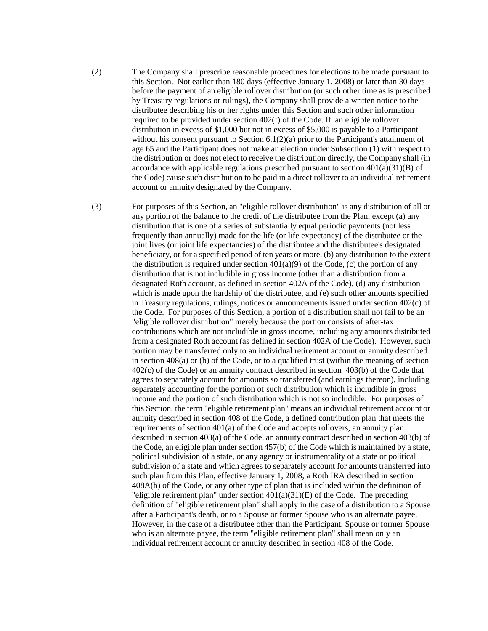(2) The Company shall prescribe reasonable procedures for elections to be made pursuant to this Section. Not earlier than 180 days (effective January 1, 2008) or later than 30 days before the payment of an eligible rollover distribution (or such other time as is prescribed by Treasury regulations or rulings), the Company shall provide a written notice to the distributee describing his or her rights under this Section and such other information required to be provided under section 402(f) of the Code. If an eligible rollover distribution in excess of \$1,000 but not in excess of \$5,000 is payable to a Participant without his consent pursuant to Section 6.1(2)(a) prior to the Participant's attainment of age 65 and the Participant does not make an election under Subsection (1) with respect to the distribution or does not elect to receive the distribution directly, the Company shall (in accordance with applicable regulations prescribed pursuant to section  $401(a)(31)(B)$  of the Code) cause such distribution to be paid in a direct rollover to an individual retirement account or annuity designated by the Company.

(3) For purposes of this Section, an "eligible rollover distribution" is any distribution of all or any portion of the balance to the credit of the distributee from the Plan, except (a) any distribution that is one of a series of substantially equal periodic payments (not less frequently than annually) made for the life (or life expectancy) of the distributee or the joint lives (or joint life expectancies) of the distributee and the distributee's designated beneficiary, or for a specified period of ten years or more, (b) any distribution to the extent the distribution is required under section  $401(a)(9)$  of the Code, (c) the portion of any distribution that is not includible in gross income (other than a distribution from a designated Roth account, as defined in section 402A of the Code), (d) any distribution which is made upon the hardship of the distributee, and (e) such other amounts specified in Treasury regulations, rulings, notices or announcements issued under section 402(c) of the Code. For purposes of this Section, a portion of a distribution shall not fail to be an "eligible rollover distribution" merely because the portion consists of after-tax contributions which are not includible in gross income, including any amounts distributed from a designated Roth account (as defined in section 402A of the Code). However, such portion may be transferred only to an individual retirement account or annuity described in section 408(a) or (b) of the Code, or to a qualified trust (within the meaning of section 402(c) of the Code) or an annuity contract described in section 403(b) of the Code that agrees to separately account for amounts so transferred (and earnings thereon), including separately accounting for the portion of such distribution which is includible in gross income and the portion of such distribution which is not so includible. For purposes of this Section, the term "eligible retirement plan" means an individual retirement account or annuity described in section 408 of the Code, a defined contribution plan that meets the requirements of section 401(a) of the Code and accepts rollovers, an annuity plan described in section 403(a) of the Code, an annuity contract described in section 403(b) of the Code, an eligible plan under section 457(b) of the Code which is maintained by a state, political subdivision of a state, or any agency or instrumentality of a state or political subdivision of a state and which agrees to separately account for amounts transferred into such plan from this Plan, effective January 1, 2008, a Roth IRA described in section 408A(b) of the Code, or any other type of plan that is included within the definition of "eligible retirement plan" under section  $401(a)(31)(E)$  of the Code. The preceding definition of "eligible retirement plan" shall apply in the case of a distribution to a Spouse after a Participant's death, or to a Spouse or former Spouse who is an alternate payee. However, in the case of a distributee other than the Participant, Spouse or former Spouse who is an alternate payee, the term "eligible retirement plan" shall mean only an individual retirement account or annuity described in section 408 of the Code.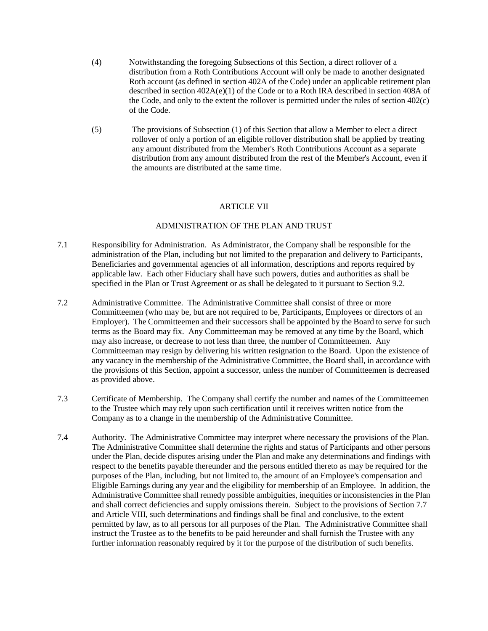- (4) Notwithstanding the foregoing Subsections of this Section, a direct rollover of a distribution from a Roth Contributions Account will only be made to another designated Roth account (as defined in section 402A of the Code) under an applicable retirement plan described in section 402A(e)(1) of the Code or to a Roth IRA described in section 408A of the Code, and only to the extent the rollover is permitted under the rules of section 402(c) of the Code.
- (5) The provisions of Subsection (1) of this Section that allow a Member to elect a direct rollover of only a portion of an eligible rollover distribution shall be applied by treating any amount distributed from the Member's Roth Contributions Account as a separate distribution from any amount distributed from the rest of the Member's Account, even if the amounts are distributed at the same time.

### ARTICLE VII

### ADMINISTRATION OF THE PLAN AND TRUST

- 7.1 Responsibility for Administration. As Administrator, the Company shall be responsible for the administration of the Plan, including but not limited to the preparation and delivery to Participants, Beneficiaries and governmental agencies of all information, descriptions and reports required by applicable law. Each other Fiduciary shall have such powers, duties and authorities as shall be specified in the Plan or Trust Agreement or as shall be delegated to it pursuant to Section 9.2.
- 7.2 Administrative Committee. The Administrative Committee shall consist of three or more Committeemen (who may be, but are not required to be, Participants, Employees or directors of an Employer). The Committeemen and their successors shall be appointed by the Board to serve for such terms as the Board may fix. Any Committeeman may be removed at any time by the Board, which may also increase, or decrease to not less than three, the number of Committeemen. Any Committeeman may resign by delivering his written resignation to the Board. Upon the existence of any vacancy in the membership of the Administrative Committee, the Board shall, in accordance with the provisions of this Section, appoint a successor, unless the number of Committeemen is decreased as provided above.
- 7.3 Certificate of Membership. The Company shall certify the number and names of the Committeemen to the Trustee which may rely upon such certification until it receives written notice from the Company as to a change in the membership of the Administrative Committee.
- 7.4 Authority. The Administrative Committee may interpret where necessary the provisions of the Plan. The Administrative Committee shall determine the rights and status of Participants and other persons under the Plan, decide disputes arising under the Plan and make any determinations and findings with respect to the benefits payable thereunder and the persons entitled thereto as may be required for the purposes of the Plan, including, but not limited to, the amount of an Employee's compensation and Eligible Earnings during any year and the eligibility for membership of an Employee. In addition, the Administrative Committee shall remedy possible ambiguities, inequities or inconsistencies in the Plan and shall correct deficiencies and supply omissions therein. Subject to the provisions of Section 7.7 and Article VIII, such determinations and findings shall be final and conclusive, to the extent permitted by law, as to all persons for all purposes of the Plan. The Administrative Committee shall instruct the Trustee as to the benefits to be paid hereunder and shall furnish the Trustee with any further information reasonably required by it for the purpose of the distribution of such benefits.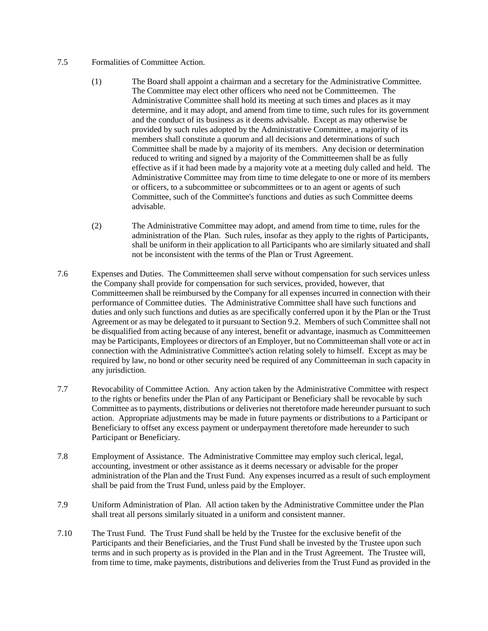## 7.5 Formalities of Committee Action.

- (1) The Board shall appoint a chairman and a secretary for the Administrative Committee. The Committee may elect other officers who need not be Committeemen. The Administrative Committee shall hold its meeting at such times and places as it may determine, and it may adopt, and amend from time to time, such rules for its government and the conduct of its business as it deems advisable. Except as may otherwise be provided by such rules adopted by the Administrative Committee, a majority of its members shall constitute a quorum and all decisions and determinations of such Committee shall be made by a majority of its members. Any decision or determination reduced to writing and signed by a majority of the Committeemen shall be as fully effective as if it had been made by a majority vote at a meeting duly called and held. The Administrative Committee may from time to time delegate to one or more of its members or officers, to a subcommittee or subcommittees or to an agent or agents of such Committee, such of the Committee's functions and duties as such Committee deems advisable.
- (2) The Administrative Committee may adopt, and amend from time to time, rules for the administration of the Plan. Such rules, insofar as they apply to the rights of Participants, shall be uniform in their application to all Participants who are similarly situated and shall not be inconsistent with the terms of the Plan or Trust Agreement.
- 7.6 Expenses and Duties. The Committeemen shall serve without compensation for such services unless the Company shall provide for compensation for such services, provided, however, that Committeemen shall be reimbursed by the Company for all expenses incurred in connection with their performance of Committee duties. The Administrative Committee shall have such functions and duties and only such functions and duties as are specifically conferred upon it by the Plan or the Trust Agreement or as may be delegated to it pursuant to Section 9.2. Members of such Committee shall not be disqualified from acting because of any interest, benefit or advantage, inasmuch as Committeemen may be Participants, Employees or directors of an Employer, but no Committeeman shall vote or act in connection with the Administrative Committee's action relating solely to himself. Except as may be required by law, no bond or other security need be required of any Committeeman in such capacity in any jurisdiction.
- 7.7 Revocability of Committee Action. Any action taken by the Administrative Committee with respect to the rights or benefits under the Plan of any Participant or Beneficiary shall be revocable by such Committee as to payments, distributions or deliveries not theretofore made hereunder pursuant to such action. Appropriate adjustments may be made in future payments or distributions to a Participant or Beneficiary to offset any excess payment or underpayment theretofore made hereunder to such Participant or Beneficiary.
- 7.8 Employment of Assistance. The Administrative Committee may employ such clerical, legal, accounting, investment or other assistance as it deems necessary or advisable for the proper administration of the Plan and the Trust Fund. Any expenses incurred as a result of such employment shall be paid from the Trust Fund, unless paid by the Employer.
- 7.9 Uniform Administration of Plan. All action taken by the Administrative Committee under the Plan shall treat all persons similarly situated in a uniform and consistent manner.
- 7.10 The Trust Fund. The Trust Fund shall be held by the Trustee for the exclusive benefit of the Participants and their Beneficiaries, and the Trust Fund shall be invested by the Trustee upon such terms and in such property as is provided in the Plan and in the Trust Agreement. The Trustee will, from time to time, make payments, distributions and deliveries from the Trust Fund as provided in the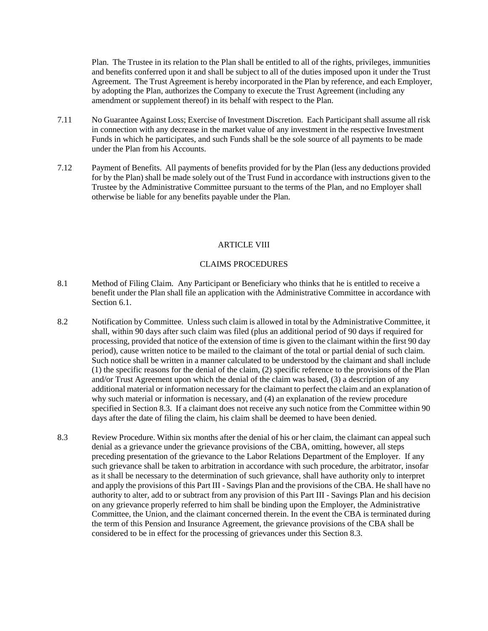Plan. The Trustee in its relation to the Plan shall be entitled to all of the rights, privileges, immunities and benefits conferred upon it and shall be subject to all of the duties imposed upon it under the Trust Agreement. The Trust Agreement is hereby incorporated in the Plan by reference, and each Employer, by adopting the Plan, authorizes the Company to execute the Trust Agreement (including any amendment or supplement thereof) in its behalf with respect to the Plan.

- 7.11 No Guarantee Against Loss; Exercise of Investment Discretion. Each Participant shall assume all risk in connection with any decrease in the market value of any investment in the respective Investment Funds in which he participates, and such Funds shall be the sole source of all payments to be made under the Plan from his Accounts.
- 7.12 Payment of Benefits. All payments of benefits provided for by the Plan (less any deductions provided for by the Plan) shall be made solely out of the Trust Fund in accordance with instructions given to the Trustee by the Administrative Committee pursuant to the terms of the Plan, and no Employer shall otherwise be liable for any benefits payable under the Plan.

## ARTICLE VIII

## CLAIMS PROCEDURES

- 8.1 Method of Filing Claim. Any Participant or Beneficiary who thinks that he is entitled to receive a benefit under the Plan shall file an application with the Administrative Committee in accordance with Section 6.1.
- 8.2 Notification by Committee. Unless such claim is allowed in total by the Administrative Committee, it shall, within 90 days after such claim was filed (plus an additional period of 90 days if required for processing, provided that notice of the extension of time is given to the claimant within the first 90 day period), cause written notice to be mailed to the claimant of the total or partial denial of such claim. Such notice shall be written in a manner calculated to be understood by the claimant and shall include (1) the specific reasons for the denial of the claim, (2) specific reference to the provisions of the Plan and/or Trust Agreement upon which the denial of the claim was based, (3) a description of any additional material or information necessary for the claimant to perfect the claim and an explanation of why such material or information is necessary, and (4) an explanation of the review procedure specified in Section 8.3. If a claimant does not receive any such notice from the Committee within 90 days after the date of filing the claim, his claim shall be deemed to have been denied.
- 8.3 Review Procedure. Within six months after the denial of his or her claim, the claimant can appeal such denial as a grievance under the grievance provisions of the CBA, omitting, however, all steps preceding presentation of the grievance to the Labor Relations Department of the Employer. If any such grievance shall be taken to arbitration in accordance with such procedure, the arbitrator, insofar as it shall be necessary to the determination of such grievance, shall have authority only to interpret and apply the provisions of this Part III - Savings Plan and the provisions of the CBA. He shall have no authority to alter, add to or subtract from any provision of this Part III - Savings Plan and his decision on any grievance properly referred to him shall be binding upon the Employer, the Administrative Committee, the Union, and the claimant concerned therein. In the event the CBA is terminated during the term of this Pension and Insurance Agreement, the grievance provisions of the CBA shall be considered to be in effect for the processing of grievances under this Section 8.3.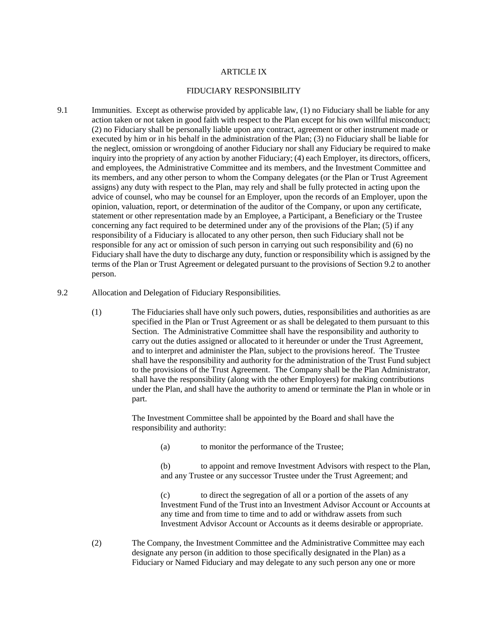### ARTICLE IX

### FIDUCIARY RESPONSIBILITY

- 9.1 Immunities. Except as otherwise provided by applicable law, (1) no Fiduciary shall be liable for any action taken or not taken in good faith with respect to the Plan except for his own willful misconduct; (2) no Fiduciary shall be personally liable upon any contract, agreement or other instrument made or executed by him or in his behalf in the administration of the Plan; (3) no Fiduciary shall be liable for the neglect, omission or wrongdoing of another Fiduciary nor shall any Fiduciary be required to make inquiry into the propriety of any action by another Fiduciary; (4) each Employer, its directors, officers, and employees, the Administrative Committee and its members, and the Investment Committee and its members, and any other person to whom the Company delegates (or the Plan or Trust Agreement assigns) any duty with respect to the Plan, may rely and shall be fully protected in acting upon the advice of counsel, who may be counsel for an Employer, upon the records of an Employer, upon the opinion, valuation, report, or determination of the auditor of the Company, or upon any certificate, statement or other representation made by an Employee, a Participant, a Beneficiary or the Trustee concerning any fact required to be determined under any of the provisions of the Plan; (5) if any responsibility of a Fiduciary is allocated to any other person, then such Fiduciary shall not be responsible for any act or omission of such person in carrying out such responsibility and (6) no Fiduciary shall have the duty to discharge any duty, function or responsibility which is assigned by the terms of the Plan or Trust Agreement or delegated pursuant to the provisions of Section 9.2 to another person.
- 9.2 Allocation and Delegation of Fiduciary Responsibilities.
	- (1) The Fiduciaries shall have only such powers, duties, responsibilities and authorities as are specified in the Plan or Trust Agreement or as shall be delegated to them pursuant to this Section. The Administrative Committee shall have the responsibility and authority to carry out the duties assigned or allocated to it hereunder or under the Trust Agreement, and to interpret and administer the Plan, subject to the provisions hereof. The Trustee shall have the responsibility and authority for the administration of the Trust Fund subject to the provisions of the Trust Agreement. The Company shall be the Plan Administrator, shall have the responsibility (along with the other Employers) for making contributions under the Plan, and shall have the authority to amend or terminate the Plan in whole or in part.

The Investment Committee shall be appointed by the Board and shall have the responsibility and authority:

(a) to monitor the performance of the Trustee;

(b) to appoint and remove Investment Advisors with respect to the Plan, and any Trustee or any successor Trustee under the Trust Agreement; and

(c) to direct the segregation of all or a portion of the assets of any Investment Fund of the Trust into an Investment Advisor Account or Accounts at any time and from time to time and to add or withdraw assets from such Investment Advisor Account or Accounts as it deems desirable or appropriate.

(2) The Company, the Investment Committee and the Administrative Committee may each designate any person (in addition to those specifically designated in the Plan) as a Fiduciary or Named Fiduciary and may delegate to any such person any one or more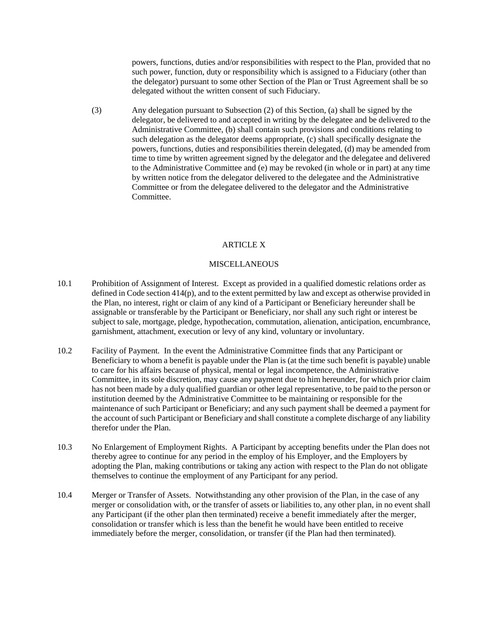powers, functions, duties and/or responsibilities with respect to the Plan, provided that no such power, function, duty or responsibility which is assigned to a Fiduciary (other than the delegator) pursuant to some other Section of the Plan or Trust Agreement shall be so delegated without the written consent of such Fiduciary.

(3) Any delegation pursuant to Subsection (2) of this Section, (a) shall be signed by the delegator, be delivered to and accepted in writing by the delegatee and be delivered to the Administrative Committee, (b) shall contain such provisions and conditions relating to such delegation as the delegator deems appropriate, (c) shall specifically designate the powers, functions, duties and responsibilities therein delegated, (d) may be amended from time to time by written agreement signed by the delegator and the delegatee and delivered to the Administrative Committee and (e) may be revoked (in whole or in part) at any time by written notice from the delegator delivered to the delegatee and the Administrative Committee or from the delegatee delivered to the delegator and the Administrative Committee.

## ARTICLE X

### **MISCELLANEOUS**

- 10.1 Prohibition of Assignment of Interest. Except as provided in a qualified domestic relations order as defined in Code section  $414(p)$ , and to the extent permitted by law and except as otherwise provided in the Plan, no interest, right or claim of any kind of a Participant or Beneficiary hereunder shall be assignable or transferable by the Participant or Beneficiary, nor shall any such right or interest be subject to sale, mortgage, pledge, hypothecation, commutation, alienation, anticipation, encumbrance, garnishment, attachment, execution or levy of any kind, voluntary or involuntary.
- 10.2 Facility of Payment. In the event the Administrative Committee finds that any Participant or Beneficiary to whom a benefit is payable under the Plan is (at the time such benefit is payable) unable to care for his affairs because of physical, mental or legal incompetence, the Administrative Committee, in its sole discretion, may cause any payment due to him hereunder, for which prior claim has not been made by a duly qualified guardian or other legal representative, to be paid to the person or institution deemed by the Administrative Committee to be maintaining or responsible for the maintenance of such Participant or Beneficiary; and any such payment shall be deemed a payment for the account of such Participant or Beneficiary and shall constitute a complete discharge of any liability therefor under the Plan.
- 10.3 No Enlargement of Employment Rights. A Participant by accepting benefits under the Plan does not thereby agree to continue for any period in the employ of his Employer, and the Employers by adopting the Plan, making contributions or taking any action with respect to the Plan do not obligate themselves to continue the employment of any Participant for any period.
- 10.4 Merger or Transfer of Assets. Notwithstanding any other provision of the Plan, in the case of any merger or consolidation with, or the transfer of assets or liabilities to, any other plan, in no event shall any Participant (if the other plan then terminated) receive a benefit immediately after the merger, consolidation or transfer which is less than the benefit he would have been entitled to receive immediately before the merger, consolidation, or transfer (if the Plan had then terminated).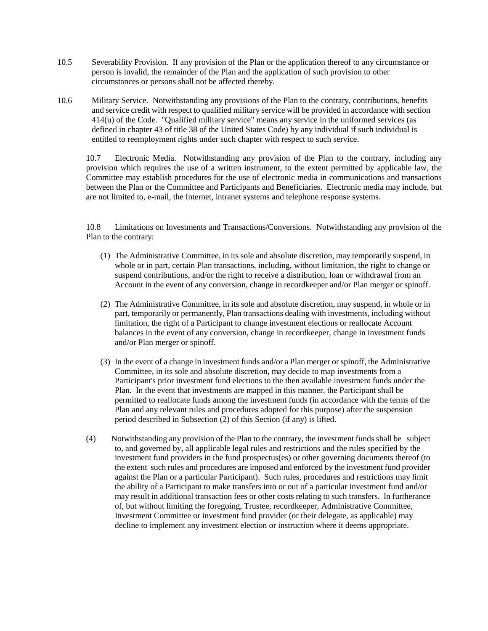- 10.5 Severability Provision. If any provision of the Plan or the application thereof to any circumstance or person is invalid, the remainder of the Plan and the application of such provision to other circumstances or persons shall not be affected thereby.
- 10.6 Military Service. Notwithstanding any provisions of the Plan to the contrary, contributions, benefits and service credit with respect to qualified military service will be provided in accordance with section 414(u) of the Code. "Qualified military service" means any service in the uniformed services (as defined in chapter 43 of title 38 of the United States Code) by any individual if such individual is entitled to reemployment rights under such chapter with respect to such service.

10.7 Electronic Media. Notwithstanding any provision of the Plan to the contrary, including any provision which requires the use of a written instrument, to the extent permitted by applicable law, the Committee may establish procedures for the use of electronic media in communications and transactions between the Plan or the Committee and Participants and Beneficiaries. Electronic media may include, but are not limited to, e-mail, the Internet, intranet systems and telephone response systems.

10.8 Limitations on Investments and Transactions/Conversions. Notwithstanding any provision of the Plan to the contrary:

- (1) The Administrative Committee, in its sole and absolute discretion, may temporarily suspend, in whole or in part, certain Plan transactions, including, without limitation, the right to change or suspend contributions, and/or the right to receive a distribution, loan or withdrawal from an Account in the event of any conversion, change in recordkeeper and/or Plan merger or spinoff.
- (2) The Administrative Committee, in its sole and absolute discretion, may suspend, in whole or in part, temporarily or permanently, Plan transactions dealing with investments, including without limitation, the right of a Participant to change investment elections or reallocate Account balances in the event of any conversion, change in recordkeeper, change in investment funds and/or Plan merger or spinoff.
- (3) In the event of a change in investment funds and/or a Plan merger or spinoff, the Administrative Committee, in its sole and absolute discretion, may decide to map investments from a Participant's prior investment fund elections to the then available investment funds under the Plan. In the event that investments are mapped in this manner, the Participant shall be permitted to reallocate funds among the investment funds (in accordance with the terms of the Plan and any relevant rules and procedures adopted for this purpose) after the suspension period described in Subsection (2) of this Section (if any) is lifted.
- (4) Notwithstanding any provision of the Plan to the contrary, the investment funds shall be subject to, and governed by, all applicable legal rules and restrictions and the rules specified by the investment fund providers in the fund prospectus(es) or other governing documents thereof (to the extent such rules and procedures are imposed and enforced by the investment fund provider against the Plan or a particular Participant). Such rules, procedures and restrictions may limit the ability of a Participant to make transfers into or out of a particular investment fund and/or may result in additional transaction fees or other costs relating to such transfers. In furtherance of, but without limiting the foregoing, Trustee, recordkeeper, Administrative Committee, Investment Committee or investment fund provider (or their delegate, as applicable) may decline to implement any investment election or instruction where it deems appropriate.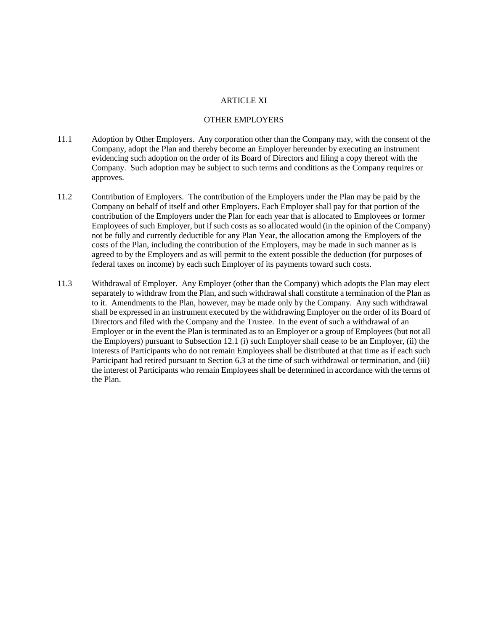### ARTICLE XI

#### OTHER EMPLOYERS

- 11.1 Adoption by Other Employers. Any corporation other than the Company may, with the consent of the Company, adopt the Plan and thereby become an Employer hereunder by executing an instrument evidencing such adoption on the order of its Board of Directors and filing a copy thereof with the Company. Such adoption may be subject to such terms and conditions as the Company requires or approves.
- 11.2 Contribution of Employers. The contribution of the Employers under the Plan may be paid by the Company on behalf of itself and other Employers. Each Employer shall pay for that portion of the contribution of the Employers under the Plan for each year that is allocated to Employees or former Employees of such Employer, but if such costs as so allocated would (in the opinion of the Company) not be fully and currently deductible for any Plan Year, the allocation among the Employers of the costs of the Plan, including the contribution of the Employers, may be made in such manner as is agreed to by the Employers and as will permit to the extent possible the deduction (for purposes of federal taxes on income) by each such Employer of its payments toward such costs.
- 11.3 Withdrawal of Employer. Any Employer (other than the Company) which adopts the Plan may elect separately to withdraw from the Plan, and such withdrawal shall constitute a termination of the Plan as to it. Amendments to the Plan, however, may be made only by the Company. Any such withdrawal shall be expressed in an instrument executed by the withdrawing Employer on the order of its Board of Directors and filed with the Company and the Trustee. In the event of such a withdrawal of an Employer or in the event the Plan is terminated as to an Employer or a group of Employees (but not all the Employers) pursuant to Subsection 12.1 (i) such Employer shall cease to be an Employer, (ii) the interests of Participants who do not remain Employees shall be distributed at that time as if each such Participant had retired pursuant to Section 6.3 at the time of such withdrawal or termination, and (iii) the interest of Participants who remain Employees shall be determined in accordance with the terms of the Plan.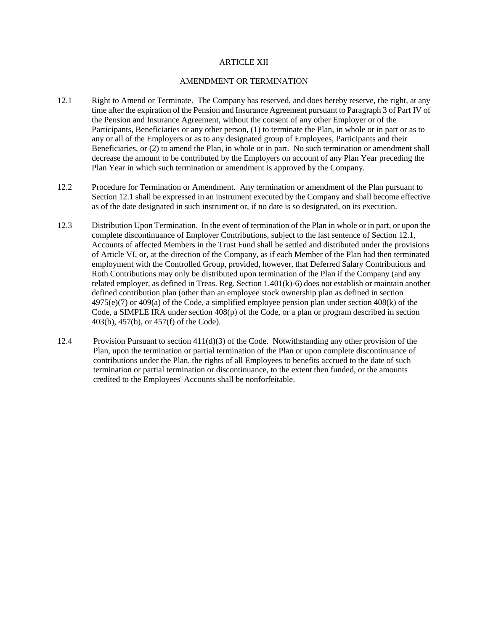## ARTICLE XII

### AMENDMENT OR TERMINATION

- 12.1 Right to Amend or Terminate. The Company has reserved, and does hereby reserve, the right, at any time after the expiration of the Pension and Insurance Agreement pursuant to Paragraph 3 of Part IV of the Pension and Insurance Agreement, without the consent of any other Employer or of the Participants, Beneficiaries or any other person, (1) to terminate the Plan, in whole or in part or as to any or all of the Employers or as to any designated group of Employees, Participants and their Beneficiaries, or (2) to amend the Plan, in whole or in part. No such termination or amendment shall decrease the amount to be contributed by the Employers on account of any Plan Year preceding the Plan Year in which such termination or amendment is approved by the Company.
- 12.2 Procedure for Termination or Amendment. Any termination or amendment of the Plan pursuant to Section 12.1 shall be expressed in an instrument executed by the Company and shall become effective as of the date designated in such instrument or, if no date is so designated, on its execution.
- 12.3 Distribution Upon Termination. In the event of termination of the Plan in whole or in part, or upon the complete discontinuance of Employer Contributions, subject to the last sentence of Section 12.1, Accounts of affected Members in the Trust Fund shall be settled and distributed under the provisions of Article VI, or, at the direction of the Company, as if each Member of the Plan had then terminated employment with the Controlled Group, provided, however, that Deferred Salary Contributions and Roth Contributions may only be distributed upon termination of the Plan if the Company (and any related employer, as defined in Treas. Reg. Section 1.401(k)-6) does not establish or maintain another defined contribution plan (other than an employee stock ownership plan as defined in section 4975(e)(7) or 409(a) of the Code, a simplified employee pension plan under section 408(k) of the Code, a SIMPLE IRA under section 408(p) of the Code, or a plan or program described in section 403(b), 457(b), or 457(f) of the Code).
- 12.4 Provision Pursuant to section 411(d)(3) of the Code. Notwithstanding any other provision of the Plan, upon the termination or partial termination of the Plan or upon complete discontinuance of contributions under the Plan, the rights of all Employees to benefits accrued to the date of such termination or partial termination or discontinuance, to the extent then funded, or the amounts credited to the Employees' Accounts shall be nonforfeitable.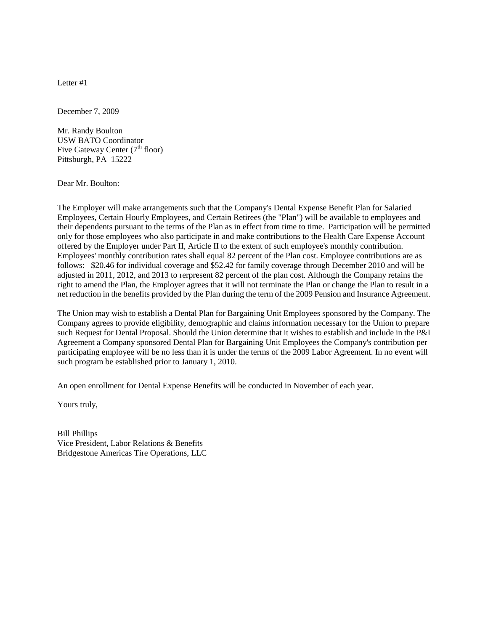December 7, 2009

Mr. Randy Boulton USW BATO Coordinator Five Gateway Center  $(7<sup>th</sup> floor)$ Pittsburgh, PA 15222

Dear Mr. Boulton:

The Employer will make arrangements such that the Company's Dental Expense Benefit Plan for Salaried Employees, Certain Hourly Employees, and Certain Retirees (the "Plan") will be available to employees and their dependents pursuant to the terms of the Plan as in effect from time to time. Participation will be permitted only for those employees who also participate in and make contributions to the Health Care Expense Account offered by the Employer under Part II, Article II to the extent of such employee's monthly contribution. Employees' monthly contribution rates shall equal 82 percent of the Plan cost. Employee contributions are as follows: \$20.46 for individual coverage and \$52.42 for family coverage through December 2010 and will be adjusted in 2011, 2012, and 2013 to rerpresent 82 percent of the plan cost. Although the Company retains the right to amend the Plan, the Employer agrees that it will not terminate the Plan or change the Plan to result in a net reduction in the benefits provided by the Plan during the term of the 2009 Pension and Insurance Agreement.

The Union may wish to establish a Dental Plan for Bargaining Unit Employees sponsored by the Company. The Company agrees to provide eligibility, demographic and claims information necessary for the Union to prepare such Request for Dental Proposal. Should the Union determine that it wishes to establish and include in the P&I Agreement a Company sponsored Dental Plan for Bargaining Unit Employees the Company's contribution per participating employee will be no less than it is under the terms of the 2009 Labor Agreement. In no event will such program be established prior to January 1, 2010.

An open enrollment for Dental Expense Benefits will be conducted in November of each year.

Yours truly,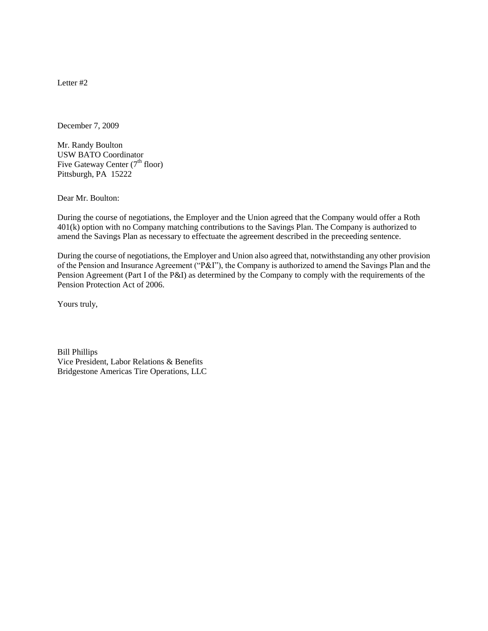December 7, 2009

Mr. Randy Boulton USW BATO Coordinator Five Gateway Center  $(7<sup>th</sup>$  floor) Pittsburgh, PA 15222

Dear Mr. Boulton:

During the course of negotiations, the Employer and the Union agreed that the Company would offer a Roth 401(k) option with no Company matching contributions to the Savings Plan. The Company is authorized to amend the Savings Plan as necessary to effectuate the agreement described in the preceeding sentence.

During the course of negotiations, the Employer and Union also agreed that, notwithstanding any other provision of the Pension and Insurance Agreement ("P&I"), the Company is authorized to amend the Savings Plan and the Pension Agreement (Part I of the P&I) as determined by the Company to comply with the requirements of the Pension Protection Act of 2006.

Yours truly,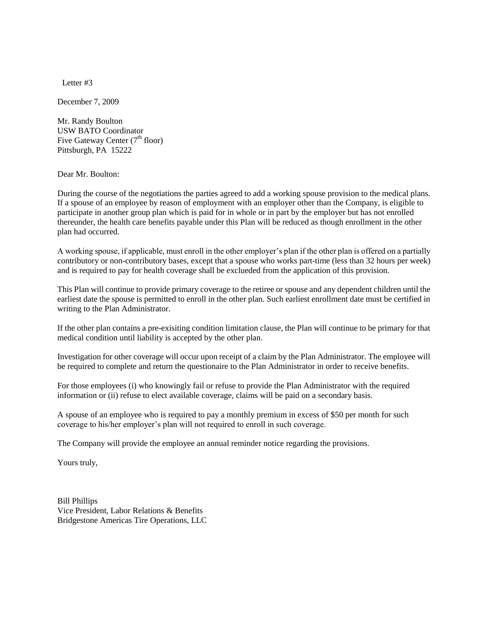December 7, 2009

Mr. Randy Boulton USW BATO Coordinator Five Gateway Center  $(7<sup>th</sup>$  floor) Pittsburgh, PA 15222

Dear Mr. Boulton:

During the course of the negotiations the parties agreed to add a working spouse provision to the medical plans. If a spouse of an employee by reason of employment with an employer other than the Company, is eligible to participate in another group plan which is paid for in whole or in part by the employer but has not enrolled thereunder, the health care benefits payable under this Plan will be reduced as though enrollment in the other plan had occurred.

A working spouse, if applicable, must enroll in the other employer's plan if the other plan is offered on a partially contributory or non-contributory bases, except that a spouse who works part-time (less than 32 hours per week) and is required to pay for health coverage shall be exclueded from the application of this provision.

This Plan will continue to provide primary coverage to the retiree or spouse and any dependent children until the earliest date the spouse is permitted to enroll in the other plan. Such earliest enrollment date must be certified in writing to the Plan Administrator.

If the other plan contains a pre-exisiting condition limitation clause, the Plan will continue to be primary for that medical condition until liability is accepted by the other plan.

Investigation for other coverage will occur upon receipt of a claim by the Plan Administrator. The employee will be required to complete and return the questionaire to the Plan Administrator in order to receive benefits.

For those employees (i) who knowingly fail or refuse to provide the Plan Administrator with the required information or (ii) refuse to elect available coverage, claims will be paid on a secondary basis.

A spouse of an employee who is required to pay a monthly premium in excess of \$50 per month for such coverage to his/her employer's plan will not required to enroll in such coverage.

The Company will provide the employee an annual reminder notice regarding the provisions.

Yours truly,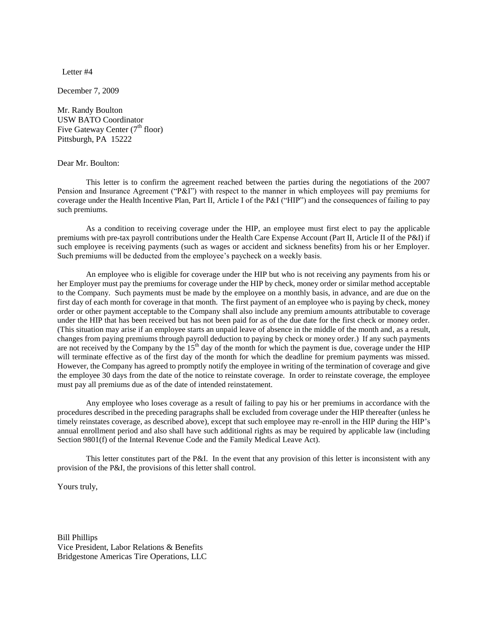December 7, 2009

Mr. Randy Boulton USW BATO Coordinator Five Gateway Center  $(7<sup>th</sup>$  floor) Pittsburgh, PA 15222

Dear Mr. Boulton:

This letter is to confirm the agreement reached between the parties during the negotiations of the 2007 Pension and Insurance Agreement ("P&I") with respect to the manner in which employees will pay premiums for coverage under the Health Incentive Plan, Part II, Article I of the P&I ("HIP") and the consequences of failing to pay such premiums.

As a condition to receiving coverage under the HIP, an employee must first elect to pay the applicable premiums with pre-tax payroll contributions under the Health Care Expense Account (Part II, Article II of the P&I) if such employee is receiving payments (such as wages or accident and sickness benefits) from his or her Employer. Such premiums will be deducted from the employee's paycheck on a weekly basis.

An employee who is eligible for coverage under the HIP but who is not receiving any payments from his or her Employer must pay the premiums for coverage under the HIP by check, money order or similar method acceptable to the Company. Such payments must be made by the employee on a monthly basis, in advance, and are due on the first day of each month for coverage in that month. The first payment of an employee who is paying by check, money order or other payment acceptable to the Company shall also include any premium amounts attributable to coverage under the HIP that has been received but has not been paid for as of the due date for the first check or money order. (This situation may arise if an employee starts an unpaid leave of absence in the middle of the month and, as a result, changes from paying premiums through payroll deduction to paying by check or money order.) If any such payments are not received by the Company by the  $15<sup>th</sup>$  day of the month for which the payment is due, coverage under the HIP will terminate effective as of the first day of the month for which the deadline for premium payments was missed. However, the Company has agreed to promptly notify the employee in writing of the termination of coverage and give the employee 30 days from the date of the notice to reinstate coverage. In order to reinstate coverage, the employee must pay all premiums due as of the date of intended reinstatement.

Any employee who loses coverage as a result of failing to pay his or her premiums in accordance with the procedures described in the preceding paragraphs shall be excluded from coverage under the HIP thereafter (unless he timely reinstates coverage, as described above), except that such employee may re-enroll in the HIP during the HIP's annual enrollment period and also shall have such additional rights as may be required by applicable law (including Section 9801(f) of the Internal Revenue Code and the Family Medical Leave Act).

This letter constitutes part of the P&I. In the event that any provision of this letter is inconsistent with any provision of the P&I, the provisions of this letter shall control.

Yours truly,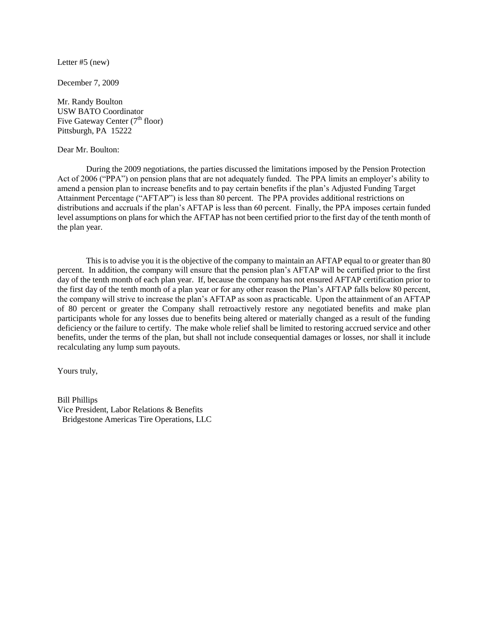Letter #5 (new)

December 7, 2009

Mr. Randy Boulton USW BATO Coordinator Five Gateway Center  $(7<sup>th</sup>$  floor) Pittsburgh, PA 15222

Dear Mr. Boulton:

During the 2009 negotiations, the parties discussed the limitations imposed by the Pension Protection Act of 2006 ("PPA") on pension plans that are not adequately funded. The PPA limits an employer's ability to amend a pension plan to increase benefits and to pay certain benefits if the plan's Adjusted Funding Target Attainment Percentage ("AFTAP") is less than 80 percent. The PPA provides additional restrictions on distributions and accruals if the plan's AFTAP is less than 60 percent. Finally, the PPA imposes certain funded level assumptions on plans for which the AFTAP has not been certified prior to the first day of the tenth month of the plan year.

This is to advise you it is the objective of the company to maintain an AFTAP equal to or greater than 80 percent. In addition, the company will ensure that the pension plan's AFTAP will be certified prior to the first day of the tenth month of each plan year. If, because the company has not ensured AFTAP certification prior to the first day of the tenth month of a plan year or for any other reason the Plan's AFTAP falls below 80 percent, the company will strive to increase the plan's AFTAP as soon as practicable. Upon the attainment of an AFTAP of 80 percent or greater the Company shall retroactively restore any negotiated benefits and make plan participants whole for any losses due to benefits being altered or materially changed as a result of the funding deficiency or the failure to certify. The make whole relief shall be limited to restoring accrued service and other benefits, under the terms of the plan, but shall not include consequential damages or losses, nor shall it include recalculating any lump sum payouts.

Yours truly,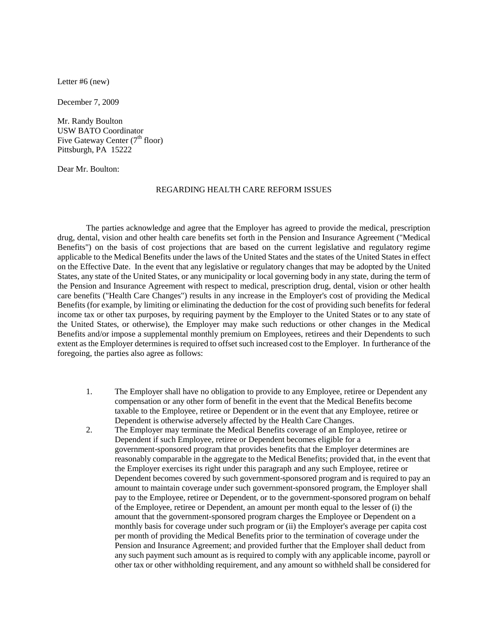Letter #6 (new)

December 7, 2009

Mr. Randy Boulton USW BATO Coordinator Five Gateway Center  $(7<sup>th</sup>$  floor) Pittsburgh, PA 15222

Dear Mr. Boulton:

#### REGARDING HEALTH CARE REFORM ISSUES

The parties acknowledge and agree that the Employer has agreed to provide the medical, prescription drug, dental, vision and other health care benefits set forth in the Pension and Insurance Agreement ("Medical Benefits") on the basis of cost projections that are based on the current legislative and regulatory regime applicable to the Medical Benefits under the laws of the United States and the states of the United States in effect on the Effective Date. In the event that any legislative or regulatory changes that may be adopted by the United States, any state of the United States, or any municipality or local governing body in any state, during the term of the Pension and Insurance Agreement with respect to medical, prescription drug, dental, vision or other health care benefits ("Health Care Changes") results in any increase in the Employer's cost of providing the Medical Benefits (for example, by limiting or eliminating the deduction for the cost of providing such benefits for federal income tax or other tax purposes, by requiring payment by the Employer to the United States or to any state of the United States, or otherwise), the Employer may make such reductions or other changes in the Medical Benefits and/or impose a supplemental monthly premium on Employees, retirees and their Dependents to such extent as the Employer determines is required to offset such increased cost to the Employer. In furtherance of the foregoing, the parties also agree as follows:

- 1. The Employer shall have no obligation to provide to any Employee, retiree or Dependent any compensation or any other form of benefit in the event that the Medical Benefits become taxable to the Employee, retiree or Dependent or in the event that any Employee, retiree or Dependent is otherwise adversely affected by the Health Care Changes.
- 2. The Employer may terminate the Medical Benefits coverage of an Employee, retiree or Dependent if such Employee, retiree or Dependent becomes eligible for a government-sponsored program that provides benefits that the Employer determines are reasonably comparable in the aggregate to the Medical Benefits; provided that, in the event that the Employer exercises its right under this paragraph and any such Employee, retiree or Dependent becomes covered by such government-sponsored program and is required to pay an amount to maintain coverage under such government-sponsored program, the Employer shall pay to the Employee, retiree or Dependent, or to the government-sponsored program on behalf of the Employee, retiree or Dependent, an amount per month equal to the lesser of (i) the amount that the government-sponsored program charges the Employee or Dependent on a monthly basis for coverage under such program or (ii) the Employer's average per capita cost per month of providing the Medical Benefits prior to the termination of coverage under the Pension and Insurance Agreement; and provided further that the Employer shall deduct from any such payment such amount as is required to comply with any applicable income, payroll or other tax or other withholding requirement, and any amount so withheld shall be considered for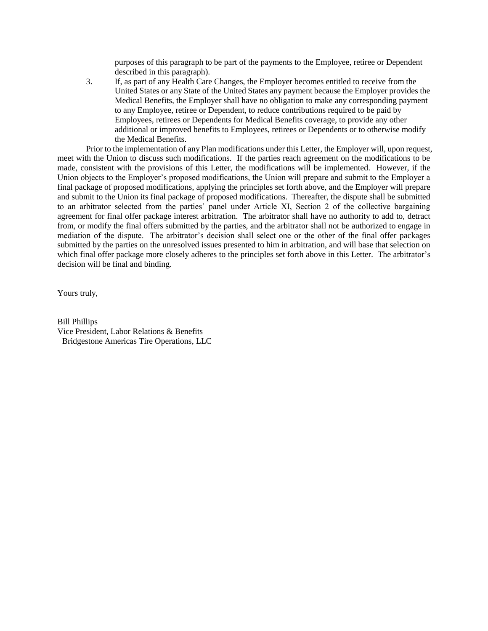purposes of this paragraph to be part of the payments to the Employee, retiree or Dependent described in this paragraph).

3. If, as part of any Health Care Changes, the Employer becomes entitled to receive from the United States or any State of the United States any payment because the Employer provides the Medical Benefits, the Employer shall have no obligation to make any corresponding payment to any Employee, retiree or Dependent, to reduce contributions required to be paid by Employees, retirees or Dependents for Medical Benefits coverage, to provide any other additional or improved benefits to Employees, retirees or Dependents or to otherwise modify the Medical Benefits.

Prior to the implementation of any Plan modifications under this Letter, the Employer will, upon request, meet with the Union to discuss such modifications. If the parties reach agreement on the modifications to be made, consistent with the provisions of this Letter, the modifications will be implemented. However, if the Union objects to the Employer's proposed modifications, the Union will prepare and submit to the Employer a final package of proposed modifications, applying the principles set forth above, and the Employer will prepare and submit to the Union its final package of proposed modifications. Thereafter, the dispute shall be submitted to an arbitrator selected from the parties' panel under Article XI, Section 2 of the collective bargaining agreement for final offer package interest arbitration. The arbitrator shall have no authority to add to, detract from, or modify the final offers submitted by the parties, and the arbitrator shall not be authorized to engage in mediation of the dispute. The arbitrator's decision shall select one or the other of the final offer packages submitted by the parties on the unresolved issues presented to him in arbitration, and will base that selection on which final offer package more closely adheres to the principles set forth above in this Letter. The arbitrator's decision will be final and binding.

Yours truly,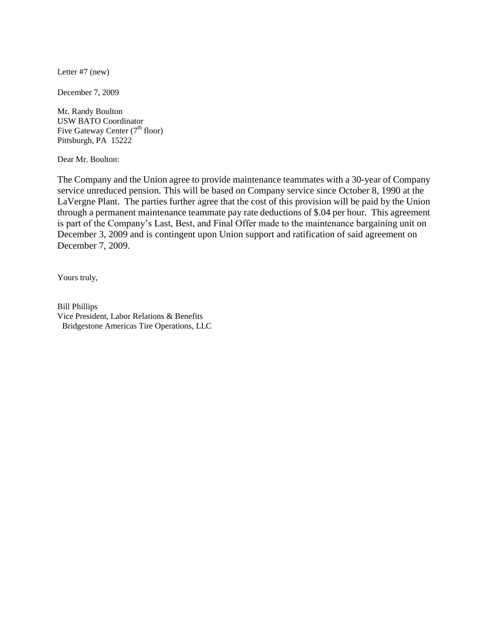Letter #7 (new)

December 7, 2009

Mr. Randy Boulton USW BATO Coordinator Five Gateway Center (7<sup>th</sup> floor) Pittsburgh, PA 15222

Dear Mr. Boulton:

The Company and the Union agree to provide maintenance teammates with a 30-year of Company service unreduced pension. This will be based on Company service since October 8, 1990 at the LaVergne Plant. The parties further agree that the cost of this provision will be paid by the Union through a permanent maintenance teammate pay rate deductions of \$.04 per hour. This agreement is part of the Company's Last, Best, and Final Offer made to the maintenance bargaining unit on December 3, 2009 and is contingent upon Union support and ratification of said agreement on December 7, 2009.

Yours truly,